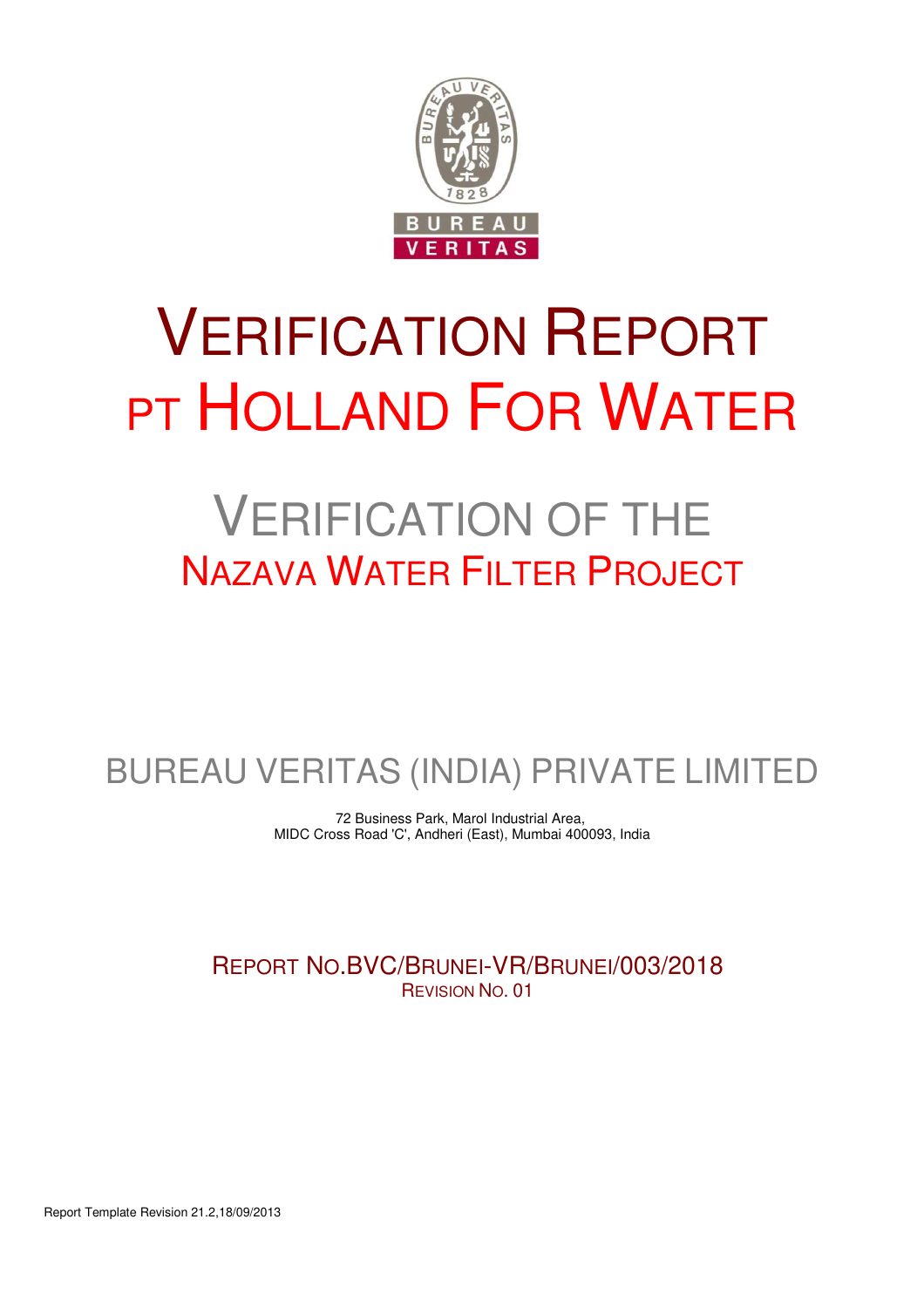

# VERIFICATION REPORT PT HOLLAND FOR WATER

# VERIFICATION OF THE NAZAVA WATER FILTER PROJECT

BUREAU VERITAS (INDIA) PRIVATE LIMITED

72 Business Park, Marol Industrial Area, MIDC Cross Road 'C', Andheri (East), Mumbai 400093, India

REPORT NO.BVC/BRUNEI-VR/BRUNEI/003/2018 REVISION NO. 01

Report Template Revision 21.2,18/09/2013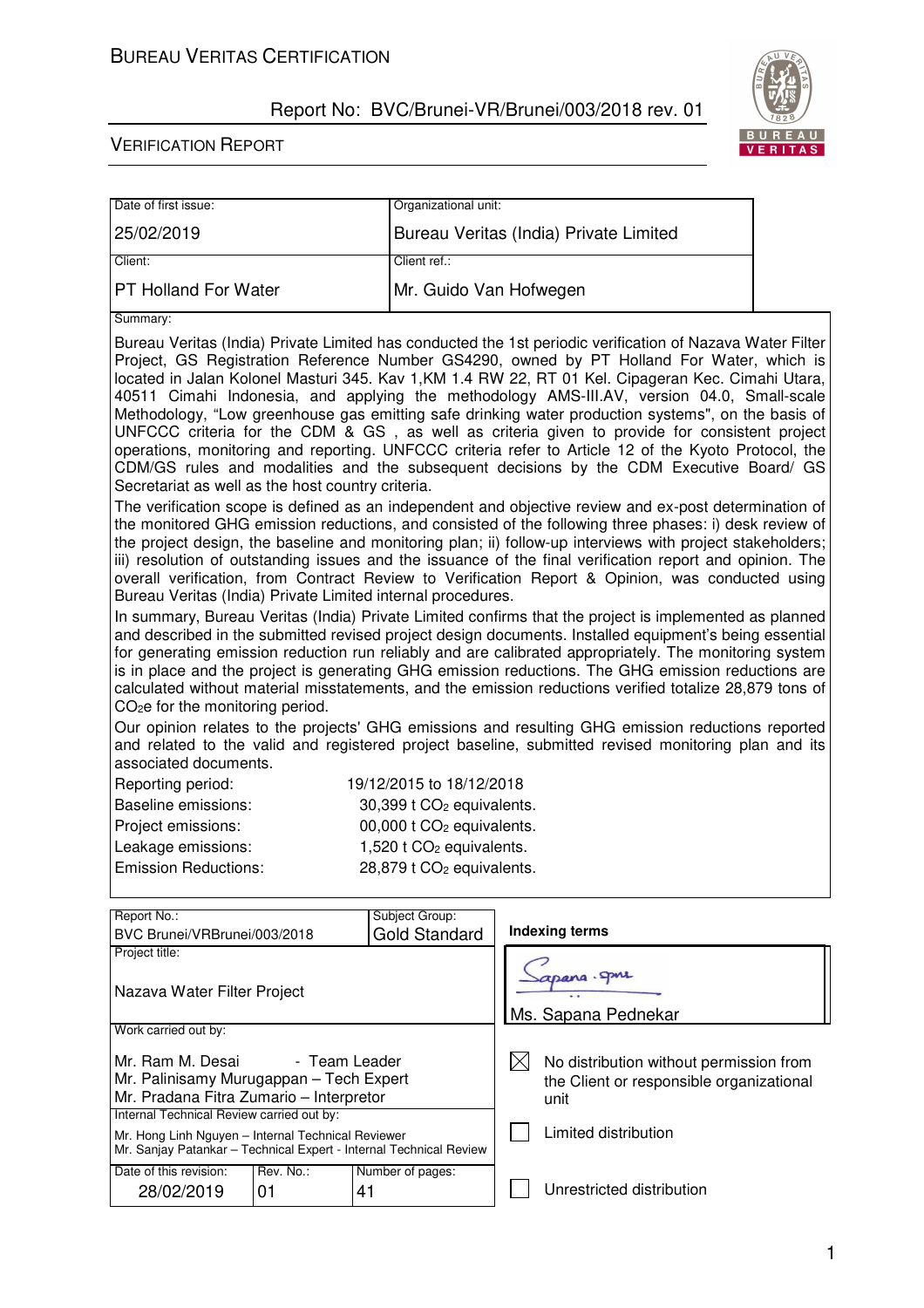

 $\mathbb{R}^n$ 

| Date of first issue:                                                                                                                                                                                                                                                                                                                                                                                                                                                                                                                                                                                                                                                                                                                                                                                                                                                      |  | Organizational unit:                   |                                                                                                                                                                                                                                                                                                                                                                                                                                                                                                                                             |  |  |
|---------------------------------------------------------------------------------------------------------------------------------------------------------------------------------------------------------------------------------------------------------------------------------------------------------------------------------------------------------------------------------------------------------------------------------------------------------------------------------------------------------------------------------------------------------------------------------------------------------------------------------------------------------------------------------------------------------------------------------------------------------------------------------------------------------------------------------------------------------------------------|--|----------------------------------------|---------------------------------------------------------------------------------------------------------------------------------------------------------------------------------------------------------------------------------------------------------------------------------------------------------------------------------------------------------------------------------------------------------------------------------------------------------------------------------------------------------------------------------------------|--|--|
| 25/02/2019                                                                                                                                                                                                                                                                                                                                                                                                                                                                                                                                                                                                                                                                                                                                                                                                                                                                |  |                                        | Bureau Veritas (India) Private Limited                                                                                                                                                                                                                                                                                                                                                                                                                                                                                                      |  |  |
| Client:                                                                                                                                                                                                                                                                                                                                                                                                                                                                                                                                                                                                                                                                                                                                                                                                                                                                   |  | Client ref.:                           |                                                                                                                                                                                                                                                                                                                                                                                                                                                                                                                                             |  |  |
| <b>PT Holland For Water</b>                                                                                                                                                                                                                                                                                                                                                                                                                                                                                                                                                                                                                                                                                                                                                                                                                                               |  |                                        | Mr. Guido Van Hofwegen                                                                                                                                                                                                                                                                                                                                                                                                                                                                                                                      |  |  |
| Summary:                                                                                                                                                                                                                                                                                                                                                                                                                                                                                                                                                                                                                                                                                                                                                                                                                                                                  |  |                                        |                                                                                                                                                                                                                                                                                                                                                                                                                                                                                                                                             |  |  |
| Bureau Veritas (India) Private Limited has conducted the 1st periodic verification of Nazava Water Filter<br>Project, GS Registration Reference Number GS4290, owned by PT Holland For Water, which is<br>located in Jalan Kolonel Masturi 345. Kav 1, KM 1.4 RW 22, RT 01 Kel. Cipageran Kec. Cimahi Utara,<br>40511 Cimahi Indonesia, and applying the methodology AMS-III.AV, version 04.0, Small-scale<br>Methodology, "Low greenhouse gas emitting safe drinking water production systems", on the basis of<br>UNFCCC criteria for the CDM & GS, as well as criteria given to provide for consistent project<br>operations, monitoring and reporting. UNFCCC criteria refer to Article 12 of the Kyoto Protocol, the<br>CDM/GS rules and modalities and the subsequent decisions by the CDM Executive Board/ GS<br>Secretariat as well as the host country criteria. |  |                                        |                                                                                                                                                                                                                                                                                                                                                                                                                                                                                                                                             |  |  |
| Bureau Veritas (India) Private Limited internal procedures.                                                                                                                                                                                                                                                                                                                                                                                                                                                                                                                                                                                                                                                                                                                                                                                                               |  |                                        | The verification scope is defined as an independent and objective review and ex-post determination of<br>the monitored GHG emission reductions, and consisted of the following three phases: i) desk review of<br>the project design, the baseline and monitoring plan; ii) follow-up interviews with project stakeholders;<br>iii) resolution of outstanding issues and the issuance of the final verification report and opinion. The<br>overall verification, from Contract Review to Verification Report & Opinion, was conducted using |  |  |
| In summary, Bureau Veritas (India) Private Limited confirms that the project is implemented as planned<br>and described in the submitted revised project design documents. Installed equipment's being essential<br>for generating emission reduction run reliably and are calibrated appropriately. The monitoring system<br>is in place and the project is generating GHG emission reductions. The GHG emission reductions are<br>calculated without material misstatements, and the emission reductions verified totalize 28,879 tons of<br>CO <sub>2</sub> e for the monitoring period.                                                                                                                                                                                                                                                                               |  |                                        |                                                                                                                                                                                                                                                                                                                                                                                                                                                                                                                                             |  |  |
| Our opinion relates to the projects' GHG emissions and resulting GHG emission reductions reported<br>and related to the valid and registered project baseline, submitted revised monitoring plan and its<br>associated documents.                                                                                                                                                                                                                                                                                                                                                                                                                                                                                                                                                                                                                                         |  |                                        |                                                                                                                                                                                                                                                                                                                                                                                                                                                                                                                                             |  |  |
| Reporting period:                                                                                                                                                                                                                                                                                                                                                                                                                                                                                                                                                                                                                                                                                                                                                                                                                                                         |  | 19/12/2015 to 18/12/2018               |                                                                                                                                                                                                                                                                                                                                                                                                                                                                                                                                             |  |  |
| <b>Baseline emissions:</b>                                                                                                                                                                                                                                                                                                                                                                                                                                                                                                                                                                                                                                                                                                                                                                                                                                                |  | 30,399 t CO <sub>2</sub> equivalents.  |                                                                                                                                                                                                                                                                                                                                                                                                                                                                                                                                             |  |  |
| Project emissions:                                                                                                                                                                                                                                                                                                                                                                                                                                                                                                                                                                                                                                                                                                                                                                                                                                                        |  | 00,000 t CO <sub>2</sub> equivalents.  |                                                                                                                                                                                                                                                                                                                                                                                                                                                                                                                                             |  |  |
| Leakage emissions:                                                                                                                                                                                                                                                                                                                                                                                                                                                                                                                                                                                                                                                                                                                                                                                                                                                        |  | $1,520$ t CO <sub>2</sub> equivalents. |                                                                                                                                                                                                                                                                                                                                                                                                                                                                                                                                             |  |  |
| <b>Emission Reductions:</b>                                                                                                                                                                                                                                                                                                                                                                                                                                                                                                                                                                                                                                                                                                                                                                                                                                               |  | 28,879 t CO <sub>2</sub> equivalents.  |                                                                                                                                                                                                                                                                                                                                                                                                                                                                                                                                             |  |  |
| Report No.:                                                                                                                                                                                                                                                                                                                                                                                                                                                                                                                                                                                                                                                                                                                                                                                                                                                               |  | Subject Group:                         |                                                                                                                                                                                                                                                                                                                                                                                                                                                                                                                                             |  |  |
| BVC Brunei/VRBrunei/003/2018                                                                                                                                                                                                                                                                                                                                                                                                                                                                                                                                                                                                                                                                                                                                                                                                                                              |  | <b>Gold Standard</b>                   | <b>Indexing terms</b>                                                                                                                                                                                                                                                                                                                                                                                                                                                                                                                       |  |  |
| Project title:<br>Nazava Water Filter Project                                                                                                                                                                                                                                                                                                                                                                                                                                                                                                                                                                                                                                                                                                                                                                                                                             |  |                                        | rang. Spire                                                                                                                                                                                                                                                                                                                                                                                                                                                                                                                                 |  |  |
| Work carried out by:                                                                                                                                                                                                                                                                                                                                                                                                                                                                                                                                                                                                                                                                                                                                                                                                                                                      |  |                                        | Ms. Sapana Pednekar                                                                                                                                                                                                                                                                                                                                                                                                                                                                                                                         |  |  |
| Mr. Ram M. Desai<br>- Team Leader<br>Mr. Palinisamy Murugappan - Tech Expert<br>Mr. Pradana Fitra Zumario - Interpretor                                                                                                                                                                                                                                                                                                                                                                                                                                                                                                                                                                                                                                                                                                                                                   |  |                                        | $\boxtimes$<br>No distribution without permission from<br>the Client or responsible organizational<br>unit                                                                                                                                                                                                                                                                                                                                                                                                                                  |  |  |
| Internal Technical Review carried out by:<br>Mr. Hong Linh Nguyen - Internal Technical Reviewer<br>Mr. Sanjay Patankar - Technical Expert - Internal Technical Review                                                                                                                                                                                                                                                                                                                                                                                                                                                                                                                                                                                                                                                                                                     |  |                                        | Limited distribution                                                                                                                                                                                                                                                                                                                                                                                                                                                                                                                        |  |  |
| Date of this revision:<br>Rev. No.:<br>Number of pages:<br>28/02/2019<br>01<br>41                                                                                                                                                                                                                                                                                                                                                                                                                                                                                                                                                                                                                                                                                                                                                                                         |  |                                        | Unrestricted distribution                                                                                                                                                                                                                                                                                                                                                                                                                                                                                                                   |  |  |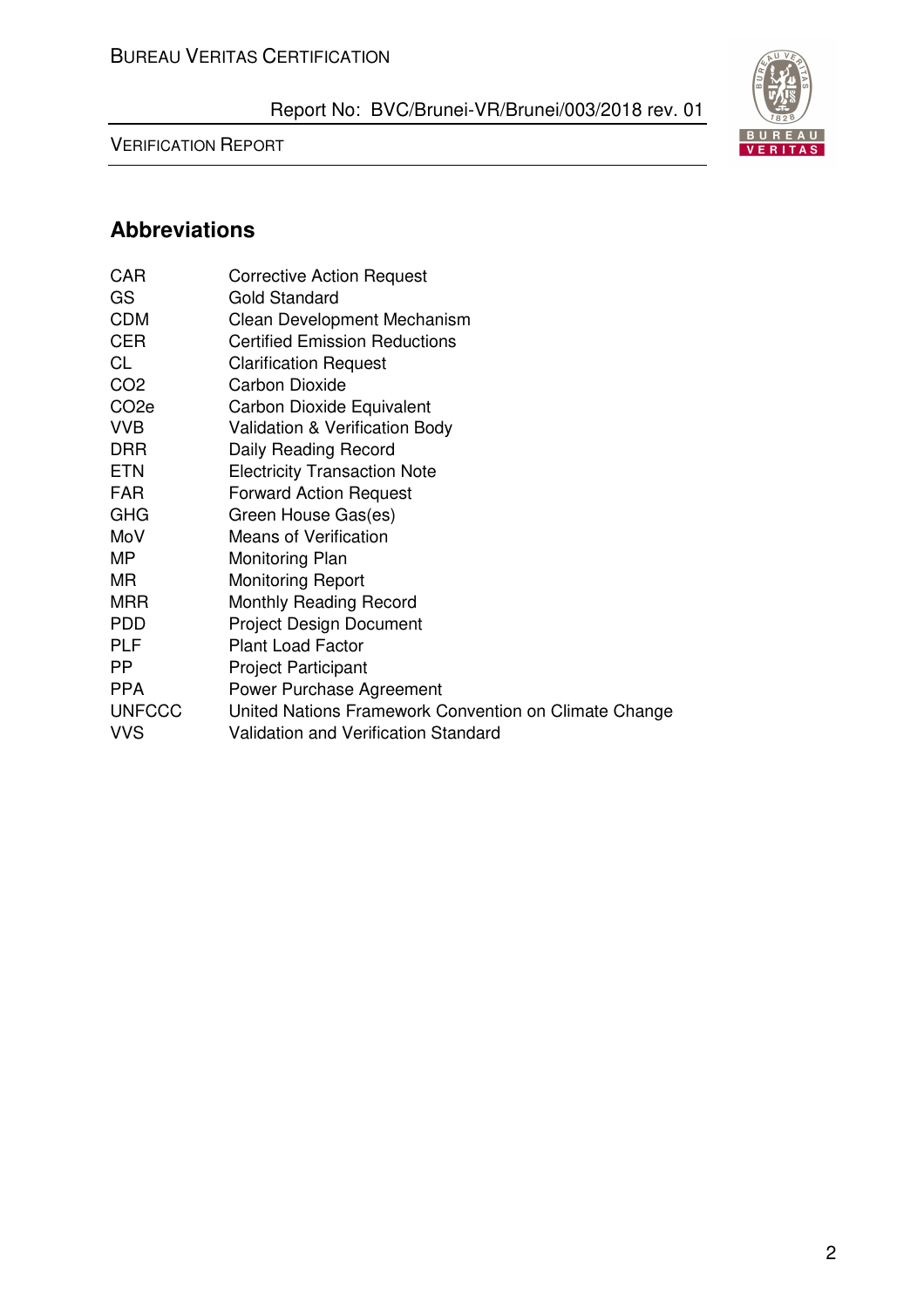VERIFICATION REPORT



# **Abbreviations**

| <b>CAR</b>        | <b>Corrective Action Request</b>                      |
|-------------------|-------------------------------------------------------|
| GS                | <b>Gold Standard</b>                                  |
| <b>CDM</b>        | Clean Development Mechanism                           |
| <b>CER</b>        | <b>Certified Emission Reductions</b>                  |
| CL                | <b>Clarification Request</b>                          |
| CO <sub>2</sub>   | <b>Carbon Dioxide</b>                                 |
| CO <sub>2</sub> e | Carbon Dioxide Equivalent                             |
| <b>VVB</b>        | Validation & Verification Body                        |
| <b>DRR</b>        | Daily Reading Record                                  |
| <b>ETN</b>        | <b>Electricity Transaction Note</b>                   |
| <b>FAR</b>        | <b>Forward Action Request</b>                         |
| <b>GHG</b>        | Green House Gas(es)                                   |
| MoV               | <b>Means of Verification</b>                          |
| <b>MP</b>         | Monitoring Plan                                       |
| MR.               | <b>Monitoring Report</b>                              |
| <b>MRR</b>        | Monthly Reading Record                                |
| <b>PDD</b>        | <b>Project Design Document</b>                        |
| <b>PLF</b>        | <b>Plant Load Factor</b>                              |
| <b>PP</b>         | <b>Project Participant</b>                            |
| <b>PPA</b>        | Power Purchase Agreement                              |
| <b>UNFCCC</b>     | United Nations Framework Convention on Climate Change |
| <b>VVS</b>        | <b>Validation and Verification Standard</b>           |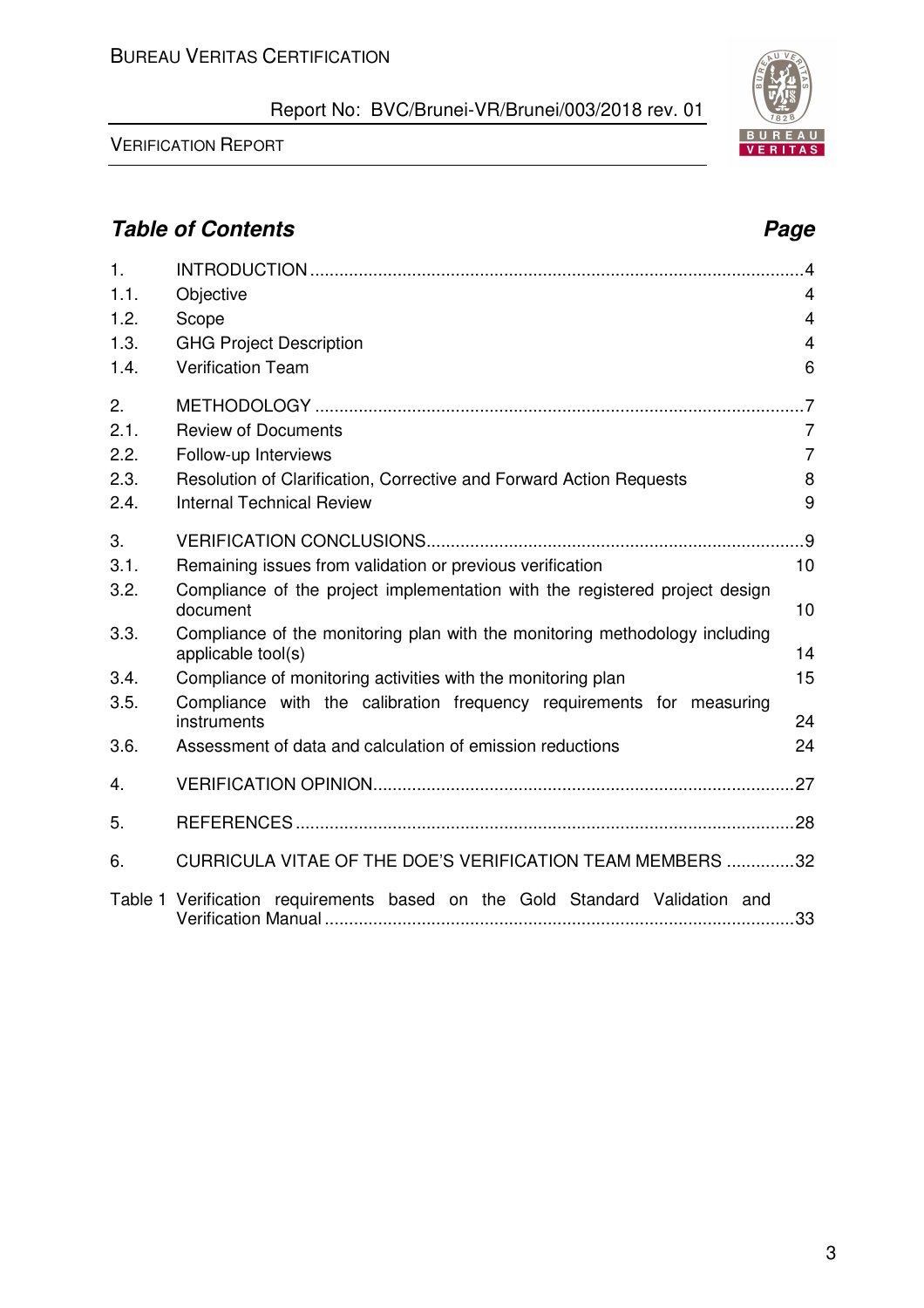| 1.   |                                                                                                   | $\overline{4}$ |
|------|---------------------------------------------------------------------------------------------------|----------------|
| 1.1. | Objective                                                                                         | $\overline{4}$ |
| 1.2. | Scope                                                                                             | 4              |
| 1.3. | <b>GHG Project Description</b>                                                                    | $\overline{4}$ |
| 1.4. | <b>Verification Team</b>                                                                          | 6              |
| 2.   |                                                                                                   | $\overline{7}$ |
| 2.1. | <b>Review of Documents</b>                                                                        | $\overline{7}$ |
| 2.2. | Follow-up Interviews                                                                              | $\overline{7}$ |
| 2.3. | Resolution of Clarification, Corrective and Forward Action Requests                               | 8              |
| 2.4. | <b>Internal Technical Review</b>                                                                  | 9              |
| 3.   |                                                                                                   |                |
| 3.1. | Remaining issues from validation or previous verification                                         | 10             |
| 3.2. | Compliance of the project implementation with the registered project design                       |                |
|      | document                                                                                          | 10             |
| 3.3. | Compliance of the monitoring plan with the monitoring methodology including<br>applicable tool(s) | 14             |
| 3.4. | Compliance of monitoring activities with the monitoring plan                                      | 15             |
| 3.5. | Compliance with the calibration frequency requirements for measuring                              |                |
|      | instruments                                                                                       | 24             |
| 3.6. | Assessment of data and calculation of emission reductions                                         | 24             |
| 4.   |                                                                                                   |                |
| 5.   |                                                                                                   |                |
| 6.   | CURRICULA VITAE OF THE DOE'S VERIFICATION TEAM MEMBERS 32                                         |                |
|      | Table 1 Verification requirements based on the Gold Standard Validation and                       |                |

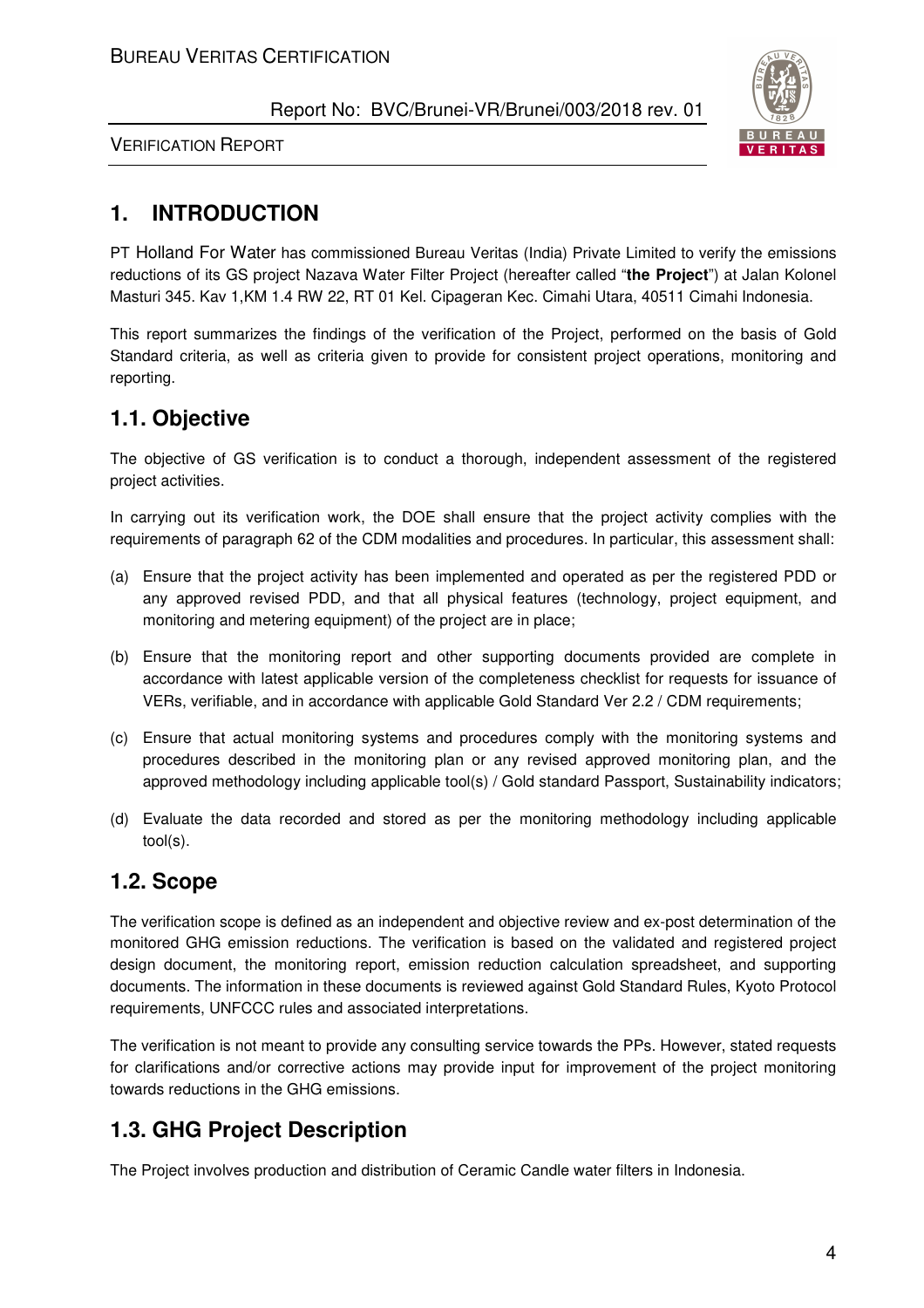

VERIFICATION REPORT

# **1. INTRODUCTION**

PT Holland For Water has commissioned Bureau Veritas (India) Private Limited to verify the emissions reductions of its GS project Nazava Water Filter Project (hereafter called "**the Project**") at Jalan Kolonel Masturi 345. Kav 1,KM 1.4 RW 22, RT 01 Kel. Cipageran Kec. Cimahi Utara, 40511 Cimahi Indonesia.

This report summarizes the findings of the verification of the Project, performed on the basis of Gold Standard criteria, as well as criteria given to provide for consistent project operations, monitoring and reporting.

# **1.1. Objective**

The objective of GS verification is to conduct a thorough, independent assessment of the registered project activities.

In carrying out its verification work, the DOE shall ensure that the project activity complies with the requirements of paragraph 62 of the CDM modalities and procedures. In particular, this assessment shall:

- (a) Ensure that the project activity has been implemented and operated as per the registered PDD or any approved revised PDD, and that all physical features (technology, project equipment, and monitoring and metering equipment) of the project are in place;
- (b) Ensure that the monitoring report and other supporting documents provided are complete in accordance with latest applicable version of the completeness checklist for requests for issuance of VERs, verifiable, and in accordance with applicable Gold Standard Ver 2.2 / CDM requirements;
- (c) Ensure that actual monitoring systems and procedures comply with the monitoring systems and procedures described in the monitoring plan or any revised approved monitoring plan, and the approved methodology including applicable tool(s) / Gold standard Passport, Sustainability indicators;
- (d) Evaluate the data recorded and stored as per the monitoring methodology including applicable tool(s).

# **1.2. Scope**

The verification scope is defined as an independent and objective review and ex-post determination of the monitored GHG emission reductions. The verification is based on the validated and registered project design document, the monitoring report, emission reduction calculation spreadsheet, and supporting documents. The information in these documents is reviewed against Gold Standard Rules, Kyoto Protocol requirements, UNFCCC rules and associated interpretations.

The verification is not meant to provide any consulting service towards the PPs. However, stated requests for clarifications and/or corrective actions may provide input for improvement of the project monitoring towards reductions in the GHG emissions.

# **1.3. GHG Project Description**

The Project involves production and distribution of Ceramic Candle water filters in Indonesia.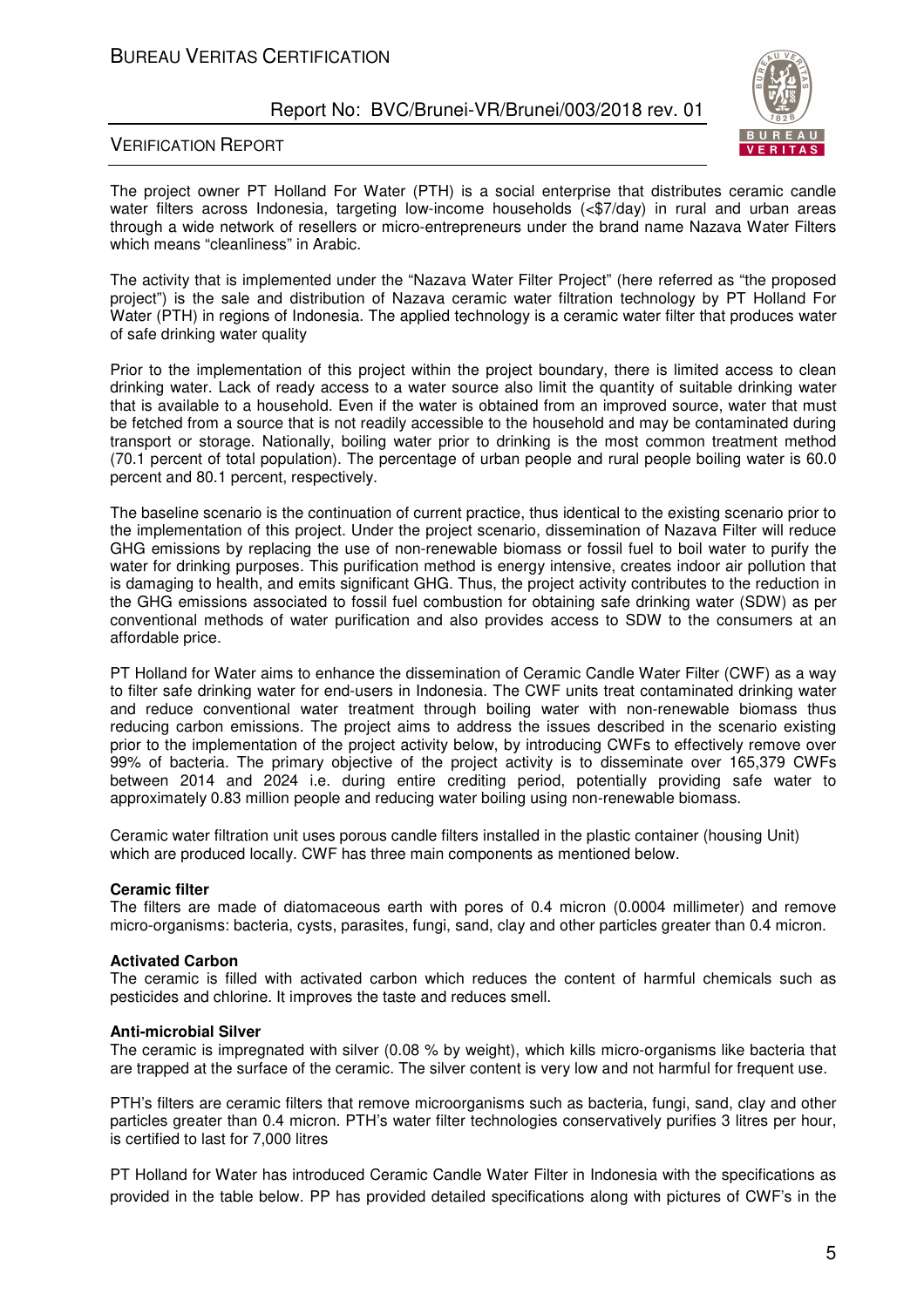

#### VERIFICATION REPORT

The project owner PT Holland For Water (PTH) is a social enterprise that distributes ceramic candle water filters across Indonesia, targeting low-income households (<\$7/day) in rural and urban areas through a wide network of resellers or micro-entrepreneurs under the brand name Nazava Water Filters which means "cleanliness" in Arabic.

The activity that is implemented under the "Nazava Water Filter Project" (here referred as "the proposed project") is the sale and distribution of Nazava ceramic water filtration technology by PT Holland For Water (PTH) in regions of Indonesia. The applied technology is a ceramic water filter that produces water of safe drinking water quality

Prior to the implementation of this project within the project boundary, there is limited access to clean drinking water. Lack of ready access to a water source also limit the quantity of suitable drinking water that is available to a household. Even if the water is obtained from an improved source, water that must be fetched from a source that is not readily accessible to the household and may be contaminated during transport or storage. Nationally, boiling water prior to drinking is the most common treatment method (70.1 percent of total population). The percentage of urban people and rural people boiling water is 60.0 percent and 80.1 percent, respectively.

The baseline scenario is the continuation of current practice, thus identical to the existing scenario prior to the implementation of this project. Under the project scenario, dissemination of Nazava Filter will reduce GHG emissions by replacing the use of non-renewable biomass or fossil fuel to boil water to purify the water for drinking purposes. This purification method is energy intensive, creates indoor air pollution that is damaging to health, and emits significant GHG. Thus, the project activity contributes to the reduction in the GHG emissions associated to fossil fuel combustion for obtaining safe drinking water (SDW) as per conventional methods of water purification and also provides access to SDW to the consumers at an affordable price.

PT Holland for Water aims to enhance the dissemination of Ceramic Candle Water Filter (CWF) as a way to filter safe drinking water for end-users in Indonesia. The CWF units treat contaminated drinking water and reduce conventional water treatment through boiling water with non-renewable biomass thus reducing carbon emissions. The project aims to address the issues described in the scenario existing prior to the implementation of the project activity below, by introducing CWFs to effectively remove over 99% of bacteria. The primary objective of the project activity is to disseminate over 165,379 CWFs between 2014 and 2024 i.e. during entire crediting period, potentially providing safe water to approximately 0.83 million people and reducing water boiling using non-renewable biomass.

Ceramic water filtration unit uses porous candle filters installed in the plastic container (housing Unit) which are produced locally. CWF has three main components as mentioned below.

#### **Ceramic filter**

The filters are made of diatomaceous earth with pores of 0.4 micron (0.0004 millimeter) and remove micro-organisms: bacteria, cysts, parasites, fungi, sand, clay and other particles greater than 0.4 micron.

#### **Activated Carbon**

The ceramic is filled with activated carbon which reduces the content of harmful chemicals such as pesticides and chlorine. It improves the taste and reduces smell.

#### **Anti-microbial Silver**

The ceramic is impregnated with silver (0.08 % by weight), which kills micro-organisms like bacteria that are trapped at the surface of the ceramic. The silver content is very low and not harmful for frequent use.

PTH's filters are ceramic filters that remove microorganisms such as bacteria, fungi, sand, clay and other particles greater than 0.4 micron. PTH's water filter technologies conservatively purifies 3 litres per hour, is certified to last for 7,000 litres

PT Holland for Water has introduced Ceramic Candle Water Filter in Indonesia with the specifications as provided in the table below. PP has provided detailed specifications along with pictures of CWF's in the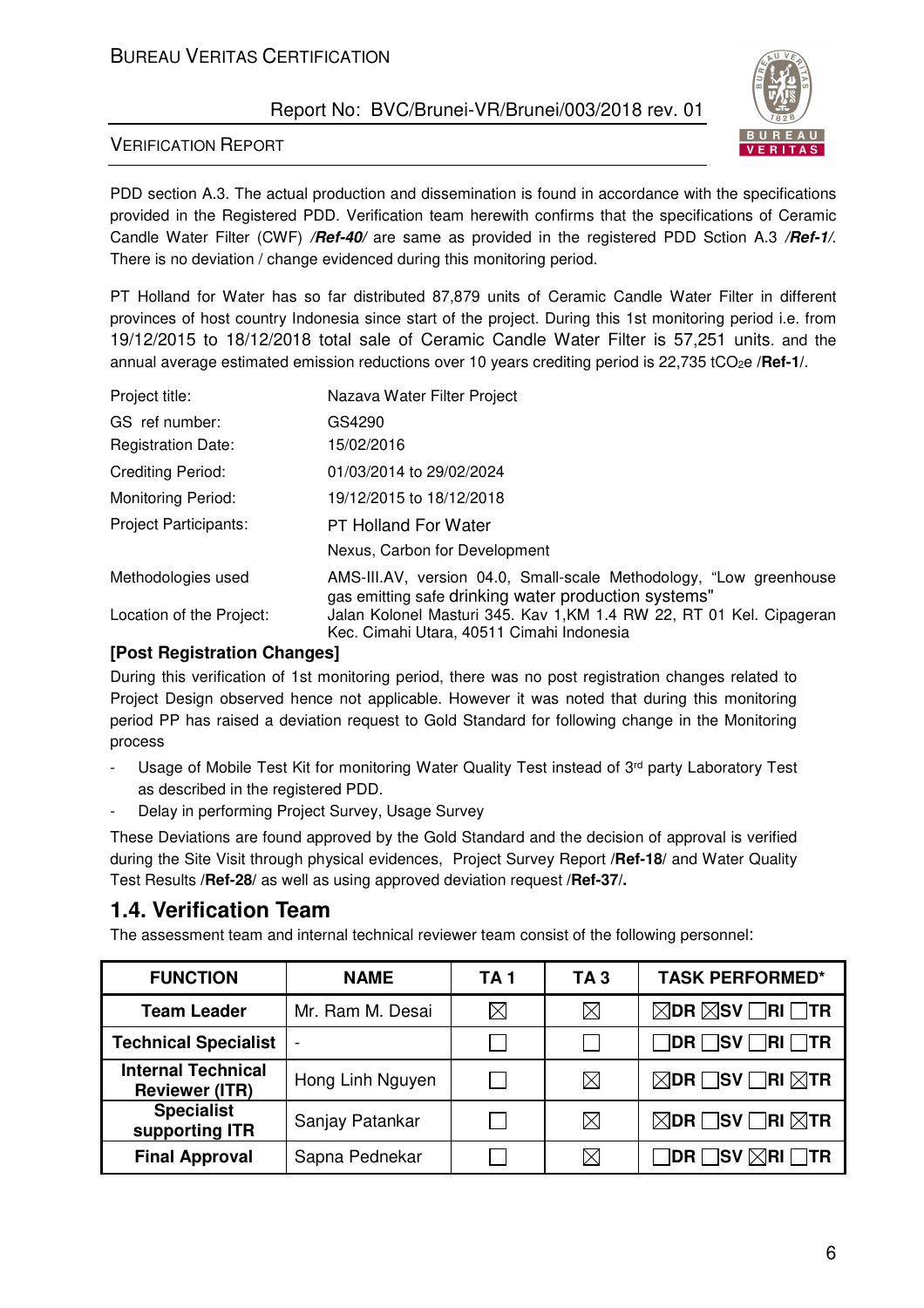## BUREAU VERITAS CERTIFICATION

## Report No: BVC/Brunei-VR/Brunei/003/2018 rev. 01



#### VERIFICATION REPORT

PDD section A.3. The actual production and dissemination is found in accordance with the specifications provided in the Registered PDD. Verification team herewith confirms that the specifications of Ceramic Candle Water Filter (CWF) */Ref-40/* are same as provided in the registered PDD Sction A.3 */Ref-1/*. There is no deviation / change evidenced during this monitoring period.

PT Holland for Water has so far distributed 87,879 units of Ceramic Candle Water Filter in different provinces of host country Indonesia since start of the project. During this 1st monitoring period i.e. from 19/12/2015 to 18/12/2018 total sale of Ceramic Candle Water Filter is 57,251 units. and the annual average estimated emission reductions over 10 years crediting period is 22,735 tCO<sub>2</sub>e /**Ref-1**/.

| Project title:               | Nazava Water Filter Project                                                                                                |
|------------------------------|----------------------------------------------------------------------------------------------------------------------------|
| GS ref number:               | GS4290                                                                                                                     |
| <b>Registration Date:</b>    | 15/02/2016                                                                                                                 |
| Crediting Period:            | 01/03/2014 to 29/02/2024                                                                                                   |
| <b>Monitoring Period:</b>    | 19/12/2015 to 18/12/2018                                                                                                   |
| <b>Project Participants:</b> | <b>PT Holland For Water</b>                                                                                                |
|                              | Nexus, Carbon for Development                                                                                              |
| Methodologies used           | AMS-III.AV, version 04.0, Small-scale Methodology, "Low greenhouse<br>gas emitting safe drinking water production systems" |
| Location of the Project:     | Jalan Kolonel Masturi 345. Kav 1, KM 1.4 RW 22, RT 01 Kel. Cipageran<br>Kec. Cimahi Utara, 40511 Cimahi Indonesia          |

#### **[Post Registration Changes]**

During this verification of 1st monitoring period, there was no post registration changes related to Project Design observed hence not applicable. However it was noted that during this monitoring period PP has raised a deviation request to Gold Standard for following change in the Monitoring process

- Usage of Mobile Test Kit for monitoring Water Quality Test instead of 3rd party Laboratory Test as described in the registered PDD.
- Delay in performing Project Survey, Usage Survey

These Deviations are found approved by the Gold Standard and the decision of approval is verified during the Site Visit through physical evidences, Project Survey Report **/Ref-18/** and Water Quality Test Results **/Ref-28/** as well as using approved deviation request **/Ref-37/.**

## **1.4. Verification Team**

The assessment team and internal technical reviewer team consist of the following personnel:

| <b>FUNCTION</b><br><b>NAME</b>                     |                          | TA 1        | TA 3        | <b>TASK PERFORMED*</b>                            |
|----------------------------------------------------|--------------------------|-------------|-------------|---------------------------------------------------|
| <b>Team Leader</b>                                 | Mr. Ram M. Desai         | $\boxtimes$ | $\boxtimes$ | $\boxtimes$ DR $\boxtimes$ SV $\Box$ RI $\Box$ TR |
| <b>Technical Specialist</b>                        | $\overline{\phantom{a}}$ |             |             | DR SV RI TR                                       |
| <b>Internal Technical</b><br><b>Reviewer (ITR)</b> | Hong Linh Nguyen         |             | $\boxtimes$ | $\boxtimes$ DR $\Box$ SV $\Box$ RI $\boxtimes$ TR |
| <b>Specialist</b><br>supporting ITR                | Sanjay Patankar          |             | $\boxtimes$ | $\boxtimes$ DR $\Box$ SV $\Box$ RI $\boxtimes$ TR |
| <b>Final Approval</b>                              | Sapna Pednekar           |             | $\times$    | $\Box$ dr $\Box$ sv $\boxtimes$ ri $\Box$ tr      |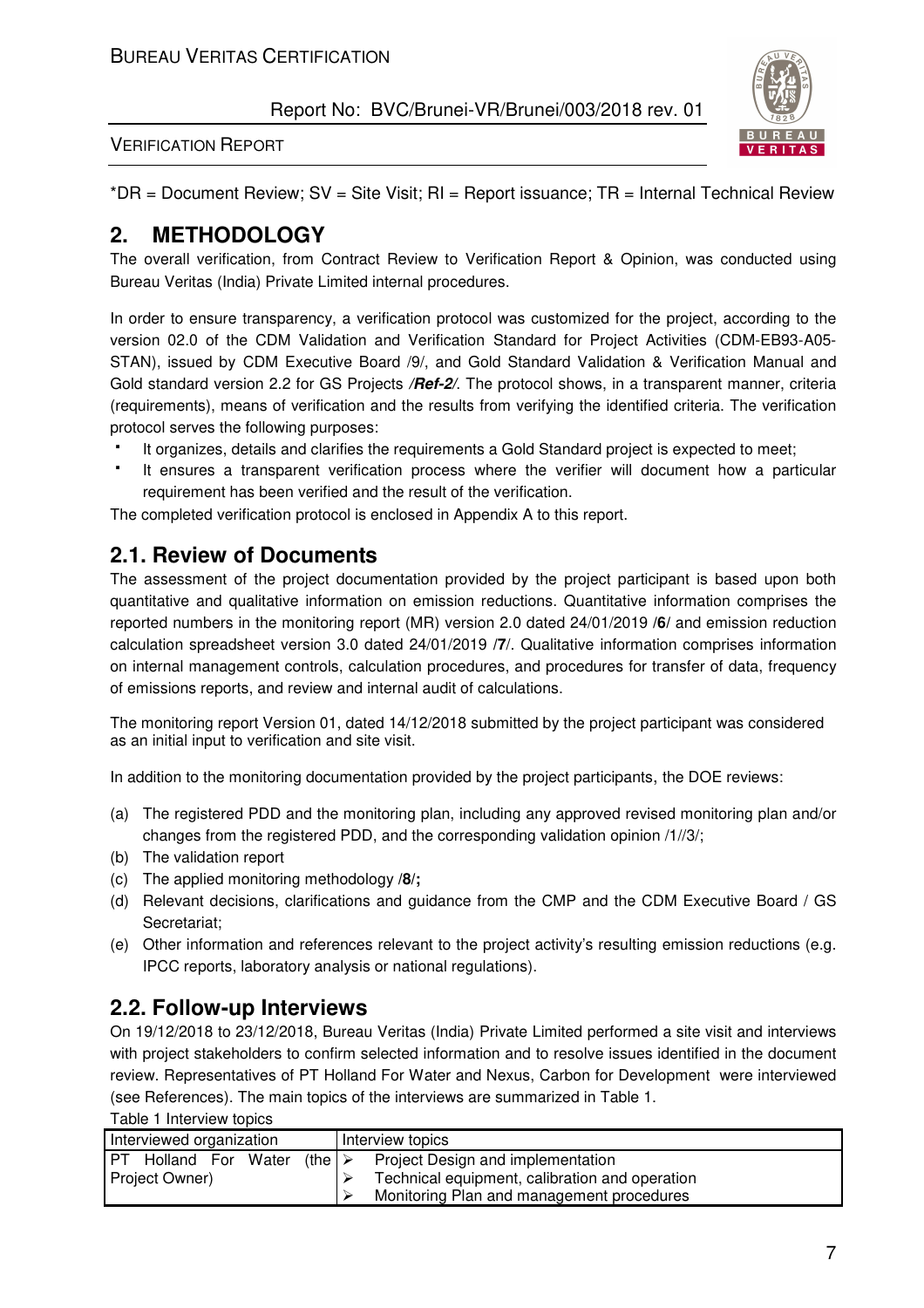

#### VERIFICATION REPORT

 $*$ DR = Document Review; SV = Site Visit; RI = Report issuance; TR = Internal Technical Review

## **2. METHODOLOGY**

The overall verification, from Contract Review to Verification Report & Opinion, was conducted using Bureau Veritas (India) Private Limited internal procedures.

In order to ensure transparency, a verification protocol was customized for the project, according to the version 02.0 of the CDM Validation and Verification Standard for Project Activities (CDM-EB93-A05- STAN), issued by CDM Executive Board /9/, and Gold Standard Validation & Verification Manual and Gold standard version 2.2 for GS Projects */Ref-2/*. The protocol shows, in a transparent manner, criteria (requirements), means of verification and the results from verifying the identified criteria. The verification protocol serves the following purposes:

It organizes, details and clarifies the requirements a Gold Standard project is expected to meet;

 It ensures a transparent verification process where the verifier will document how a particular requirement has been verified and the result of the verification.

The completed verification protocol is enclosed in Appendix A to this report.

## **2.1. Review of Documents**

The assessment of the project documentation provided by the project participant is based upon both quantitative and qualitative information on emission reductions. Quantitative information comprises the reported numbers in the monitoring report (MR) version 2.0 dated 24/01/2019 **/6/** and emission reduction calculation spreadsheet version 3.0 dated 24/01/2019 **/7**/. Qualitative information comprises information on internal management controls, calculation procedures, and procedures for transfer of data, frequency of emissions reports, and review and internal audit of calculations.

The monitoring report Version 01, dated 14/12/2018 submitted by the project participant was considered as an initial input to verification and site visit.

In addition to the monitoring documentation provided by the project participants, the DOE reviews:

- (a) The registered PDD and the monitoring plan, including any approved revised monitoring plan and/or changes from the registered PDD, and the corresponding validation opinion /1//3/;
- (b) The validation report
- (c) The applied monitoring methodology **/8/;**
- (d) Relevant decisions, clarifications and guidance from the CMP and the CDM Executive Board / GS Secretariat;
- (e) Other information and references relevant to the project activity's resulting emission reductions (e.g. IPCC reports, laboratory analysis or national regulations).

## **2.2. Follow-up Interviews**

On 19/12/2018 to 23/12/2018, Bureau Veritas (India) Private Limited performed a site visit and interviews with project stakeholders to confirm selected information and to resolve issues identified in the document review. Representatives of PT Holland For Water and Nexus, Carbon for Development were interviewed (see References). The main topics of the interviews are summarized in Table 1.

Table 1 Interview topics

| Interviewed organization                             | Interview topics                  |                                                |  |
|------------------------------------------------------|-----------------------------------|------------------------------------------------|--|
| <b>PT</b> Holland For Water<br>(the $\triangleright$ | Project Design and implementation |                                                |  |
| Project Owner)                                       |                                   | Technical equipment, calibration and operation |  |
|                                                      |                                   | Monitoring Plan and management procedures      |  |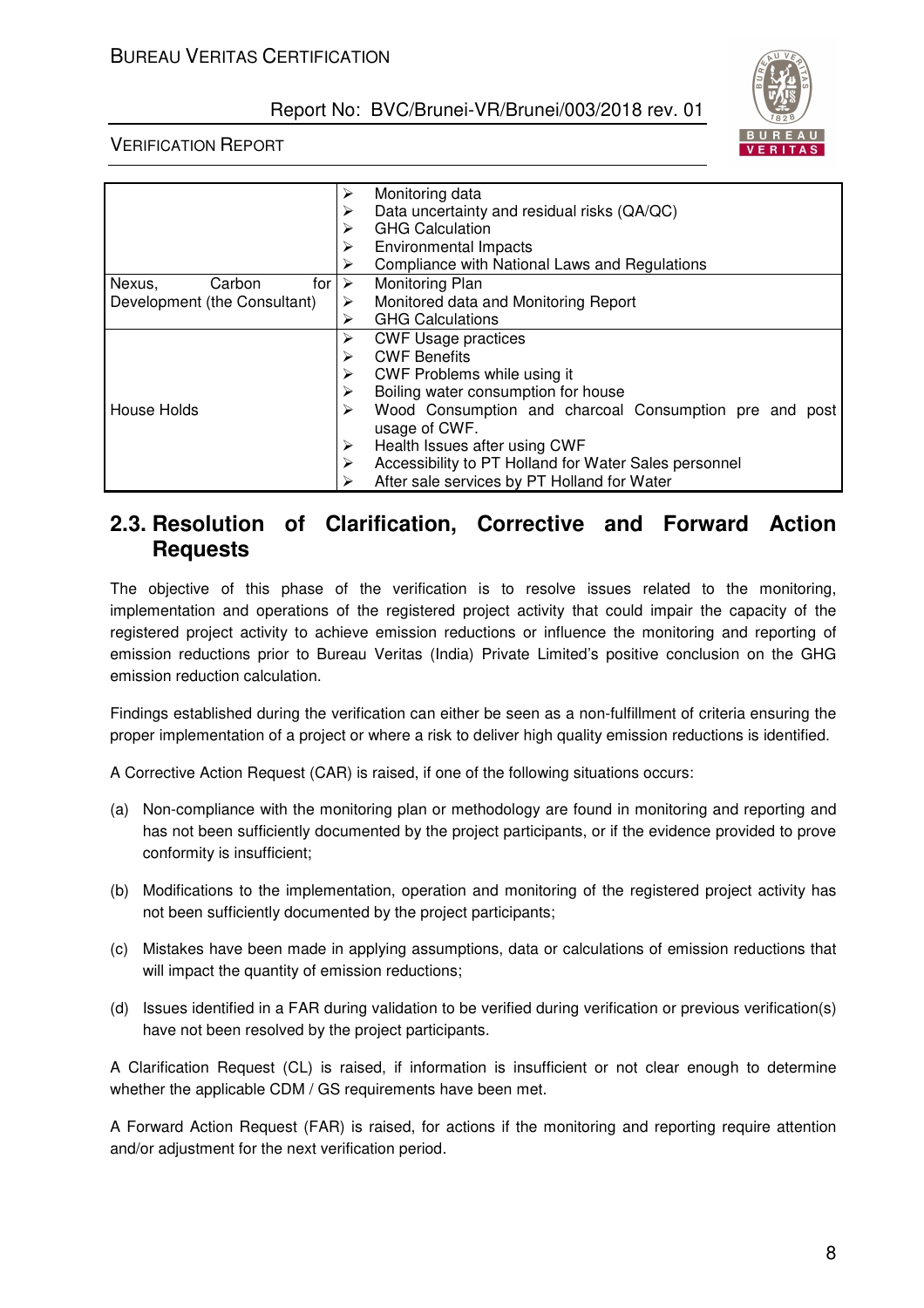



## VERIFICATION REPORT

|                                          | Monitoring data<br>➤<br>Data uncertainty and residual risks (QA/QC)<br>⋗<br><b>GHG Calculation</b><br>≻<br><b>Environmental Impacts</b><br>➤<br>Compliance with National Laws and Regulations<br>⋗ |
|------------------------------------------|----------------------------------------------------------------------------------------------------------------------------------------------------------------------------------------------------|
| for $\triangleright$<br>Nexus,<br>Carbon | Monitoring Plan                                                                                                                                                                                    |
| Development (the Consultant)             | Monitored data and Monitoring Report<br>$\blacktriangleright$                                                                                                                                      |
|                                          | <b>GHG Calculations</b><br>≻                                                                                                                                                                       |
|                                          | <b>CWF Usage practices</b><br>≻                                                                                                                                                                    |
|                                          | <b>CWF Benefits</b><br>➤                                                                                                                                                                           |
|                                          | CWF Problems while using it<br>➤                                                                                                                                                                   |
|                                          | Boiling water consumption for house<br>≻                                                                                                                                                           |
| House Holds                              | Wood Consumption and charcoal Consumption pre and post<br>≻                                                                                                                                        |
|                                          | usage of CWF.                                                                                                                                                                                      |
|                                          | Health Issues after using CWF<br>➤                                                                                                                                                                 |
|                                          | Accessibility to PT Holland for Water Sales personnel<br>➤                                                                                                                                         |
|                                          | After sale services by PT Holland for Water                                                                                                                                                        |

## **2.3. Resolution of Clarification, Corrective and Forward Action Requests**

The objective of this phase of the verification is to resolve issues related to the monitoring, implementation and operations of the registered project activity that could impair the capacity of the registered project activity to achieve emission reductions or influence the monitoring and reporting of emission reductions prior to Bureau Veritas (India) Private Limited's positive conclusion on the GHG emission reduction calculation.

Findings established during the verification can either be seen as a non-fulfillment of criteria ensuring the proper implementation of a project or where a risk to deliver high quality emission reductions is identified.

A Corrective Action Request (CAR) is raised, if one of the following situations occurs:

- (a) Non-compliance with the monitoring plan or methodology are found in monitoring and reporting and has not been sufficiently documented by the project participants, or if the evidence provided to prove conformity is insufficient;
- (b) Modifications to the implementation, operation and monitoring of the registered project activity has not been sufficiently documented by the project participants;
- (c) Mistakes have been made in applying assumptions, data or calculations of emission reductions that will impact the quantity of emission reductions;
- (d) Issues identified in a FAR during validation to be verified during verification or previous verification(s) have not been resolved by the project participants.

A Clarification Request (CL) is raised, if information is insufficient or not clear enough to determine whether the applicable CDM / GS requirements have been met.

A Forward Action Request (FAR) is raised, for actions if the monitoring and reporting require attention and/or adjustment for the next verification period.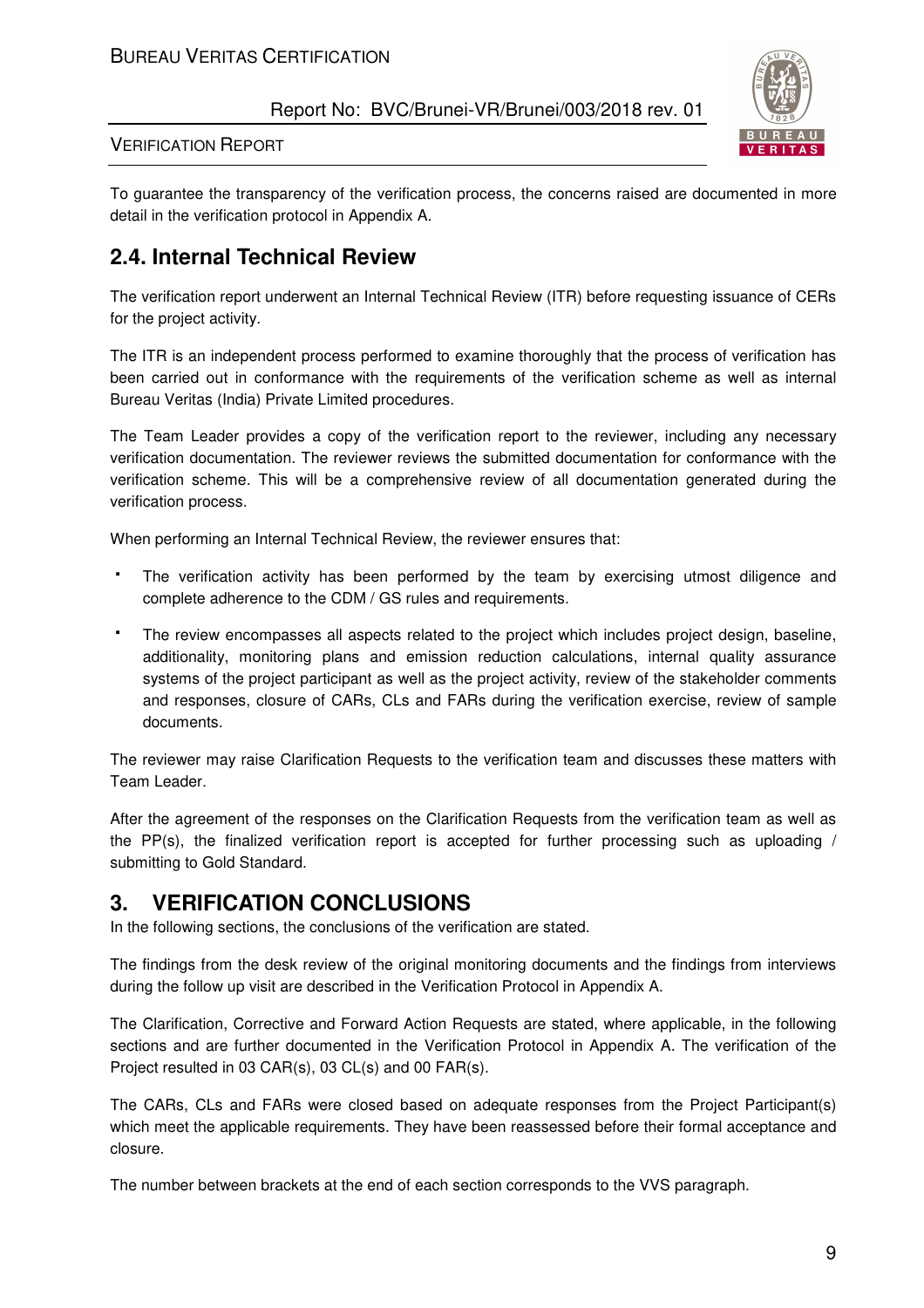

VERIFICATION REPORT

To guarantee the transparency of the verification process, the concerns raised are documented in more detail in the verification protocol in Appendix A.

# **2.4. Internal Technical Review**

The verification report underwent an Internal Technical Review (ITR) before requesting issuance of CERs for the project activity.

The ITR is an independent process performed to examine thoroughly that the process of verification has been carried out in conformance with the requirements of the verification scheme as well as internal Bureau Veritas (India) Private Limited procedures.

The Team Leader provides a copy of the verification report to the reviewer, including any necessary verification documentation. The reviewer reviews the submitted documentation for conformance with the verification scheme. This will be a comprehensive review of all documentation generated during the verification process.

When performing an Internal Technical Review, the reviewer ensures that:

 The verification activity has been performed by the team by exercising utmost diligence and complete adherence to the CDM / GS rules and requirements.

 The review encompasses all aspects related to the project which includes project design, baseline, additionality, monitoring plans and emission reduction calculations, internal quality assurance systems of the project participant as well as the project activity, review of the stakeholder comments and responses, closure of CARs, CLs and FARs during the verification exercise, review of sample documents.

The reviewer may raise Clarification Requests to the verification team and discusses these matters with Team Leader.

After the agreement of the responses on the Clarification Requests from the verification team as well as the PP(s), the finalized verification report is accepted for further processing such as uploading / submitting to Gold Standard.

# **3. VERIFICATION CONCLUSIONS**

In the following sections, the conclusions of the verification are stated.

The findings from the desk review of the original monitoring documents and the findings from interviews during the follow up visit are described in the Verification Protocol in Appendix A.

The Clarification, Corrective and Forward Action Requests are stated, where applicable, in the following sections and are further documented in the Verification Protocol in Appendix A. The verification of the Project resulted in 03 CAR(s), 03 CL(s) and 00 FAR(s).

The CARs, CLs and FARs were closed based on adequate responses from the Project Participant(s) which meet the applicable requirements. They have been reassessed before their formal acceptance and closure.

The number between brackets at the end of each section corresponds to the VVS paragraph.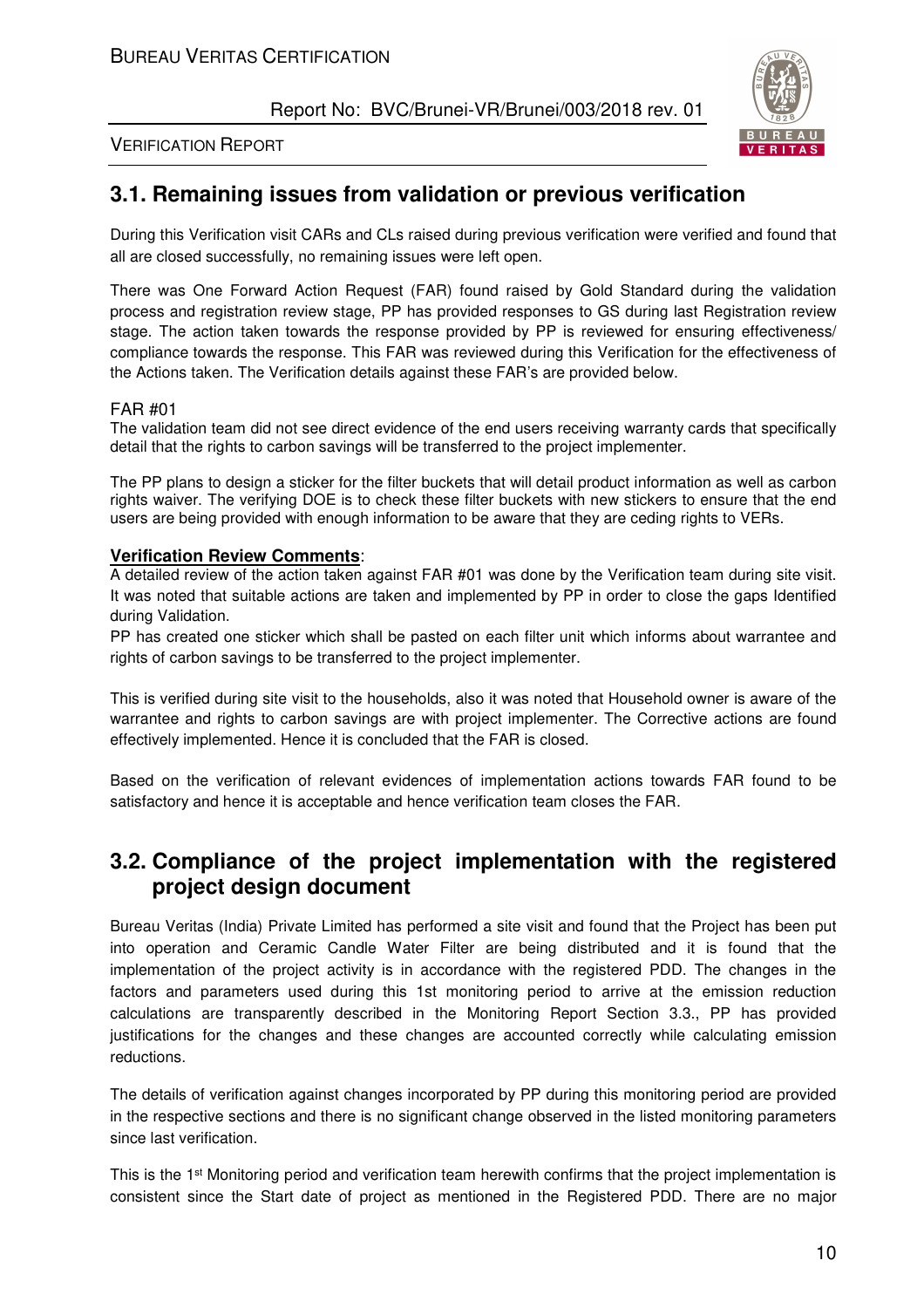

#### VERIFICATION REPORT

## **3.1. Remaining issues from validation or previous verification**

During this Verification visit CARs and CLs raised during previous verification were verified and found that all are closed successfully, no remaining issues were left open.

There was One Forward Action Request (FAR) found raised by Gold Standard during the validation process and registration review stage, PP has provided responses to GS during last Registration review stage. The action taken towards the response provided by PP is reviewed for ensuring effectiveness/ compliance towards the response. This FAR was reviewed during this Verification for the effectiveness of the Actions taken. The Verification details against these FAR's are provided below.

#### FAR #01

The validation team did not see direct evidence of the end users receiving warranty cards that specifically detail that the rights to carbon savings will be transferred to the project implementer.

The PP plans to design a sticker for the filter buckets that will detail product information as well as carbon rights waiver. The verifying DOE is to check these filter buckets with new stickers to ensure that the end users are being provided with enough information to be aware that they are ceding rights to VERs.

#### **Verification Review Comments**:

A detailed review of the action taken against FAR #01 was done by the Verification team during site visit. It was noted that suitable actions are taken and implemented by PP in order to close the gaps Identified during Validation.

PP has created one sticker which shall be pasted on each filter unit which informs about warrantee and rights of carbon savings to be transferred to the project implementer.

This is verified during site visit to the households, also it was noted that Household owner is aware of the warrantee and rights to carbon savings are with project implementer. The Corrective actions are found effectively implemented. Hence it is concluded that the FAR is closed.

Based on the verification of relevant evidences of implementation actions towards FAR found to be satisfactory and hence it is acceptable and hence verification team closes the FAR.

## **3.2. Compliance of the project implementation with the registered project design document**

Bureau Veritas (India) Private Limited has performed a site visit and found that the Project has been put into operation and Ceramic Candle Water Filter are being distributed and it is found that the implementation of the project activity is in accordance with the registered PDD. The changes in the factors and parameters used during this 1st monitoring period to arrive at the emission reduction calculations are transparently described in the Monitoring Report Section 3.3., PP has provided justifications for the changes and these changes are accounted correctly while calculating emission reductions.

The details of verification against changes incorporated by PP during this monitoring period are provided in the respective sections and there is no significant change observed in the listed monitoring parameters since last verification.

This is the 1st Monitoring period and verification team herewith confirms that the project implementation is consistent since the Start date of project as mentioned in the Registered PDD. There are no major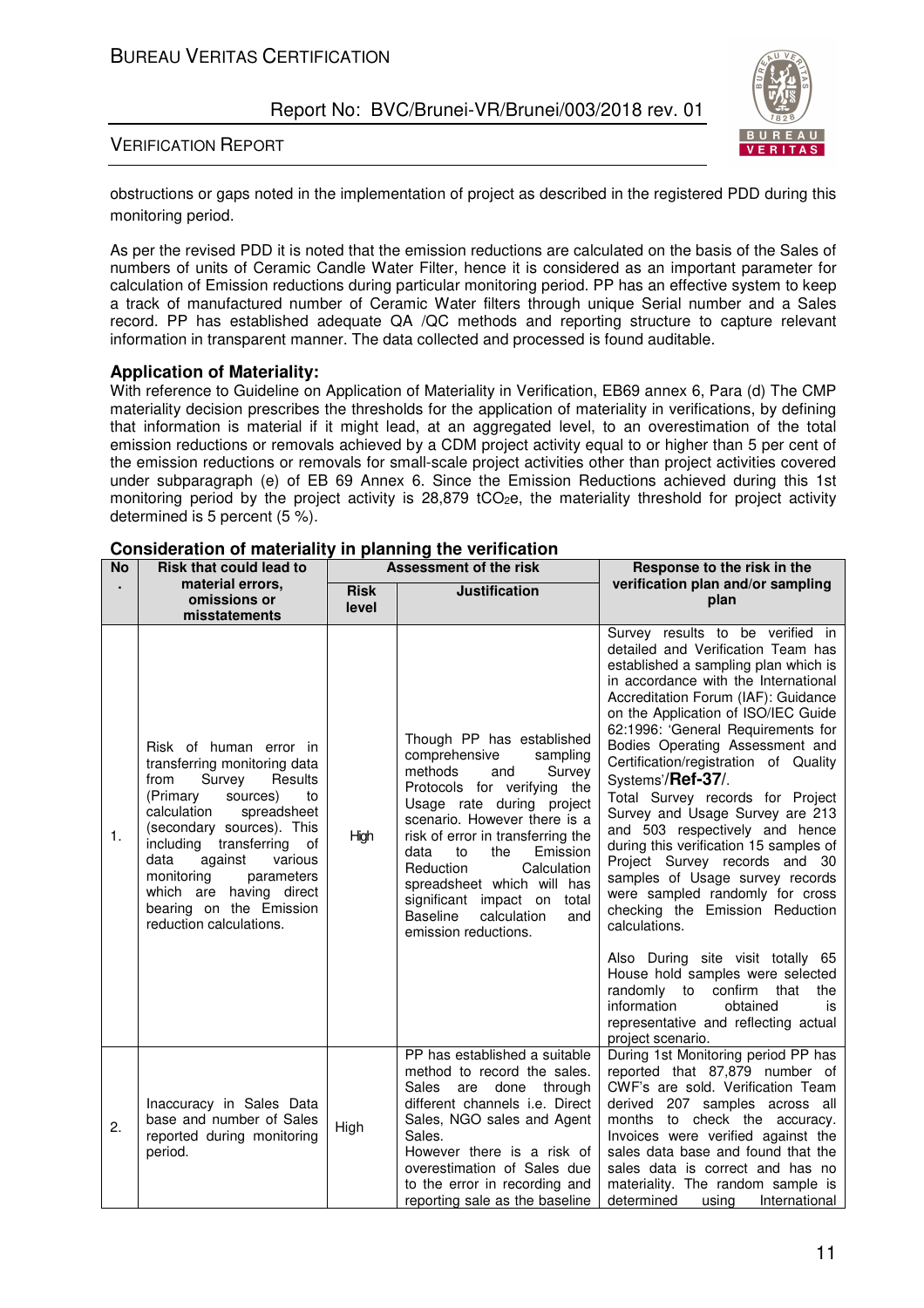

#### VERIFICATION REPORT

obstructions or gaps noted in the implementation of project as described in the registered PDD during this monitoring period.

As per the revised PDD it is noted that the emission reductions are calculated on the basis of the Sales of numbers of units of Ceramic Candle Water Filter, hence it is considered as an important parameter for calculation of Emission reductions during particular monitoring period. PP has an effective system to keep a track of manufactured number of Ceramic Water filters through unique Serial number and a Sales record. PP has established adequate QA /QC methods and reporting structure to capture relevant information in transparent manner. The data collected and processed is found auditable.

#### **Application of Materiality:**

With reference to Guideline on Application of Materiality in Verification, EB69 annex 6, Para (d) The CMP materiality decision prescribes the thresholds for the application of materiality in verifications, by defining that information is material if it might lead, at an aggregated level, to an overestimation of the total emission reductions or removals achieved by a CDM project activity equal to or higher than 5 per cent of the emission reductions or removals for small-scale project activities other than project activities covered under subparagraph (e) of EB 69 Annex 6. Since the Emission Reductions achieved during this 1st monitoring period by the project activity is  $28,879$  tCO<sub>2</sub>e, the materiality threshold for project activity determined is 5 percent (5 %).

| <b>No</b><br><b>Risk that could lead to</b> |                                                                                                                                                                                                                                                                                                                                                         | Assessment of the risk                       |                                                                                                                                                                                                                                                                                                                                                                                                                | Response to the risk in the                                                                                                                                                                                                                                                                                                                                                                                                                                                                                                                                                                                                                                                                                                    |  |
|---------------------------------------------|---------------------------------------------------------------------------------------------------------------------------------------------------------------------------------------------------------------------------------------------------------------------------------------------------------------------------------------------------------|----------------------------------------------|----------------------------------------------------------------------------------------------------------------------------------------------------------------------------------------------------------------------------------------------------------------------------------------------------------------------------------------------------------------------------------------------------------------|--------------------------------------------------------------------------------------------------------------------------------------------------------------------------------------------------------------------------------------------------------------------------------------------------------------------------------------------------------------------------------------------------------------------------------------------------------------------------------------------------------------------------------------------------------------------------------------------------------------------------------------------------------------------------------------------------------------------------------|--|
|                                             | material errors,<br>omissions or<br>misstatements                                                                                                                                                                                                                                                                                                       | <b>Risk</b><br><b>Justification</b><br>level |                                                                                                                                                                                                                                                                                                                                                                                                                | verification plan and/or sampling<br>plan                                                                                                                                                                                                                                                                                                                                                                                                                                                                                                                                                                                                                                                                                      |  |
| 1.                                          | Risk of human error in<br>transferring monitoring data<br>Survey<br>from<br>Results<br>(Primary<br>sources)<br>to<br>calculation<br>spreadsheet<br>(secondary sources). This<br>including<br>transferring of<br>data<br>against<br>various<br>monitoring<br>parameters<br>which are having direct<br>bearing on the Emission<br>reduction calculations. | High                                         | Though PP has established<br>comprehensive<br>sampling<br>methods<br>Survey<br>and<br>Protocols for verifying the<br>Usage rate during project<br>scenario. However there is a<br>risk of error in transferring the<br>the<br>Emission<br>data<br>to<br>Reduction<br>Calculation<br>spreadsheet which will has<br>significant impact on total<br><b>Baseline</b><br>calculation<br>and<br>emission reductions. | Survey results to be verified in<br>detailed and Verification Team has<br>established a sampling plan which is<br>in accordance with the International<br>Accreditation Forum (IAF): Guidance<br>on the Application of ISO/IEC Guide<br>62:1996: 'General Requirements for<br>Bodies Operating Assessment and<br>Certification/registration of Quality<br>Systems'/Ref-37/.<br>Total Survey records for Project<br>Survey and Usage Survey are 213<br>and 503 respectively and hence<br>during this verification 15 samples of<br>Project Survey records and 30<br>samples of Usage survey records<br>were sampled randomly for cross<br>checking the Emission Reduction<br>calculations.<br>Also During site visit totally 65 |  |
|                                             |                                                                                                                                                                                                                                                                                                                                                         |                                              |                                                                                                                                                                                                                                                                                                                                                                                                                | House hold samples were selected<br>randomly to confirm<br>that<br>the<br>information<br>obtained<br>is<br>representative and reflecting actual<br>project scenario.                                                                                                                                                                                                                                                                                                                                                                                                                                                                                                                                                           |  |
| 2.                                          | Inaccuracy in Sales Data<br>base and number of Sales<br>reported during monitoring<br>period.                                                                                                                                                                                                                                                           | High                                         | PP has established a suitable<br>method to record the sales.<br><b>Sales</b><br>done<br>through<br>are<br>different channels <i>i.e.</i> Direct<br>Sales, NGO sales and Agent<br>Sales.<br>However there is a risk of<br>overestimation of Sales due<br>to the error in recording and<br>reporting sale as the baseline                                                                                        | During 1st Monitoring period PP has<br>reported that 87,879 number of<br>CWF's are sold. Verification Team<br>derived 207 samples across all<br>months to check the accuracy.<br>Invoices were verified against the<br>sales data base and found that the<br>sales data is correct and has no<br>materiality. The random sample is<br>determined<br>International<br>using                                                                                                                                                                                                                                                                                                                                                     |  |

#### **Consideration of materiality in planning the verification**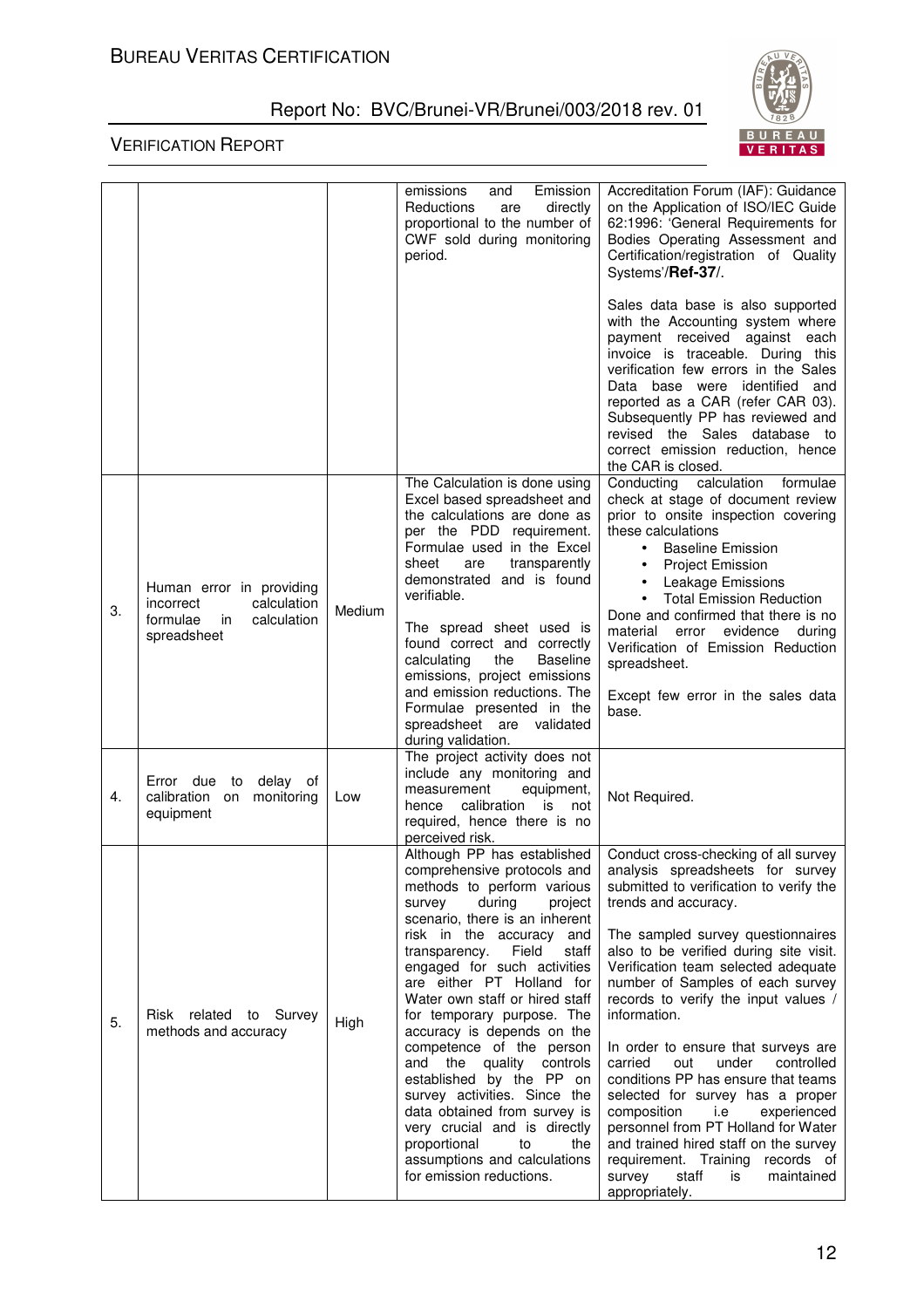

|    |                                                                                                       |        | Emission<br>emissions<br>and<br>Reductions<br>directly<br>are<br>proportional to the number of<br>CWF sold during monitoring<br>period.                                                                                                                                                                                                                                                                                                                                                                                                                                                                                                                         | Accreditation Forum (IAF): Guidance<br>on the Application of ISO/IEC Guide<br>62:1996: 'General Requirements for<br>Bodies Operating Assessment and<br>Certification/registration of Quality<br>Systems'/Ref-37/.                                                                                                                                                                                                                                                                                                                                                                                                                                                                                                                          |
|----|-------------------------------------------------------------------------------------------------------|--------|-----------------------------------------------------------------------------------------------------------------------------------------------------------------------------------------------------------------------------------------------------------------------------------------------------------------------------------------------------------------------------------------------------------------------------------------------------------------------------------------------------------------------------------------------------------------------------------------------------------------------------------------------------------------|--------------------------------------------------------------------------------------------------------------------------------------------------------------------------------------------------------------------------------------------------------------------------------------------------------------------------------------------------------------------------------------------------------------------------------------------------------------------------------------------------------------------------------------------------------------------------------------------------------------------------------------------------------------------------------------------------------------------------------------------|
|    |                                                                                                       |        |                                                                                                                                                                                                                                                                                                                                                                                                                                                                                                                                                                                                                                                                 | Sales data base is also supported<br>with the Accounting system where<br>payment received against each<br>invoice is traceable. During this<br>verification few errors in the Sales<br>Data base were identified and<br>reported as a CAR (refer CAR 03).<br>Subsequently PP has reviewed and<br>revised the Sales database to<br>correct emission reduction, hence<br>the CAR is closed.                                                                                                                                                                                                                                                                                                                                                  |
| 3. | Human error in providing<br>calculation<br>incorrect<br>formulae<br>calculation<br>in.<br>spreadsheet | Medium | The Calculation is done using<br>Excel based spreadsheet and<br>the calculations are done as<br>per the PDD requirement.<br>Formulae used in the Excel<br>sheet<br>transparently<br>are<br>demonstrated and is found<br>verifiable.<br>The spread sheet used is<br>found correct and correctly<br>calculating<br>the<br><b>Baseline</b><br>emissions, project emissions<br>and emission reductions. The<br>Formulae presented in the<br>spreadsheet are validated<br>during validation.                                                                                                                                                                         | Conducting<br>calculation<br>formulae<br>check at stage of document review<br>prior to onsite inspection covering<br>these calculations<br><b>Baseline Emission</b><br>$\bullet$<br><b>Project Emission</b><br>$\bullet$<br>Leakage Emissions<br>$\bullet$<br><b>Total Emission Reduction</b><br>$\bullet$<br>Done and confirmed that there is no<br>material<br>error evidence<br>during<br>Verification of Emission Reduction<br>spreadsheet.<br>Except few error in the sales data<br>base.                                                                                                                                                                                                                                             |
| 4. | Error due to<br>delay of<br>calibration on monitoring<br>equipment                                    | Low    | The project activity does not<br>include any monitoring and<br>measurement<br>equipment,<br>calibration is<br>hence<br>not<br>required, hence there is no<br>perceived risk.                                                                                                                                                                                                                                                                                                                                                                                                                                                                                    | Not Required.                                                                                                                                                                                                                                                                                                                                                                                                                                                                                                                                                                                                                                                                                                                              |
| 5. | Risk related to Survey<br>methods and accuracy                                                        | High   | Although PP has established<br>comprehensive protocols and<br>methods to perform various<br>during<br>survey<br>project<br>scenario, there is an inherent<br>risk in the accuracy and<br>Field<br>transparency.<br>staff<br>engaged for such activities<br>are either PT Holland for<br>Water own staff or hired staff<br>for temporary purpose. The<br>accuracy is depends on the<br>competence of the person<br>and the quality controls<br>established by the PP on<br>survey activities. Since the<br>data obtained from survey is<br>very crucial and is directly<br>proportional<br>to<br>the<br>assumptions and calculations<br>for emission reductions. | Conduct cross-checking of all survey<br>analysis spreadsheets for survey<br>submitted to verification to verify the<br>trends and accuracy.<br>The sampled survey questionnaires<br>also to be verified during site visit.<br>Verification team selected adequate<br>number of Samples of each survey<br>records to verify the input values /<br>information.<br>In order to ensure that surveys are<br>controlled<br>carried<br>out<br>under<br>conditions PP has ensure that teams<br>selected for survey has a proper<br>composition<br>experienced<br>i.e<br>personnel from PT Holland for Water<br>and trained hired staff on the survey<br>requirement. Training records of<br>staff<br>maintained<br>survey<br>is<br>appropriately. |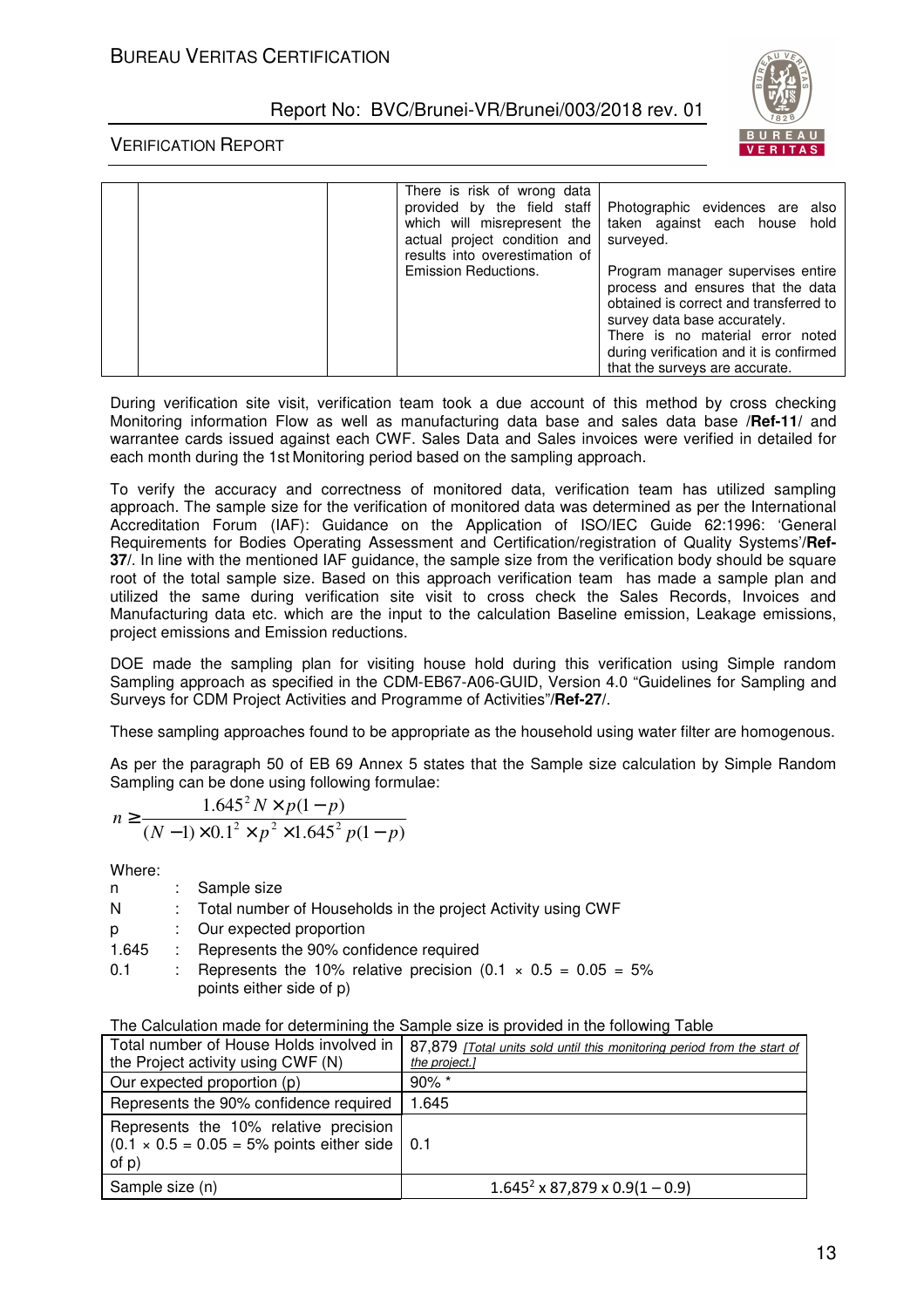

#### VERIFICATION REPORT

| There is risk of wrong data<br>provided by the field staff<br>actual project condition and<br>results into overestimation of<br>Emission Reductions. | Photographic evidences are also<br>which will misrepresent the   taken against each house hold<br>surveyed.<br>Program manager supervises entire<br>process and ensures that the data<br>obtained is correct and transferred to<br>survey data base accurately.<br>There is no material error noted<br>during verification and it is confirmed<br>that the surveys are accurate. |
|------------------------------------------------------------------------------------------------------------------------------------------------------|----------------------------------------------------------------------------------------------------------------------------------------------------------------------------------------------------------------------------------------------------------------------------------------------------------------------------------------------------------------------------------|
|------------------------------------------------------------------------------------------------------------------------------------------------------|----------------------------------------------------------------------------------------------------------------------------------------------------------------------------------------------------------------------------------------------------------------------------------------------------------------------------------------------------------------------------------|

During verification site visit, verification team took a due account of this method by cross checking Monitoring information Flow as well as manufacturing data base and sales data base **/Ref-11/** and warrantee cards issued against each CWF. Sales Data and Sales invoices were verified in detailed for each month during the 1st Monitoring period based on the sampling approach.

To verify the accuracy and correctness of monitored data, verification team has utilized sampling approach. The sample size for the verification of monitored data was determined as per the International Accreditation Forum (IAF): Guidance on the Application of ISO/IEC Guide 62:1996: 'General Requirements for Bodies Operating Assessment and Certification/registration of Quality Systems'**/Ref-37/**. In line with the mentioned IAF guidance, the sample size from the verification body should be square root of the total sample size. Based on this approach verification team has made a sample plan and utilized the same during verification site visit to cross check the Sales Records, Invoices and Manufacturing data etc. which are the input to the calculation Baseline emission, Leakage emissions, project emissions and Emission reductions.

DOE made the sampling plan for visiting house hold during this verification using Simple random Sampling approach as specified in the CDM-EB67-A06-GUID, Version 4.0 "Guidelines for Sampling and Surveys for CDM Project Activities and Programme of Activities"**/Ref-27/**.

These sampling approaches found to be appropriate as the household using water filter are homogenous.

As per the paragraph 50 of EB 69 Annex 5 states that the Sample size calculation by Simple Random Sampling can be done using following formulae:

$$
n \ge \frac{1.645^2 N \times p(1-p)}{(N-1)\times 0.1^2 \times p^2 \times 1.645^2 p(1-p)}
$$

Where:

| n     | : Sample size                                                                                       |
|-------|-----------------------------------------------------------------------------------------------------|
| N     | : Total number of Households in the project Activity using CWF                                      |
| D.    | : Our expected proportion                                                                           |
| 1.645 | : Represents the 90% confidence required                                                            |
| 0.1   | : Represents the 10% relative precision $(0.1 \times 0.5 = 0.05 = 5\%)$<br>points either side of p) |

|  |  |  | The Calculation made for determining the Sample size is provided in the following Table |  |  |
|--|--|--|-----------------------------------------------------------------------------------------|--|--|
|--|--|--|-----------------------------------------------------------------------------------------|--|--|

| Total number of House Holds involved in  <br>the Project activity using CWF (N)                           | 87,879 [Total units sold until this monitoring period from the start of<br>the project.] |
|-----------------------------------------------------------------------------------------------------------|------------------------------------------------------------------------------------------|
| Our expected proportion (p)                                                                               | $90\%$ *                                                                                 |
| Represents the 90% confidence required                                                                    | 1.645                                                                                    |
| Represents the 10% relative precision<br>$(0.1 \times 0.5 = 0.05 = 5\%$ points either side   0.1<br>of p) |                                                                                          |
| Sample size (n)                                                                                           | $1.645^2 \times 87,879 \times 0.9(1 - 0.9)$                                              |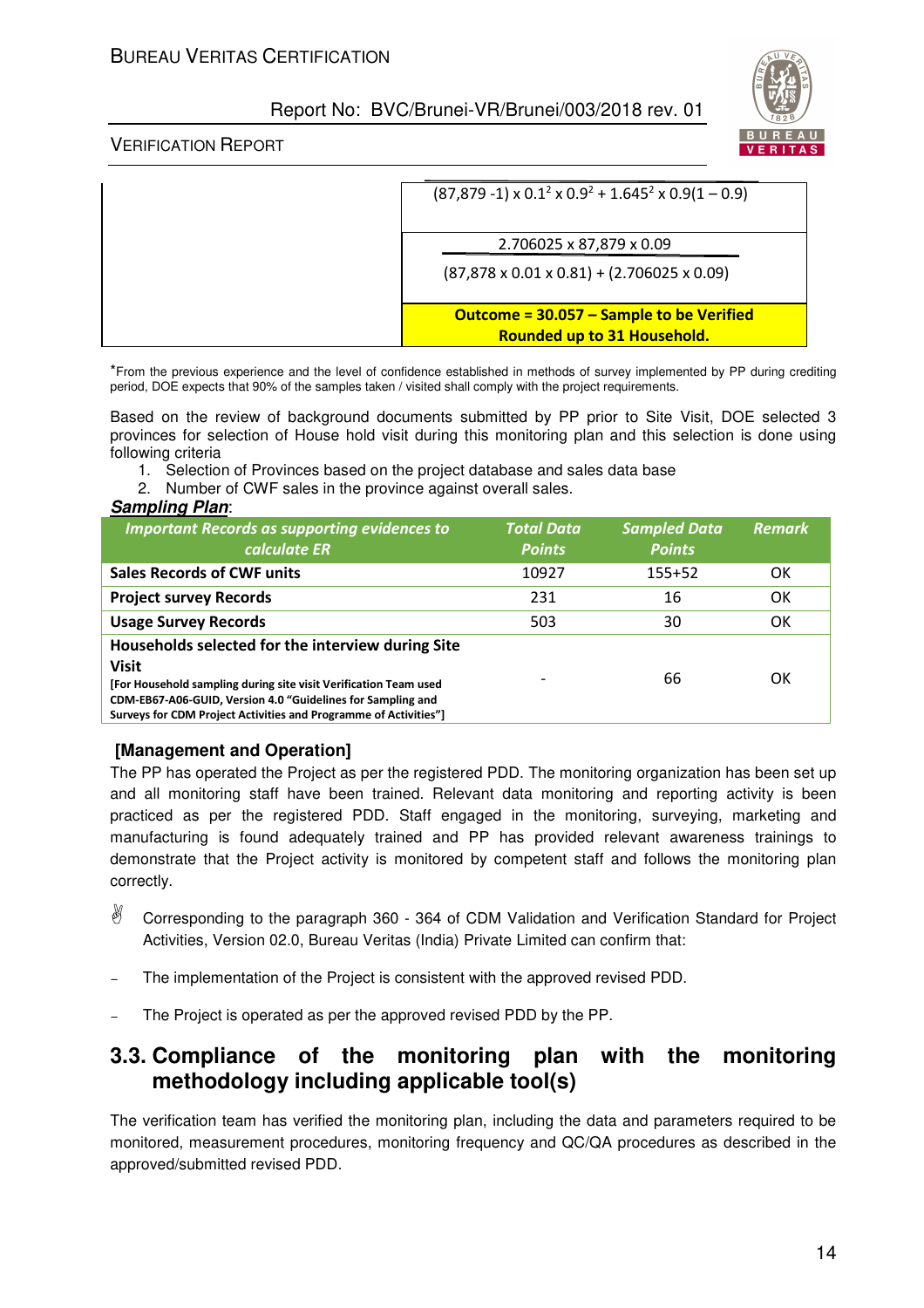

#### VERIFICATION REPORT

| $(87,879 - 1) \times 0.1^2 \times 0.9^2 + 1.645^2 \times 0.9(1 - 0.9)$  |
|-------------------------------------------------------------------------|
| 2.706025 x 87,879 x 0.09                                                |
| $(87,878 \times 0.01 \times 0.81) + (2.706025 \times 0.09)$             |
| Outcome = 30.057 - Sample to be Verified<br>Rounded up to 31 Household. |

\*From the previous experience and the level of confidence established in methods of survey implemented by PP during crediting period, DOE expects that 90% of the samples taken / visited shall comply with the project requirements.

Based on the review of background documents submitted by PP prior to Site Visit, DOE selected 3 provinces for selection of House hold visit during this monitoring plan and this selection is done using following criteria

- 1. Selection of Provinces based on the project database and sales data base
- 2. Number of CWF sales in the province against overall sales.

*Sampling Plan*:

| <b>Important Records as supporting evidences to</b><br>calculate ER                                                                                                                                                                                                      | <b>Total Data</b><br><b>Points</b> | <b>Sampled Data</b><br><b>Points</b> | <b>Remark</b> |
|--------------------------------------------------------------------------------------------------------------------------------------------------------------------------------------------------------------------------------------------------------------------------|------------------------------------|--------------------------------------|---------------|
| <b>Sales Records of CWF units</b>                                                                                                                                                                                                                                        | 10927                              | $155+52$                             | 0K            |
| <b>Project survey Records</b>                                                                                                                                                                                                                                            | 231                                | 16                                   | OK            |
| <b>Usage Survey Records</b>                                                                                                                                                                                                                                              | 503                                | 30                                   | OK            |
| Households selected for the interview during Site<br><b>Visit</b><br>[For Household sampling during site visit Verification Team used<br>CDM-EB67-A06-GUID, Version 4.0 "Guidelines for Sampling and<br>Surveys for CDM Project Activities and Programme of Activities"] |                                    | 66                                   | OΚ            |

## **[Management and Operation]**

The PP has operated the Project as per the registered PDD. The monitoring organization has been set up and all monitoring staff have been trained. Relevant data monitoring and reporting activity is been practiced as per the registered PDD. Staff engaged in the monitoring, surveying, marketing and manufacturing is found adequately trained and PP has provided relevant awareness trainings to demonstrate that the Project activity is monitored by competent staff and follows the monitoring plan correctly.

- $\mathbb{R}$  Corresponding to the paragraph 360 - 364 of CDM Validation and Verification Standard for Project Activities, Version 02.0, Bureau Veritas (India) Private Limited can confirm that:
- The implementation of the Project is consistent with the approved revised PDD.
- The Project is operated as per the approved revised PDD by the PP.

## **3.3. Compliance of the monitoring plan with the monitoring methodology including applicable tool(s)**

The verification team has verified the monitoring plan, including the data and parameters required to be monitored, measurement procedures, monitoring frequency and QC/QA procedures as described in the approved/submitted revised PDD.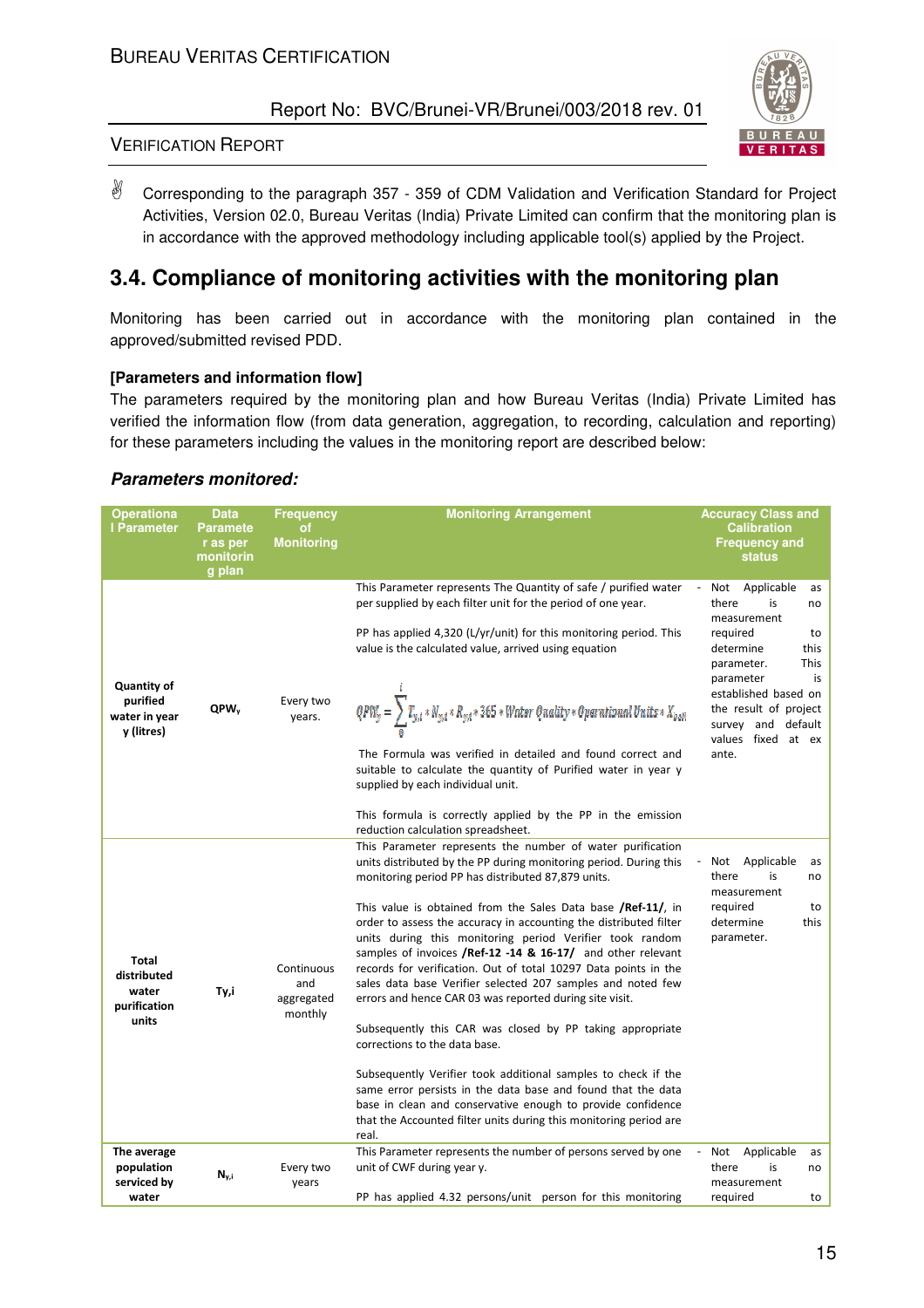

#### VERIFICATION REPORT

 $\mathbb{R}$  Corresponding to the paragraph 357 - 359 of CDM Validation and Verification Standard for Project Activities, Version 02.0, Bureau Veritas (India) Private Limited can confirm that the monitoring plan is in accordance with the approved methodology including applicable tool(s) applied by the Project.

# **3.4. Compliance of monitoring activities with the monitoring plan**

Monitoring has been carried out in accordance with the monitoring plan contained in the approved/submitted revised PDD.

#### **[Parameters and information flow]**

The parameters required by the monitoring plan and how Bureau Veritas (India) Private Limited has verified the information flow (from data generation, aggregation, to recording, calculation and reporting) for these parameters including the values in the monitoring report are described below:

#### *Parameters monitored:*

|                                                                                                                                                                                                                                                                                                                                                                                                                                                                                                                                                                                                                                                                                                                                                                                                                                                                                                                                                                                                                                                                                                                                                                                                                                                            | Applicable<br>as<br>is<br>no                                                                                          |
|------------------------------------------------------------------------------------------------------------------------------------------------------------------------------------------------------------------------------------------------------------------------------------------------------------------------------------------------------------------------------------------------------------------------------------------------------------------------------------------------------------------------------------------------------------------------------------------------------------------------------------------------------------------------------------------------------------------------------------------------------------------------------------------------------------------------------------------------------------------------------------------------------------------------------------------------------------------------------------------------------------------------------------------------------------------------------------------------------------------------------------------------------------------------------------------------------------------------------------------------------------|-----------------------------------------------------------------------------------------------------------------------|
| This Parameter represents The Quantity of safe / purified water<br>Not<br>per supplied by each filter unit for the period of one year.<br>there<br>measurement<br>PP has applied 4,320 (L/yr/unit) for this monitoring period. This<br>required<br>value is the calculated value, arrived using equation<br>determine<br>parameter.<br>parameter<br>Quantity of<br>$\mathit{QPW_Y} = \sum_{i} T_{y,i} * N_{y,i} * R_{y,i} * 365 * Water\; \mathit{Quality}* \mathit{Operational Units} * X_{pool}$<br>purified<br>Every two<br>QPW <sub>v</sub><br>water in year<br>years.<br>y (litres)<br>The Formula was verified in detailed and found correct and<br>ante.<br>suitable to calculate the quantity of Purified water in year y<br>supplied by each individual unit.<br>This formula is correctly applied by the PP in the emission                                                                                                                                                                                                                                                                                                                                                                                                                      | to<br>this<br>This<br>is<br>established based on<br>the result of project<br>survey and default<br>values fixed at ex |
| reduction calculation spreadsheet.<br>This Parameter represents the number of water purification<br>units distributed by the PP during monitoring period. During this<br>Not<br>monitoring period PP has distributed 87,879 units.<br>there<br>measurement<br>required<br>This value is obtained from the Sales Data base /Ref-11/, in<br>determine<br>order to assess the accuracy in accounting the distributed filter<br>units during this monitoring period Verifier took random<br>parameter.<br>samples of invoices /Ref-12 -14 & 16-17/ and other relevant<br>Total<br>Continuous<br>records for verification. Out of total 10297 Data points in the<br>distributed<br>sales data base Verifier selected 207 samples and noted few<br>and<br>water<br>Ty,i<br>errors and hence CAR 03 was reported during site visit.<br>aggregated<br>purification<br>monthly<br>units<br>Subsequently this CAR was closed by PP taking appropriate<br>corrections to the data base.<br>Subsequently Verifier took additional samples to check if the<br>same error persists in the data base and found that the data<br>base in clean and conservative enough to provide confidence<br>that the Accounted filter units during this monitoring period are<br>real. | Applicable<br>as<br>is<br>no<br>to<br>this                                                                            |
| The average<br>This Parameter represents the number of persons served by one<br>Not<br>population<br>Every two<br>unit of CWF during year y.<br>there<br>N <sub>y,i</sub><br>serviced by<br>years<br>measurement<br>PP has applied 4.32 persons/unit person for this monitoring<br>water<br>required                                                                                                                                                                                                                                                                                                                                                                                                                                                                                                                                                                                                                                                                                                                                                                                                                                                                                                                                                       | Applicable<br>as<br>is<br>no<br>to                                                                                    |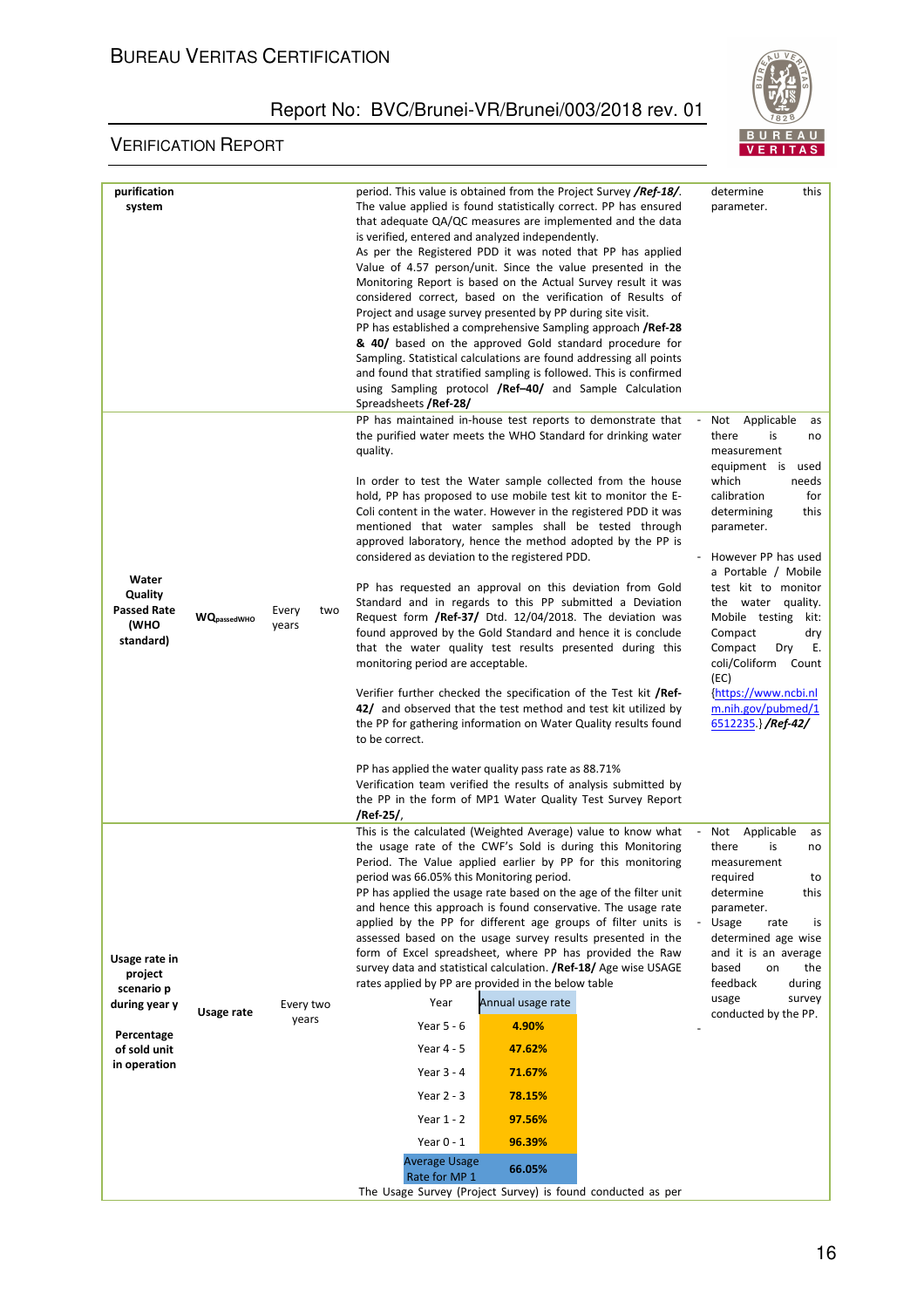

| purification                                                                                          |                    |                       | period. This value is obtained from the Project Survey <b>/Ref-18/</b> .                                                                                                                                                                                                                                                                                                                                                                                                                                                                                                                                                                                                                                                                                                                                                                                                                                                                                                                                                                                                                                                                                                                                                                                                                     |                                                                                        | determine<br>this                                                                                                                                                                                                                                                                                                                                                                                                                  |
|-------------------------------------------------------------------------------------------------------|--------------------|-----------------------|----------------------------------------------------------------------------------------------------------------------------------------------------------------------------------------------------------------------------------------------------------------------------------------------------------------------------------------------------------------------------------------------------------------------------------------------------------------------------------------------------------------------------------------------------------------------------------------------------------------------------------------------------------------------------------------------------------------------------------------------------------------------------------------------------------------------------------------------------------------------------------------------------------------------------------------------------------------------------------------------------------------------------------------------------------------------------------------------------------------------------------------------------------------------------------------------------------------------------------------------------------------------------------------------|----------------------------------------------------------------------------------------|------------------------------------------------------------------------------------------------------------------------------------------------------------------------------------------------------------------------------------------------------------------------------------------------------------------------------------------------------------------------------------------------------------------------------------|
| system                                                                                                |                    |                       | The value applied is found statistically correct. PP has ensured<br>that adequate QA/QC measures are implemented and the data<br>is verified, entered and analyzed independently.<br>As per the Registered PDD it was noted that PP has applied<br>Value of 4.57 person/unit. Since the value presented in the<br>Monitoring Report is based on the Actual Survey result it was<br>considered correct, based on the verification of Results of<br>Project and usage survey presented by PP during site visit.<br>PP has established a comprehensive Sampling approach <b>/Ref-28</b><br>& 40/ based on the approved Gold standard procedure for<br>Sampling. Statistical calculations are found addressing all points<br>and found that stratified sampling is followed. This is confirmed<br>using Sampling protocol /Ref-40/ and Sample Calculation<br>Spreadsheets / Ref-28/                                                                                                                                                                                                                                                                                                                                                                                                              |                                                                                        | parameter.                                                                                                                                                                                                                                                                                                                                                                                                                         |
| Water<br>Quality<br><b>Passed Rate</b><br>(WHO<br>standard)                                           | <b>WQpassedWHO</b> | Every<br>two<br>years | PP has maintained in-house test reports to demonstrate that<br>the purified water meets the WHO Standard for drinking water<br>quality.<br>In order to test the Water sample collected from the house<br>hold, PP has proposed to use mobile test kit to monitor the E-<br>Coli content in the water. However in the registered PDD it was<br>mentioned that water samples shall be tested through<br>approved laboratory, hence the method adopted by the PP is<br>considered as deviation to the registered PDD.<br>PP has requested an approval on this deviation from Gold<br>Standard and in regards to this PP submitted a Deviation<br>Request form /Ref-37/ Dtd. 12/04/2018. The deviation was<br>found approved by the Gold Standard and hence it is conclude<br>that the water quality test results presented during this<br>monitoring period are acceptable.<br>Verifier further checked the specification of the Test kit /Ref-<br>42/ and observed that the test method and test kit utilized by<br>the PP for gathering information on Water Quality results found<br>to be correct.<br>PP has applied the water quality pass rate as 88.71%<br>Verification team verified the results of analysis submitted by<br>the PP in the form of MP1 Water Quality Test Survey Report |                                                                                        | Applicable<br>Not<br>as<br>is<br>there<br>no<br>measurement<br>equipment is used<br>which<br>needs<br>calibration<br>for<br>determining<br>this<br>parameter.<br>However PP has used<br>a Portable / Mobile<br>test kit to monitor<br>the water quality.<br>Mobile testing kit:<br>Compact<br>dry<br>Compact<br><b>Dry</b><br>Е.<br>coli/Coliform Count<br>(EC)<br>{https://www.ncbi.nl<br>m.nih.gov/pubmed/1<br>6512235.}/Ref-42/ |
| Usage rate in<br>project<br>scenario p<br>during year y<br>Percentage<br>of sold unit<br>in operation | Usage rate         | Every two<br>years    | /Ref-25/,<br>This is the calculated (Weighted Average) value to know what<br>the usage rate of the CWF's Sold is during this Monitoring<br>Period. The Value applied earlier by PP for this monitoring<br>period was 66.05% this Monitoring period.<br>PP has applied the usage rate based on the age of the filter unit<br>and hence this approach is found conservative. The usage rate<br>applied by the PP for different age groups of filter units is<br>assessed based on the usage survey results presented in the<br>form of Excel spreadsheet, where PP has provided the Raw<br>survey data and statistical calculation. / Ref-18/ Age wise USAGE<br>rates applied by PP are provided in the below table<br>Year<br>Year 5 - 6<br>Year 4 - 5<br>Year 3 - 4<br>Year $2 - 3$<br>Year 1 - 2<br>Year $0 - 1$<br><b>Average Usage</b><br>Rate for MP 1<br>The Usage Survey (Project Survey) is found conducted as per                                                                                                                                                                                                                                                                                                                                                                    | Annual usage rate<br>4.90%<br>47.62%<br>71.67%<br>78.15%<br>97.56%<br>96.39%<br>66.05% | Applicable<br>Not<br>as<br>is<br>there<br>no<br>measurement<br>required<br>to<br>determine<br>this<br>parameter.<br>Usage<br>rate<br>is<br>determined age wise<br>and it is an average<br>based<br>the<br>on<br>feedback<br>during<br>usage<br>survey<br>conducted by the PP.                                                                                                                                                      |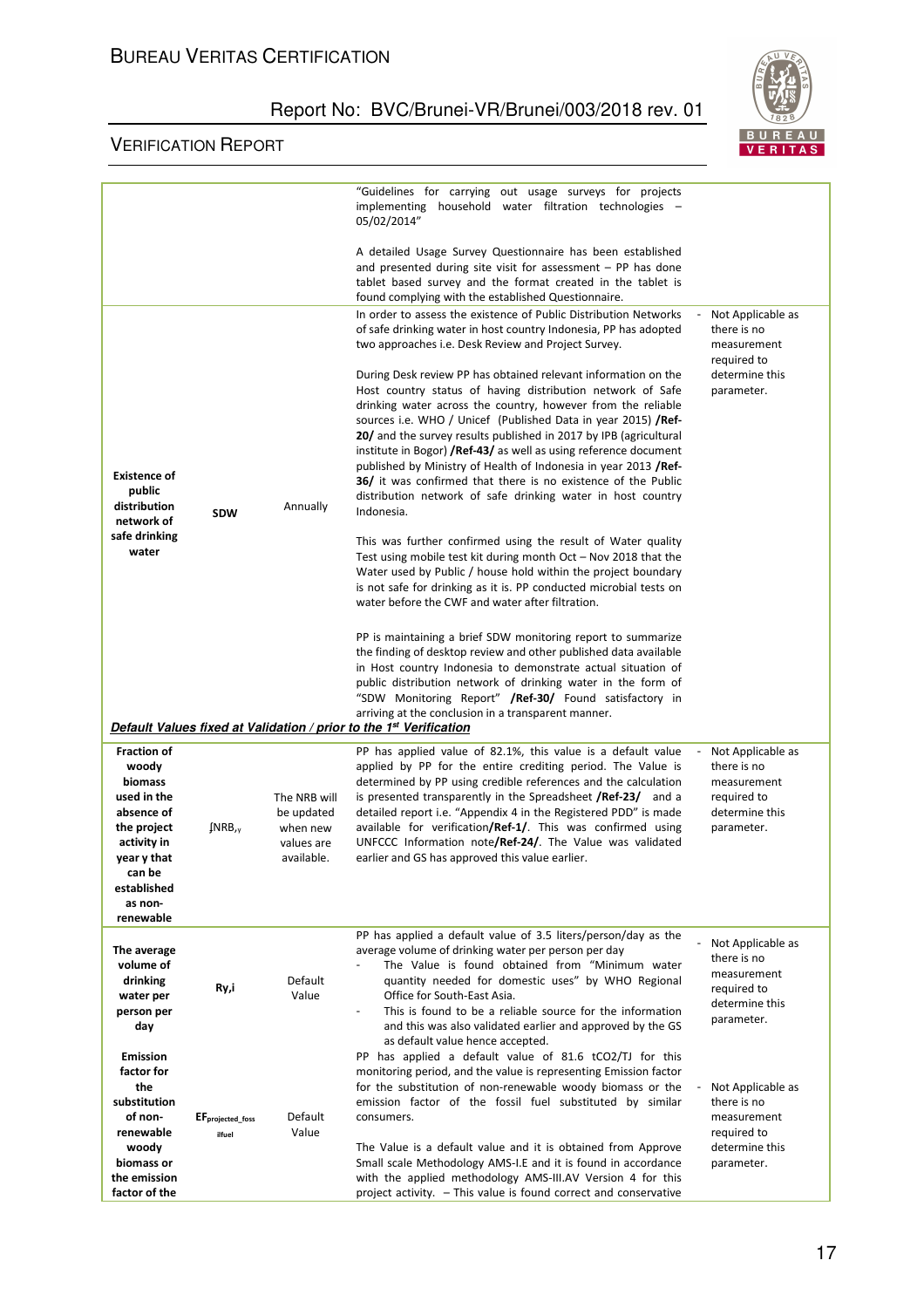

|                                                                                  |                                        |                                                    | "Guidelines for carrying out usage surveys for projects<br>implementing household water filtration technologies -<br>05/02/2014"                                                                                                                                                                                                                                                                                                                                                                                                                                                                                                                     |                                                                                                |
|----------------------------------------------------------------------------------|----------------------------------------|----------------------------------------------------|------------------------------------------------------------------------------------------------------------------------------------------------------------------------------------------------------------------------------------------------------------------------------------------------------------------------------------------------------------------------------------------------------------------------------------------------------------------------------------------------------------------------------------------------------------------------------------------------------------------------------------------------------|------------------------------------------------------------------------------------------------|
|                                                                                  |                                        |                                                    | A detailed Usage Survey Questionnaire has been established<br>and presented during site visit for assessment $-$ PP has done<br>tablet based survey and the format created in the tablet is<br>found complying with the established Questionnaire.                                                                                                                                                                                                                                                                                                                                                                                                   |                                                                                                |
|                                                                                  |                                        |                                                    | In order to assess the existence of Public Distribution Networks<br>of safe drinking water in host country Indonesia, PP has adopted<br>two approaches i.e. Desk Review and Project Survey.                                                                                                                                                                                                                                                                                                                                                                                                                                                          | Not Applicable as<br>there is no<br>measurement<br>required to                                 |
| <b>Existence of</b><br>public<br>distribution<br>network of                      | <b>SDW</b>                             | Annually                                           | During Desk review PP has obtained relevant information on the<br>Host country status of having distribution network of Safe<br>drinking water across the country, however from the reliable<br>sources i.e. WHO / Unicef (Published Data in year 2015) <b>/Ref</b> -<br>20/ and the survey results published in 2017 by IPB (agricultural<br>institute in Bogor) <b>/Ref-43/</b> as well as using reference document<br>published by Ministry of Health of Indonesia in year 2013 <b>/Ref-</b><br><b>36/</b> it was confirmed that there is no existence of the Public<br>distribution network of safe drinking water in host country<br>Indonesia. | determine this<br>parameter.                                                                   |
| safe drinking<br>water                                                           |                                        |                                                    | This was further confirmed using the result of Water quality<br>Test using mobile test kit during month $Oct - Nov 2018$ that the<br>Water used by Public / house hold within the project boundary<br>is not safe for drinking as it is. PP conducted microbial tests on<br>water before the CWF and water after filtration.                                                                                                                                                                                                                                                                                                                         |                                                                                                |
|                                                                                  |                                        |                                                    | PP is maintaining a brief SDW monitoring report to summarize<br>the finding of desktop review and other published data available<br>in Host country Indonesia to demonstrate actual situation of<br>public distribution network of drinking water in the form of<br>"SDW Monitoring Report" / Ref-30/ Found satisfactory in<br>arriving at the conclusion in a transparent manner.<br>Default Values fixed at Validation / prior to the 1 <sup>st</sup> Verification                                                                                                                                                                                 |                                                                                                |
| <b>Fraction of</b><br>woody<br><b>biomass</b><br>used in the                     |                                        | The NRB will                                       | PP has applied value of 82.1%, this value is a default value<br>applied by PP for the entire crediting period. The Value is<br>determined by PP using credible references and the calculation<br>is presented transparently in the Spreadsheet <b>/Ref-23/</b> and a                                                                                                                                                                                                                                                                                                                                                                                 | Not Applicable as<br>there is no<br>measurement<br>required to                                 |
| absence of<br>the project<br>activity in<br>year y that<br>can be<br>established | $fNRB_{,y}$                            | be updated<br>when new<br>values are<br>available. | detailed report i.e. "Appendix 4 in the Registered PDD" is made<br>available for verification/Ref-1/. This was confirmed using<br>UNFCCC Information note/Ref-24/. The Value was validated<br>earlier and GS has approved this value earlier.                                                                                                                                                                                                                                                                                                                                                                                                        | determine this<br>parameter.                                                                   |
| as non-<br>renewable                                                             |                                        |                                                    |                                                                                                                                                                                                                                                                                                                                                                                                                                                                                                                                                                                                                                                      |                                                                                                |
| The average<br>volume of<br>drinking<br>water per<br>person per<br>day           | Ry,i                                   | Default<br>Value                                   | PP has applied a default value of 3.5 liters/person/day as the<br>average volume of drinking water per person per day<br>The Value is found obtained from "Minimum water<br>quantity needed for domestic uses" by WHO Regional<br>Office for South-East Asia.<br>This is found to be a reliable source for the information<br>and this was also validated earlier and approved by the GS<br>as default value hence accepted.                                                                                                                                                                                                                         | Not Applicable as<br>there is no<br>measurement<br>required to<br>determine this<br>parameter. |
| <b>Emission</b><br>factor for<br>the<br>substitution                             |                                        |                                                    | PP has applied a default value of 81.6 tCO2/TJ for this<br>monitoring period, and the value is representing Emission factor<br>for the substitution of non-renewable woody biomass or the<br>emission factor of the fossil fuel substituted by similar                                                                                                                                                                                                                                                                                                                                                                                               | Not Applicable as<br>there is no                                                               |
| of non-<br>renewable<br>woody                                                    | EF <sub>projected_foss</sub><br>ilfuel | Default<br>Value                                   | consumers.<br>The Value is a default value and it is obtained from Approve                                                                                                                                                                                                                                                                                                                                                                                                                                                                                                                                                                           | measurement<br>required to<br>determine this                                                   |
| biomass or<br>the emission<br>factor of the                                      |                                        |                                                    | Small scale Methodology AMS-I.E and it is found in accordance<br>with the applied methodology AMS-III.AV Version 4 for this<br>project activity. - This value is found correct and conservative                                                                                                                                                                                                                                                                                                                                                                                                                                                      | parameter.                                                                                     |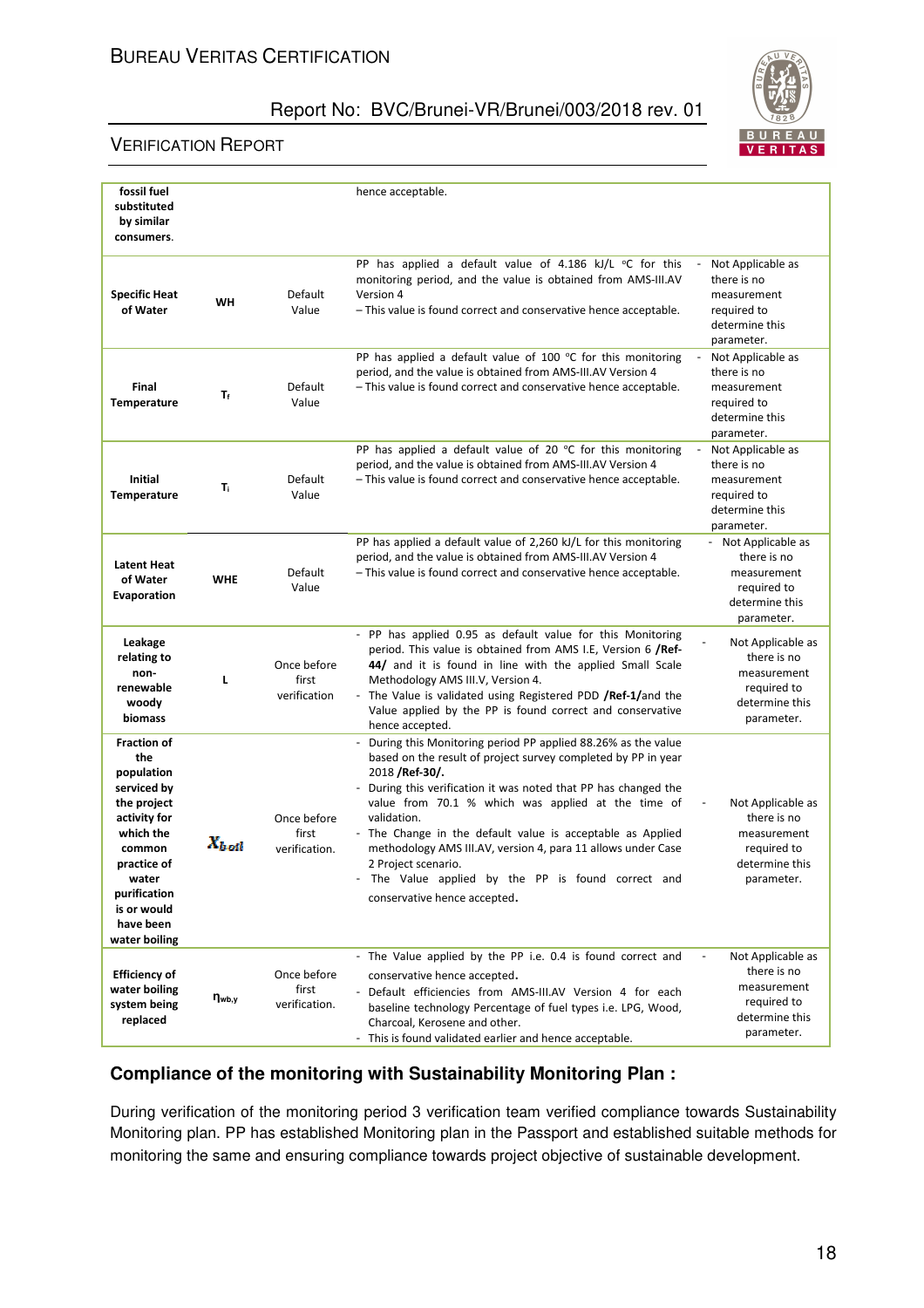#### VERIFICATION REPORT



| fossil fuel<br>substituted<br>by similar<br>consumers.                                                                                                                                            |               |                                       | hence acceptable.                                                                                                                                                                                                                                                                                                                                                                                                                                                                                                                   |                                                                                                  |
|---------------------------------------------------------------------------------------------------------------------------------------------------------------------------------------------------|---------------|---------------------------------------|-------------------------------------------------------------------------------------------------------------------------------------------------------------------------------------------------------------------------------------------------------------------------------------------------------------------------------------------------------------------------------------------------------------------------------------------------------------------------------------------------------------------------------------|--------------------------------------------------------------------------------------------------|
| <b>Specific Heat</b><br>of Water                                                                                                                                                                  | WH            | Default<br>Value                      | PP has applied a default value of 4.186 kJ/L °C for this<br>monitoring period, and the value is obtained from AMS-III.AV<br>Version 4<br>- This value is found correct and conservative hence acceptable.                                                                                                                                                                                                                                                                                                                           | Not Applicable as<br>there is no<br>measurement<br>required to<br>determine this<br>parameter.   |
| Final<br>Temperature                                                                                                                                                                              | $T_f$         | Default<br>Value                      | PP has applied a default value of 100 $\degree$ C for this monitoring<br>period, and the value is obtained from AMS-III.AV Version 4<br>- This value is found correct and conservative hence acceptable.                                                                                                                                                                                                                                                                                                                            | Not Applicable as<br>there is no<br>measurement<br>required to<br>determine this<br>parameter.   |
| Initial<br><b>Temperature</b>                                                                                                                                                                     | T,            | Default<br>Value                      | PP has applied a default value of 20 $\degree$ C for this monitoring<br>period, and the value is obtained from AMS-III.AV Version 4<br>- This value is found correct and conservative hence acceptable.                                                                                                                                                                                                                                                                                                                             | Not Applicable as<br>there is no<br>measurement<br>required to<br>determine this<br>parameter.   |
| <b>Latent Heat</b><br>of Water<br>Evaporation                                                                                                                                                     | <b>WHE</b>    | Default<br>Value                      | PP has applied a default value of 2,260 kJ/L for this monitoring<br>period, and the value is obtained from AMS-III.AV Version 4<br>- This value is found correct and conservative hence acceptable.                                                                                                                                                                                                                                                                                                                                 | - Not Applicable as<br>there is no<br>measurement<br>required to<br>determine this<br>parameter. |
| Leakage<br>relating to<br>non-<br>renewable<br>woody<br>biomass                                                                                                                                   | L             | Once before<br>first<br>verification  | - PP has applied 0.95 as default value for this Monitoring<br>period. This value is obtained from AMS I.E, Version 6 /Ref-<br>44/ and it is found in line with the applied Small Scale<br>Methodology AMS III.V, Version 4.<br>- The Value is validated using Registered PDD /Ref-1/and the<br>Value applied by the PP is found correct and conservative<br>hence accepted.                                                                                                                                                         | Not Applicable as<br>there is no<br>measurement<br>required to<br>determine this<br>parameter.   |
| <b>Fraction of</b><br>the<br>population<br>serviced by<br>the project<br>activity for<br>which the<br>common<br>practice of<br>water<br>purification<br>is or would<br>have been<br>water boiling | $X_{b,old}$   | Once before<br>first<br>verification. | - During this Monitoring period PP applied 88.26% as the value<br>based on the result of project survey completed by PP in year<br>2018 / Ref-30/.<br>- During this verification it was noted that PP has changed the<br>value from 70.1 % which was applied at the time of<br>validation.<br>- The Change in the default value is acceptable as Applied<br>methodology AMS III.AV, version 4, para 11 allows under Case<br>2 Project scenario.<br>The Value applied by the PP is found correct and<br>conservative hence accepted. | Not Applicable as<br>there is no<br>measurement<br>required to<br>determine this<br>parameter.   |
| <b>Efficiency of</b><br>water boiling<br>system being<br>replaced                                                                                                                                 | $\eta_{wb,y}$ | Once before<br>first<br>verification. | - The Value applied by the PP i.e. 0.4 is found correct and<br>conservative hence accepted.<br>- Default efficiencies from AMS-III.AV Version 4 for each<br>baseline technology Percentage of fuel types i.e. LPG, Wood,<br>Charcoal, Kerosene and other.<br>- This is found validated earlier and hence acceptable.                                                                                                                                                                                                                | Not Applicable as<br>there is no<br>measurement<br>required to<br>determine this<br>parameter.   |

## **Compliance of the monitoring with Sustainability Monitoring Plan :**

During verification of the monitoring period 3 verification team verified compliance towards Sustainability Monitoring plan. PP has established Monitoring plan in the Passport and established suitable methods for monitoring the same and ensuring compliance towards project objective of sustainable development.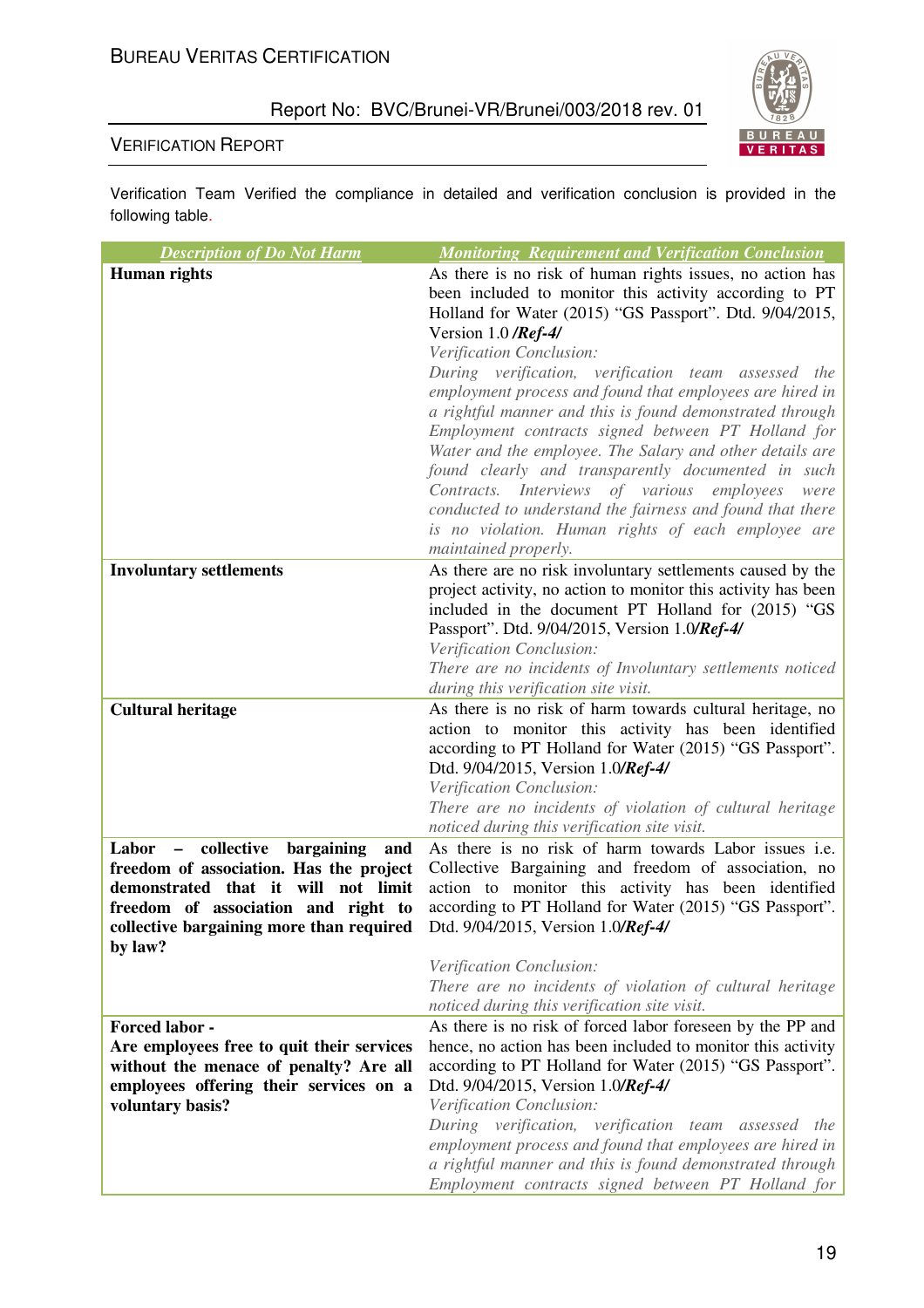

#### VERIFICATION REPORT

Verification Team Verified the compliance in detailed and verification conclusion is provided in the following table.

| <b>Description of Do Not Harm</b>                   | <b>Monitoring Requirement and Verification Conclusion</b>                                                      |
|-----------------------------------------------------|----------------------------------------------------------------------------------------------------------------|
| <b>Human</b> rights                                 | As there is no risk of human rights issues, no action has                                                      |
|                                                     | been included to monitor this activity according to PT                                                         |
|                                                     | Holland for Water (2015) "GS Passport". Dtd. 9/04/2015,                                                        |
|                                                     | Version 1.0 /Ref-4/                                                                                            |
|                                                     | Verification Conclusion:                                                                                       |
|                                                     | During verification, verification team assessed the                                                            |
|                                                     | employment process and found that employees are hired in                                                       |
|                                                     | a rightful manner and this is found demonstrated through                                                       |
|                                                     | Employment contracts signed between PT Holland for<br>Water and the employee. The Salary and other details are |
|                                                     | found clearly and transparently documented in such                                                             |
|                                                     | Contracts. Interviews of various employees<br>were                                                             |
|                                                     | conducted to understand the fairness and found that there                                                      |
|                                                     | is no violation. Human rights of each employee are                                                             |
|                                                     | maintained properly.                                                                                           |
| <b>Involuntary settlements</b>                      | As there are no risk involuntary settlements caused by the                                                     |
|                                                     | project activity, no action to monitor this activity has been                                                  |
|                                                     | included in the document PT Holland for (2015) "GS                                                             |
|                                                     | Passport". Dtd. 9/04/2015, Version 1.0/Ref-4/                                                                  |
|                                                     | Verification Conclusion:                                                                                       |
|                                                     | There are no incidents of Involuntary settlements noticed                                                      |
|                                                     | during this verification site visit.                                                                           |
| <b>Cultural heritage</b>                            | As there is no risk of harm towards cultural heritage, no                                                      |
|                                                     | action to monitor this activity has been identified<br>according to PT Holland for Water (2015) "GS Passport". |
|                                                     | Dtd. 9/04/2015, Version 1.0/Ref-4/                                                                             |
|                                                     | Verification Conclusion:                                                                                       |
|                                                     | There are no incidents of violation of cultural heritage                                                       |
|                                                     | noticed during this verification site visit.                                                                   |
| - collective<br>bargaining<br>Labor<br>and          | As there is no risk of harm towards Labor issues <i>i.e.</i>                                                   |
| freedom of association. Has the project             | Collective Bargaining and freedom of association, no                                                           |
| demonstrated that it will not limit                 | action to monitor this activity has been identified                                                            |
| freedom of association and right to                 | according to PT Holland for Water (2015) "GS Passport".                                                        |
| collective bargaining more than required<br>by law? | Dtd. 9/04/2015, Version 1.0/Ref-4/                                                                             |
|                                                     | Verification Conclusion:                                                                                       |
|                                                     | There are no incidents of violation of cultural heritage                                                       |
|                                                     | noticed during this verification site visit.                                                                   |
| Forced labor -                                      | As there is no risk of forced labor foreseen by the PP and                                                     |
| Are employees free to quit their services           | hence, no action has been included to monitor this activity                                                    |
| without the menace of penalty? Are all              | according to PT Holland for Water (2015) "GS Passport".                                                        |
| employees offering their services on a              | Dtd. 9/04/2015, Version 1.0/Ref-4/                                                                             |
| voluntary basis?                                    | Verification Conclusion:                                                                                       |
|                                                     | During verification, verification team assessed the                                                            |
|                                                     | employment process and found that employees are hired in                                                       |
|                                                     | a rightful manner and this is found demonstrated through                                                       |
|                                                     | Employment contracts signed between PT Holland for                                                             |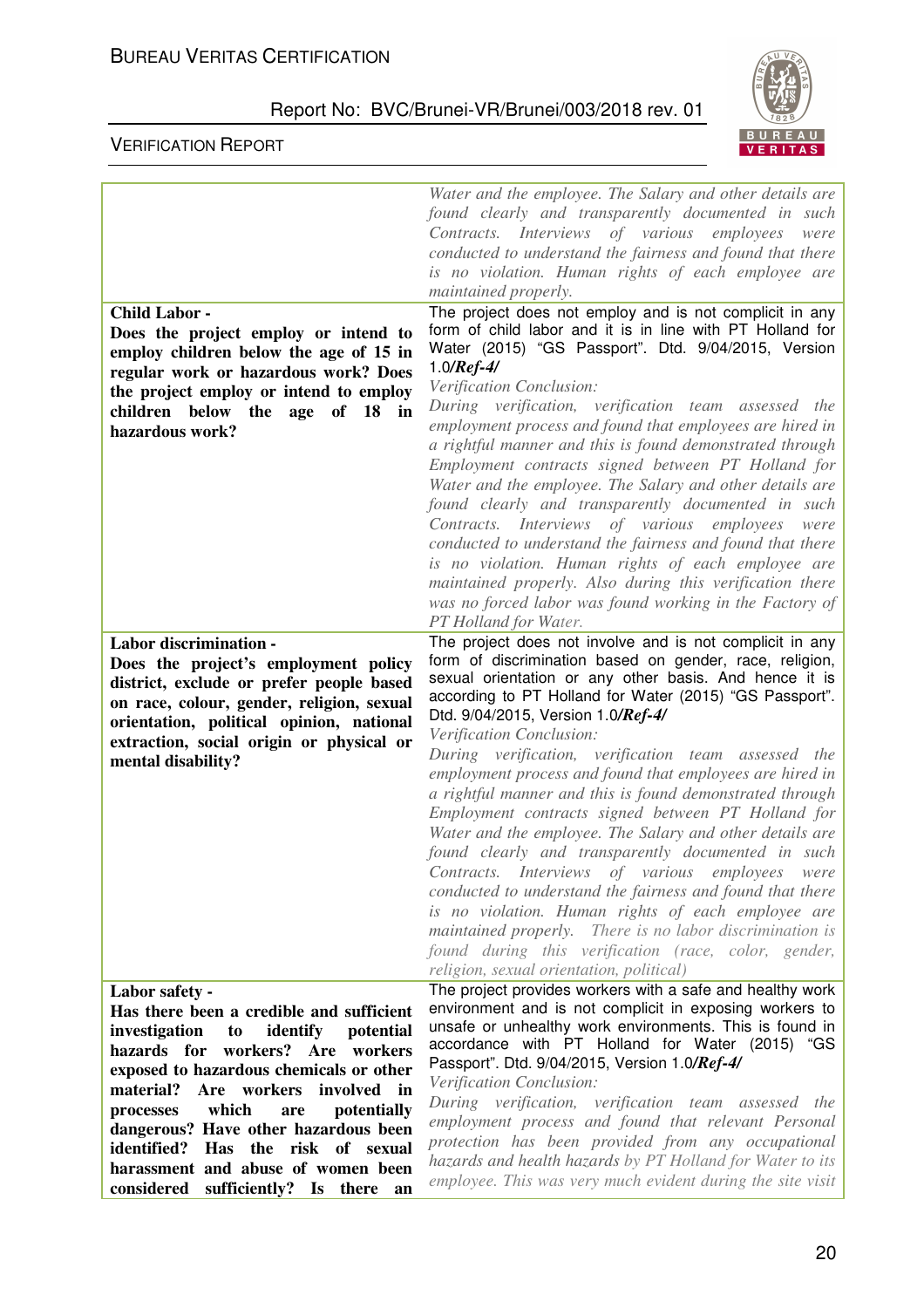

|                                              | Water and the employee. The Salary and other details are                                                                |
|----------------------------------------------|-------------------------------------------------------------------------------------------------------------------------|
|                                              | found clearly and transparently documented in such                                                                      |
|                                              | Contracts. Interviews of various employees<br>were                                                                      |
|                                              | conducted to understand the fairness and found that there                                                               |
|                                              | is no violation. Human rights of each employee are                                                                      |
|                                              | maintained properly.                                                                                                    |
| <b>Child Labor -</b>                         | The project does not employ and is not complicit in any                                                                 |
|                                              | form of child labor and it is in line with PT Holland for                                                               |
| Does the project employ or intend to         | Water (2015) "GS Passport". Dtd. 9/04/2015, Version                                                                     |
| employ children below the age of 15 in       | 1.0/ $Ref-4/$                                                                                                           |
| regular work or hazardous work? Does         | Verification Conclusion:                                                                                                |
| the project employ or intend to employ       | During verification, verification team assessed the                                                                     |
| children below the age of 18 in              | employment process and found that employees are hired in                                                                |
| hazardous work?                              | a rightful manner and this is found demonstrated through                                                                |
|                                              | Employment contracts signed between PT Holland for                                                                      |
|                                              | Water and the employee. The Salary and other details are                                                                |
|                                              | found clearly and transparently documented in such                                                                      |
|                                              | Contracts. Interviews of various employees<br>were                                                                      |
|                                              | conducted to understand the fairness and found that there                                                               |
|                                              | is no violation. Human rights of each employee are                                                                      |
|                                              | maintained properly. Also during this verification there                                                                |
|                                              | was no forced labor was found working in the Factory of                                                                 |
|                                              | PT Holland for Water.                                                                                                   |
| <b>Labor discrimination -</b>                | The project does not involve and is not complicit in any                                                                |
| Does the project's employment policy         | form of discrimination based on gender, race, religion,                                                                 |
| district, exclude or prefer people based     | sexual orientation or any other basis. And hence it is                                                                  |
| on race, colour, gender, religion, sexual    | according to PT Holland for Water (2015) "GS Passport".                                                                 |
| orientation, political opinion, national     | Dtd. 9/04/2015, Version 1.0/Ref-4/                                                                                      |
| extraction, social origin or physical or     | Verification Conclusion:                                                                                                |
| mental disability?                           | During verification, verification team assessed the                                                                     |
|                                              |                                                                                                                         |
|                                              | employment process and found that employees are hired in                                                                |
|                                              | a rightful manner and this is found demonstrated through                                                                |
|                                              | Employment contracts signed between PT Holland for                                                                      |
|                                              | Water and the employee. The Salary and other details are                                                                |
|                                              | found clearly and transparently documented in such                                                                      |
|                                              | Contracts. Interviews of various employees were                                                                         |
|                                              | conducted to understand the fairness and found that there                                                               |
|                                              | is no violation. Human rights of each employee are                                                                      |
|                                              | maintained properly. There is no labor discrimination is                                                                |
|                                              | found during this verification (race, color, gender,                                                                    |
|                                              | religion, sexual orientation, political)                                                                                |
| Labor safety -                               | The project provides workers with a safe and healthy work                                                               |
| Has there been a credible and sufficient     | environment and is not complicit in exposing workers to                                                                 |
| identify<br>investigation<br>potential<br>to | unsafe or unhealthy work environments. This is found in                                                                 |
| hazards for workers?<br>Are workers          | accordance with PT Holland for Water (2015) "GS                                                                         |
| exposed to hazardous chemicals or other      | Passport". Dtd. 9/04/2015, Version 1.0/Ref-4/                                                                           |
| involved in<br>material?<br>Are workers      | Verification Conclusion:                                                                                                |
| which<br>potentially<br>processes<br>are     | During verification, verification team assessed the                                                                     |
| dangerous? Have other hazardous been         | employment process and found that relevant Personal                                                                     |
| identified?<br>Has the risk of sexual        | protection has been provided from any occupational                                                                      |
| harassment and abuse of women been           | hazards and health hazards by PT Holland for Water to its<br>employee. This was very much evident during the site visit |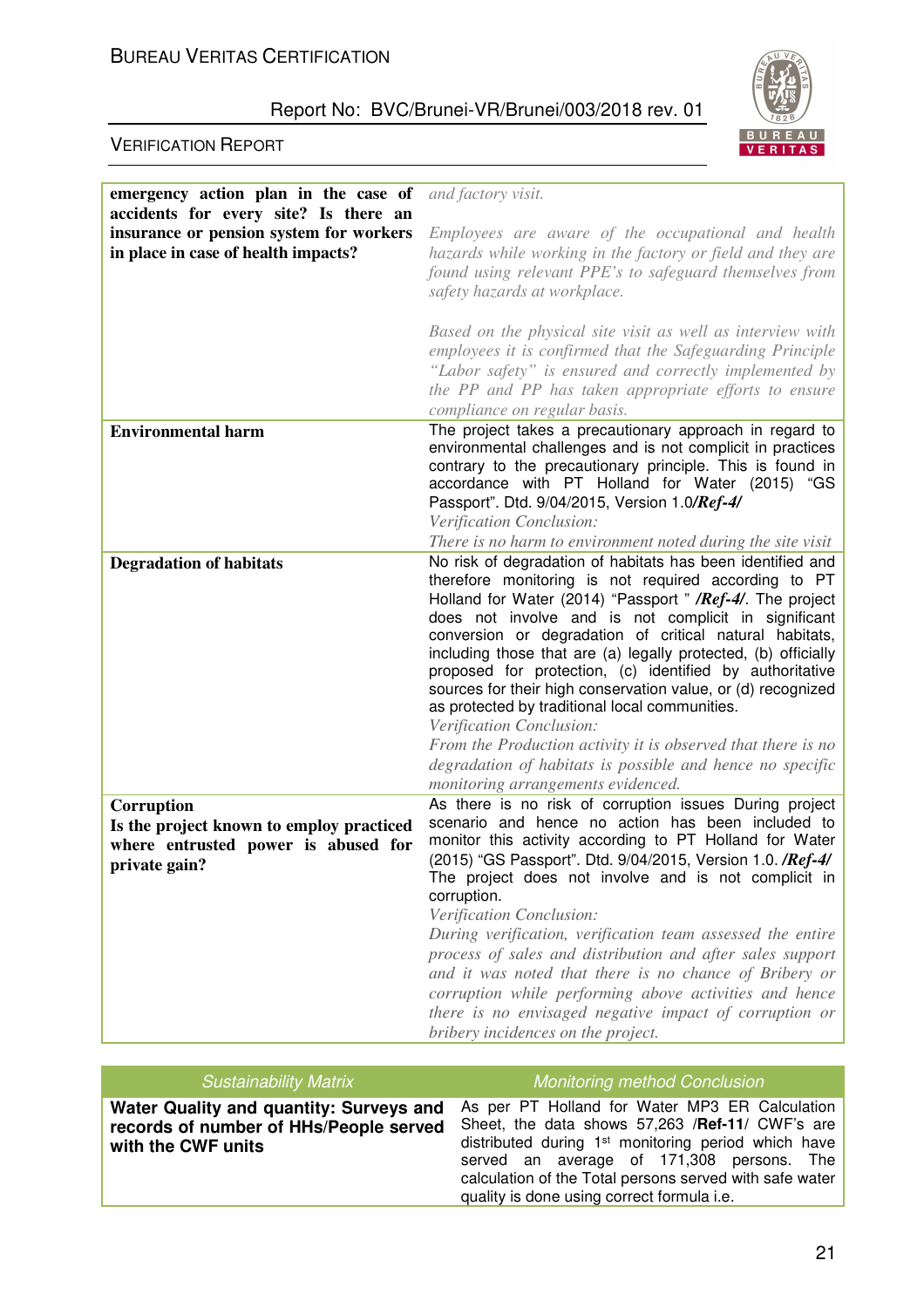

| emergency action plan in the case of                                                                           | and factory visit.                                                                                                                                                                                                                                                                                                                                                                                                                                                                                                                                                                                                                                                                                                                                 |
|----------------------------------------------------------------------------------------------------------------|----------------------------------------------------------------------------------------------------------------------------------------------------------------------------------------------------------------------------------------------------------------------------------------------------------------------------------------------------------------------------------------------------------------------------------------------------------------------------------------------------------------------------------------------------------------------------------------------------------------------------------------------------------------------------------------------------------------------------------------------------|
| accidents for every site? Is there an                                                                          |                                                                                                                                                                                                                                                                                                                                                                                                                                                                                                                                                                                                                                                                                                                                                    |
| insurance or pension system for workers<br>in place in case of health impacts?                                 | Employees are aware of the occupational and health<br>hazards while working in the factory or field and they are<br>found using relevant PPE's to safeguard themselves from<br>safety hazards at workplace.                                                                                                                                                                                                                                                                                                                                                                                                                                                                                                                                        |
|                                                                                                                | Based on the physical site visit as well as interview with<br>employees it is confirmed that the Safeguarding Principle<br>"Labor safety" is ensured and correctly implemented by<br>the PP and PP has taken appropriate efforts to ensure<br>compliance on regular basis.                                                                                                                                                                                                                                                                                                                                                                                                                                                                         |
| <b>Environmental harm</b>                                                                                      | The project takes a precautionary approach in regard to<br>environmental challenges and is not complicit in practices<br>contrary to the precautionary principle. This is found in<br>accordance with PT Holland for Water (2015) "GS<br>Passport". Dtd. 9/04/2015, Version 1.0/Ref-4/<br>Verification Conclusion:<br>There is no harm to environment noted during the site visit                                                                                                                                                                                                                                                                                                                                                                  |
| <b>Degradation of habitats</b>                                                                                 | No risk of degradation of habitats has been identified and<br>therefore monitoring is not required according to PT<br>Holland for Water (2014) "Passport " / Ref-4/. The project<br>does not involve and is not complicit in significant<br>conversion or degradation of critical natural habitats,<br>including those that are (a) legally protected, (b) officially<br>proposed for protection, (c) identified by authoritative<br>sources for their high conservation value, or (d) recognized<br>as protected by traditional local communities.<br>Verification Conclusion:<br>From the Production activity it is observed that there is no<br>degradation of habitats is possible and hence no specific<br>monitoring arrangements evidenced. |
| Corruption<br>Is the project known to employ practiced<br>where entrusted power is abused for<br>private gain? | As there is no risk of corruption issues During project<br>scenario and hence no action has been included to<br>monitor this activity according to PT Holland for Water<br>(2015) "GS Passport". Dtd. 9/04/2015, Version 1.0. / Ref-4/<br>The project does not involve and is not complicit in<br>corruption.<br>Verification Conclusion:<br>During verification, verification team assessed the entire<br>process of sales and distribution and after sales support<br>and it was noted that there is no chance of Bribery or<br>corruption while performing above activities and hence<br>there is no envisaged negative impact of corruption or<br>bribery incidences on the project.                                                           |

| <b>Sustainability Matrix</b>                                                                            | <b>Monitoring method Conclusion</b>                                                                                                                                                                                                                                                                                        |
|---------------------------------------------------------------------------------------------------------|----------------------------------------------------------------------------------------------------------------------------------------------------------------------------------------------------------------------------------------------------------------------------------------------------------------------------|
| Water Quality and quantity: Surveys and<br>records of number of HHs/People served<br>with the CWF units | As per PT Holland for Water MP3 ER Calculation<br>Sheet, the data shows 57,263 /Ref-11/ CWF's are<br>distributed during 1 <sup>st</sup> monitoring period which have<br>served an average of 171,308 persons. The<br>calculation of the Total persons served with safe water<br>quality is done using correct formula i.e. |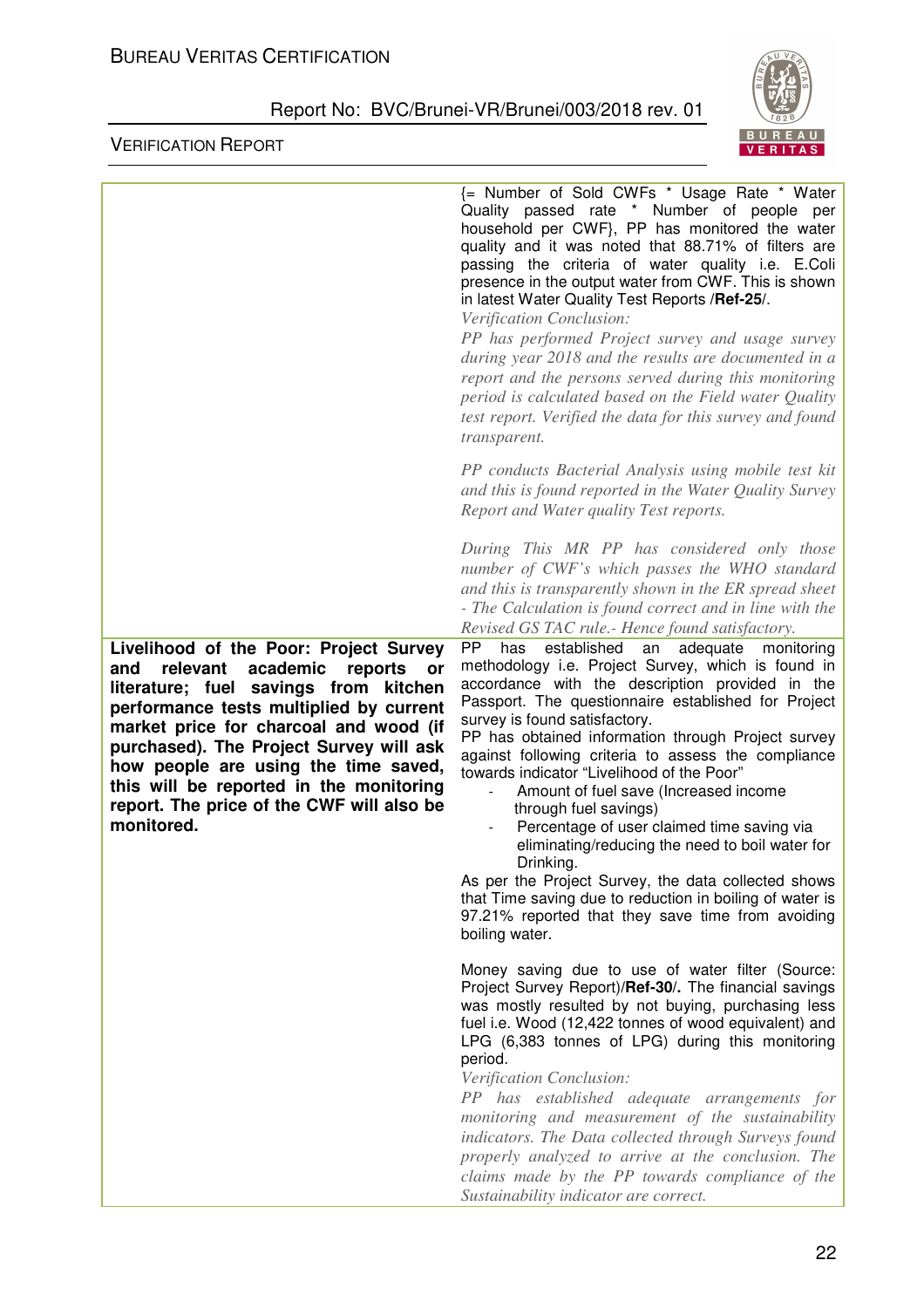

|                                                                                                                                                                                                                                                                                                                                                                                                               | E Number of Sold CWFs * Usage Rate * Water<br>Quality passed rate * Number of people per<br>household per CWF}, PP has monitored the water<br>quality and it was noted that 88.71% of filters are<br>passing the criteria of water quality i.e. E.Coli<br>presence in the output water from CWF. This is shown<br>in latest Water Quality Test Reports / Ref-25/.<br>Verification Conclusion:<br>PP has performed Project survey and usage survey<br>during year 2018 and the results are documented in a<br>report and the persons served during this monitoring<br>period is calculated based on the Field water Quality<br>test report. Verified the data for this survey and found<br>transparent.                                                                                          |
|---------------------------------------------------------------------------------------------------------------------------------------------------------------------------------------------------------------------------------------------------------------------------------------------------------------------------------------------------------------------------------------------------------------|-------------------------------------------------------------------------------------------------------------------------------------------------------------------------------------------------------------------------------------------------------------------------------------------------------------------------------------------------------------------------------------------------------------------------------------------------------------------------------------------------------------------------------------------------------------------------------------------------------------------------------------------------------------------------------------------------------------------------------------------------------------------------------------------------|
|                                                                                                                                                                                                                                                                                                                                                                                                               | PP conducts Bacterial Analysis using mobile test kit<br>and this is found reported in the Water Quality Survey<br>Report and Water quality Test reports.                                                                                                                                                                                                                                                                                                                                                                                                                                                                                                                                                                                                                                        |
|                                                                                                                                                                                                                                                                                                                                                                                                               | During This MR PP has considered only those<br>number of CWF's which passes the WHO standard<br>and this is transparently shown in the ER spread sheet<br>- The Calculation is found correct and in line with the<br>Revised GS TAC rule.- Hence found satisfactory.                                                                                                                                                                                                                                                                                                                                                                                                                                                                                                                            |
| Livelihood of the Poor: Project Survey<br>academic<br>relevant<br>reports<br>and<br>or<br>literature; fuel savings from kitchen<br>performance tests multiplied by current<br>market price for charcoal and wood (if<br>purchased). The Project Survey will ask<br>how people are using the time saved,<br>this will be reported in the monitoring<br>report. The price of the CWF will also be<br>monitored. | established<br>PP.<br>adequate<br>has<br>monitoring<br>an<br>methodology i.e. Project Survey, which is found in<br>accordance with the description provided in the<br>Passport. The questionnaire established for Project<br>survey is found satisfactory.<br>PP has obtained information through Project survey<br>against following criteria to assess the compliance<br>towards indicator "Livelihood of the Poor"<br>Amount of fuel save (Increased income<br>through fuel savings)<br>Percentage of user claimed time saving via<br>eliminating/reducing the need to boil water for<br>Drinking.<br>As per the Project Survey, the data collected shows<br>that Time saving due to reduction in boiling of water is<br>97.21% reported that they save time from avoiding<br>boiling water. |
|                                                                                                                                                                                                                                                                                                                                                                                                               | Money saving due to use of water filter (Source:<br>Project Survey Report)/Ref-30/. The financial savings<br>was mostly resulted by not buying, purchasing less<br>fuel i.e. Wood (12,422 tonnes of wood equivalent) and<br>LPG (6,383 tonnes of LPG) during this monitoring<br>period.<br>Verification Conclusion:<br>PP has established adequate arrangements for<br>monitoring and measurement of the sustainability                                                                                                                                                                                                                                                                                                                                                                         |
|                                                                                                                                                                                                                                                                                                                                                                                                               | indicators. The Data collected through Surveys found<br>properly analyzed to arrive at the conclusion. The<br>claims made by the PP towards compliance of the<br>Sustainability indicator are correct.                                                                                                                                                                                                                                                                                                                                                                                                                                                                                                                                                                                          |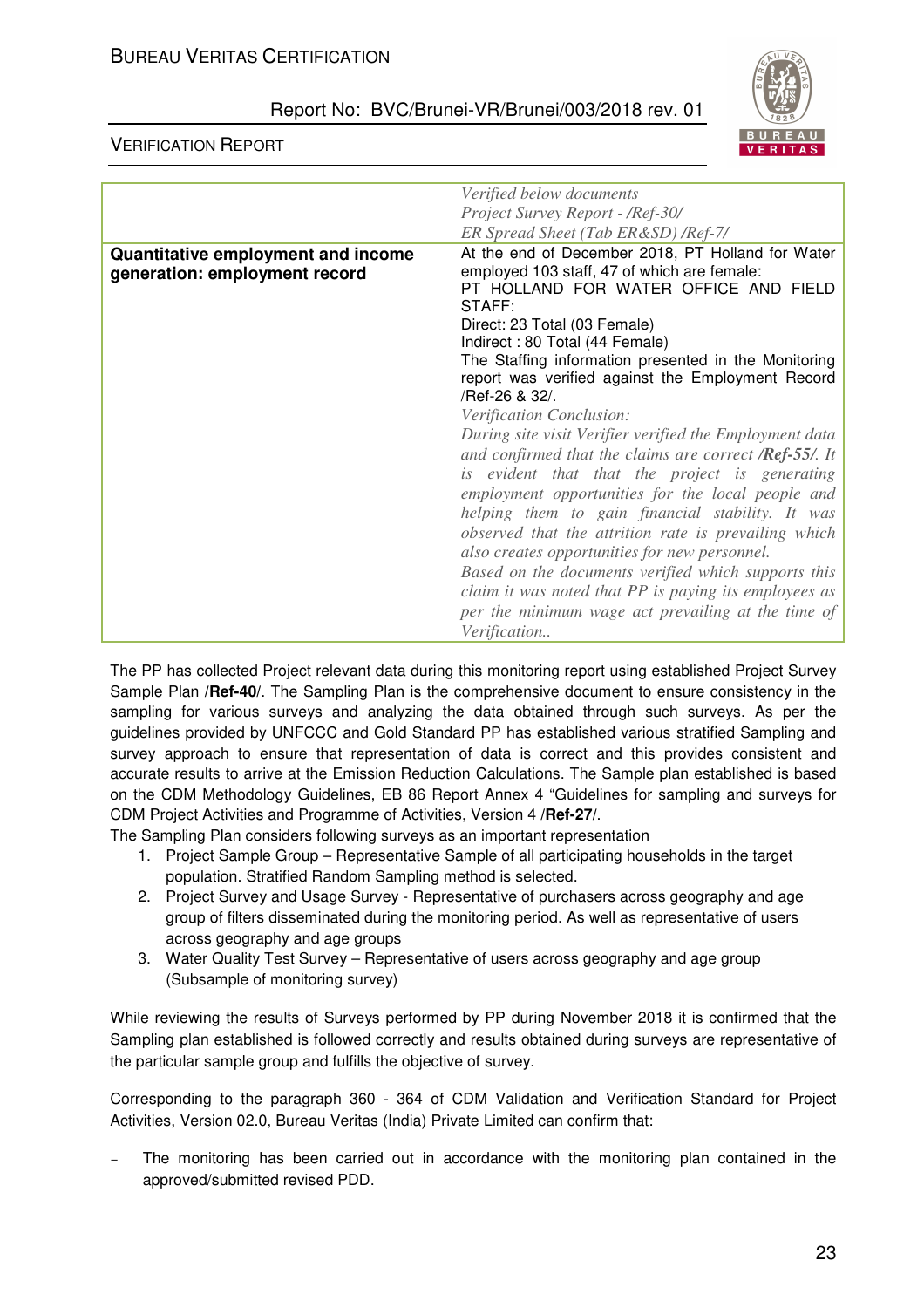

VERIFICATION REPORT

|                                    | Verified below documents                                            |
|------------------------------------|---------------------------------------------------------------------|
|                                    | Project Survey Report - /Ref-30/                                    |
|                                    | ER Spread Sheet (Tab ER&SD) / Ref-7/                                |
| Quantitative employment and income | At the end of December 2018, PT Holland for Water                   |
| generation: employment record      | employed 103 staff, 47 of which are female:                         |
|                                    | PT HOLLAND FOR WATER OFFICE AND FIELD                               |
|                                    | STAFF:                                                              |
|                                    | Direct: 23 Total (03 Female)                                        |
|                                    | Indirect: 80 Total (44 Female)                                      |
|                                    | The Staffing information presented in the Monitoring                |
|                                    | report was verified against the Employment Record<br>/Ref-26 & 32/. |
|                                    |                                                                     |
|                                    | Verification Conclusion:                                            |
|                                    | During site visit Verifier verified the Employment data             |
|                                    | and confirmed that the claims are correct <b>Ref-55</b> /. It       |
|                                    | is evident that that the project is generating                      |
|                                    | employment opportunities for the local people and                   |
|                                    | helping them to gain financial stability. It was                    |
|                                    | observed that the attrition rate is prevailing which                |
|                                    | also creates opportunities for new personnel.                       |
|                                    | Based on the documents verified which supports this                 |
|                                    | claim it was noted that PP is paying its employees as               |
|                                    | per the minimum wage act prevailing at the time of                  |
|                                    | Verification                                                        |

The PP has collected Project relevant data during this monitoring report using established Project Survey Sample Plan **/Ref-40/**. The Sampling Plan is the comprehensive document to ensure consistency in the sampling for various surveys and analyzing the data obtained through such surveys. As per the guidelines provided by UNFCCC and Gold Standard PP has established various stratified Sampling and survey approach to ensure that representation of data is correct and this provides consistent and accurate results to arrive at the Emission Reduction Calculations. The Sample plan established is based on the CDM Methodology Guidelines, EB 86 Report Annex 4 "Guidelines for sampling and surveys for CDM Project Activities and Programme of Activities, Version 4 **/Ref-27/**.

The Sampling Plan considers following surveys as an important representation

- 1. Project Sample Group Representative Sample of all participating households in the target population. Stratified Random Sampling method is selected.
- 2. Project Survey and Usage Survey Representative of purchasers across geography and age group of filters disseminated during the monitoring period. As well as representative of users across geography and age groups
- 3. Water Quality Test Survey Representative of users across geography and age group (Subsample of monitoring survey)

While reviewing the results of Surveys performed by PP during November 2018 it is confirmed that the Sampling plan established is followed correctly and results obtained during surveys are representative of the particular sample group and fulfills the objective of survey.

Corresponding to the paragraph 360 - 364 of CDM Validation and Verification Standard for Project Activities, Version 02.0, Bureau Veritas (India) Private Limited can confirm that:

The monitoring has been carried out in accordance with the monitoring plan contained in the approved/submitted revised PDD.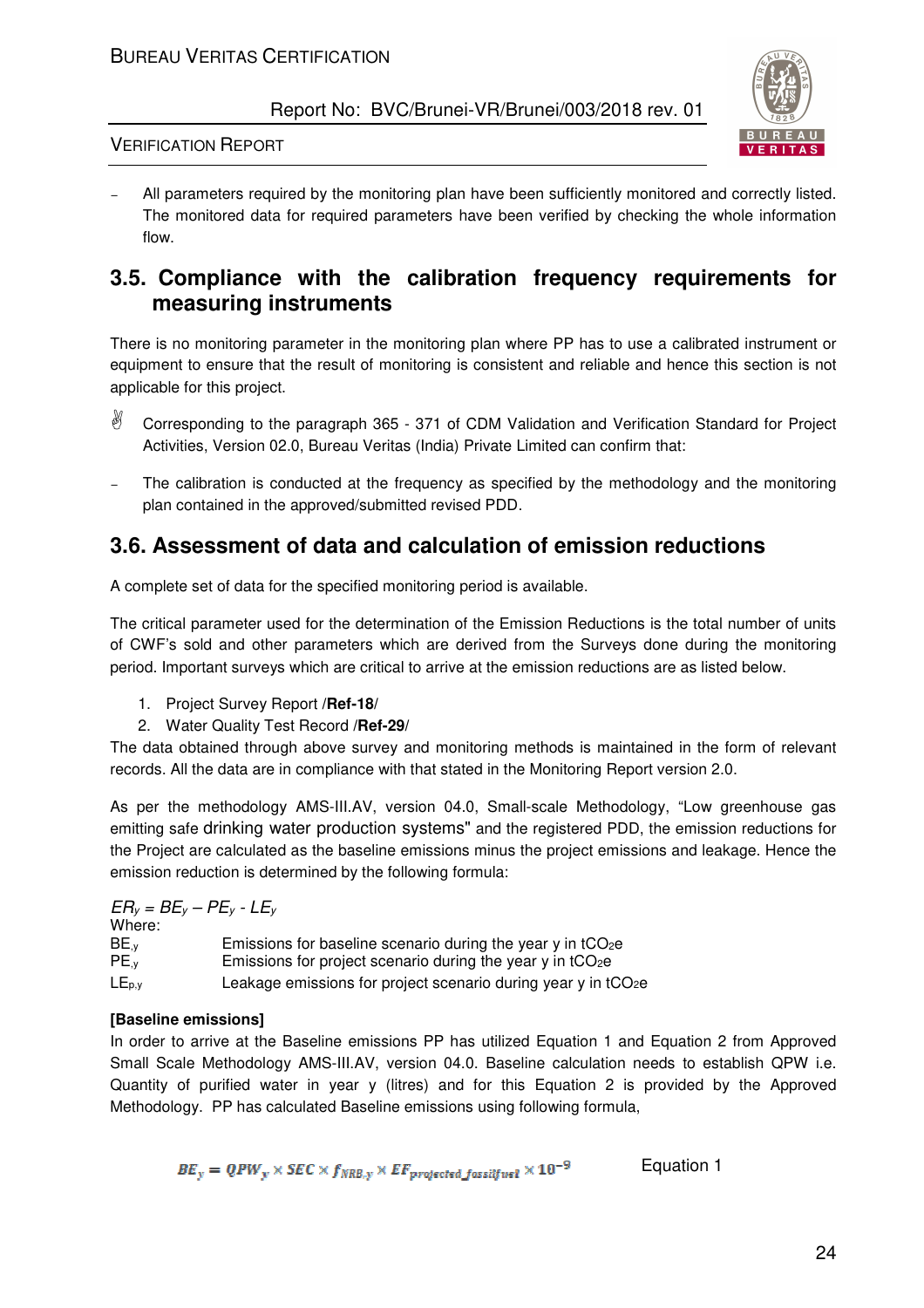

## VERIFICATION REPORT

All parameters required by the monitoring plan have been sufficiently monitored and correctly listed. The monitored data for required parameters have been verified by checking the whole information flow.

## **3.5. Compliance with the calibration frequency requirements for measuring instruments**

There is no monitoring parameter in the monitoring plan where PP has to use a calibrated instrument or equipment to ensure that the result of monitoring is consistent and reliable and hence this section is not applicable for this project.

- $\mathbb{R}$  Corresponding to the paragraph 365 - 371 of CDM Validation and Verification Standard for Project Activities, Version 02.0, Bureau Veritas (India) Private Limited can confirm that:
- The calibration is conducted at the frequency as specified by the methodology and the monitoring plan contained in the approved/submitted revised PDD.

## **3.6. Assessment of data and calculation of emission reductions**

A complete set of data for the specified monitoring period is available.

The critical parameter used for the determination of the Emission Reductions is the total number of units of CWF's sold and other parameters which are derived from the Surveys done during the monitoring period. Important surveys which are critical to arrive at the emission reductions are as listed below.

- 1. Project Survey Report **/Ref-18/**
- 2. Water Quality Test Record **/Ref-29/**

The data obtained through above survey and monitoring methods is maintained in the form of relevant records. All the data are in compliance with that stated in the Monitoring Report version 2.0.

As per the methodology AMS-III.AV, version 04.0, Small-scale Methodology, "Low greenhouse gas emitting safe drinking water production systems" and the registered PDD, the emission reductions for the Project are calculated as the baseline emissions minus the project emissions and leakage. Hence the emission reduction is determined by the following formula:

|                  | $ER_v = BE_v - PE_v - LE_v$                                               |
|------------------|---------------------------------------------------------------------------|
| Where:           |                                                                           |
| BE, <sub>v</sub> | Emissions for baseline scenario during the year $y$ in tCO <sub>2</sub> e |
| $PE_{\cdot}$     | Emissions for project scenario during the year y in $tCO2e$               |
| $LE_{p,y}$       | Leakage emissions for project scenario during year y in tCO2e             |

#### **[Baseline emissions]**

In order to arrive at the Baseline emissions PP has utilized Equation 1 and Equation 2 from Approved Small Scale Methodology AMS-III.AV, version 04.0. Baseline calculation needs to establish QPW i.e. Quantity of purified water in year y (litres) and for this Equation 2 is provided by the Approved Methodology. PP has calculated Baseline emissions using following formula,

$$
BE_y = QPW_y \times SEC \times f_{NRB,y} \times EF_{projected fassiffue1} \times 10^{-9}
$$
 Equation 1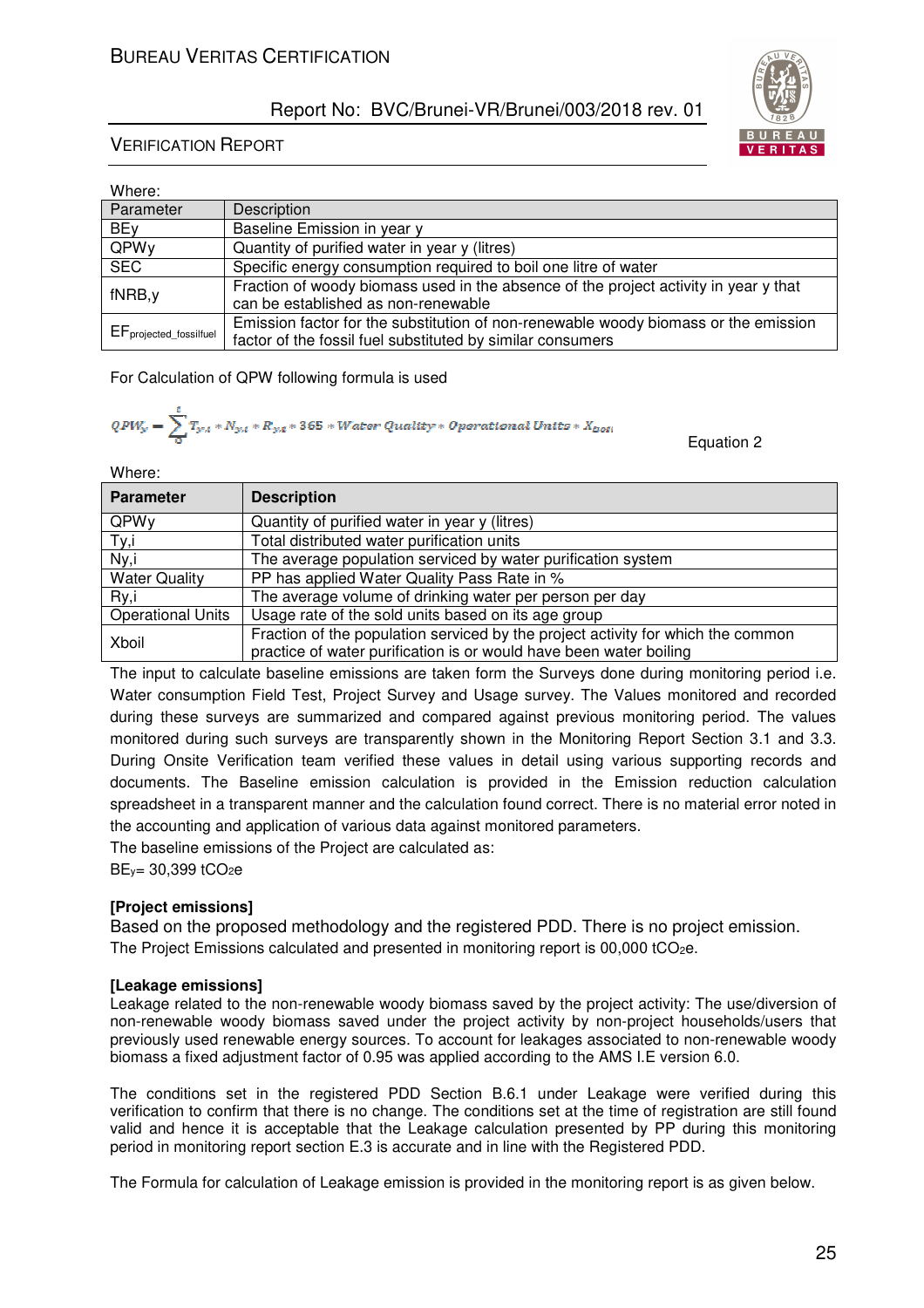

| Where:                 |                                                                                                                                                   |
|------------------------|---------------------------------------------------------------------------------------------------------------------------------------------------|
| Parameter              | Description                                                                                                                                       |
| BEy                    | Baseline Emission in year y                                                                                                                       |
| QPWy                   | Quantity of purified water in year y (litres)                                                                                                     |
| <b>SEC</b>             | Specific energy consumption required to boil one litre of water                                                                                   |
| fNRB, y                | Fraction of woody biomass used in the absence of the project activity in year y that<br>can be established as non-renewable                       |
| EFprojected_fossilfuel | Emission factor for the substitution of non-renewable woody biomass or the emission<br>factor of the fossil fuel substituted by similar consumers |

For Calculation of QPW following formula is used

$$
QPW_y = \sum_{0}^{1} T_{y,t} * N_{y,t} * R_{y,t} * 365 * Water\ Quality * Operational\ Units * X_{bot}
$$

Where:

| <b>Parameter</b>         | <b>Description</b>                                                               |
|--------------------------|----------------------------------------------------------------------------------|
| QPWy                     | Quantity of purified water in year y (litres)                                    |
| Ty,i                     | Total distributed water purification units                                       |
| Ny,i                     | The average population serviced by water purification system                     |
| <b>Water Quality</b>     | PP has applied Water Quality Pass Rate in %                                      |
| Ry,i                     | The average volume of drinking water per person per day                          |
| <b>Operational Units</b> | Usage rate of the sold units based on its age group                              |
| Xboil                    | Fraction of the population serviced by the project activity for which the common |
|                          | practice of water purification is or would have been water boiling               |

The input to calculate baseline emissions are taken form the Surveys done during monitoring period i.e. Water consumption Field Test, Project Survey and Usage survey. The Values monitored and recorded during these surveys are summarized and compared against previous monitoring period. The values monitored during such surveys are transparently shown in the Monitoring Report Section 3.1 and 3.3. During Onsite Verification team verified these values in detail using various supporting records and documents. The Baseline emission calculation is provided in the Emission reduction calculation spreadsheet in a transparent manner and the calculation found correct. There is no material error noted in the accounting and application of various data against monitored parameters.

The baseline emissions of the Project are calculated as:

BE<sub>y</sub>= 30,399 tCO<sub>2</sub>e

#### **[Project emissions]**

Based on the proposed methodology and the registered PDD. There is no project emission. The Project Emissions calculated and presented in monitoring report is 00,000 tCO<sub>2</sub>e.

#### **[Leakage emissions]**

Leakage related to the non-renewable woody biomass saved by the project activity: The use/diversion of non-renewable woody biomass saved under the project activity by non-project households/users that previously used renewable energy sources. To account for leakages associated to non-renewable woody biomass a fixed adjustment factor of 0.95 was applied according to the AMS I.E version 6.0.

The conditions set in the registered PDD Section B.6.1 under Leakage were verified during this verification to confirm that there is no change. The conditions set at the time of registration are still found valid and hence it is acceptable that the Leakage calculation presented by PP during this monitoring period in monitoring report section E.3 is accurate and in line with the Registered PDD.

The Formula for calculation of Leakage emission is provided in the monitoring report is as given below.



Equation 2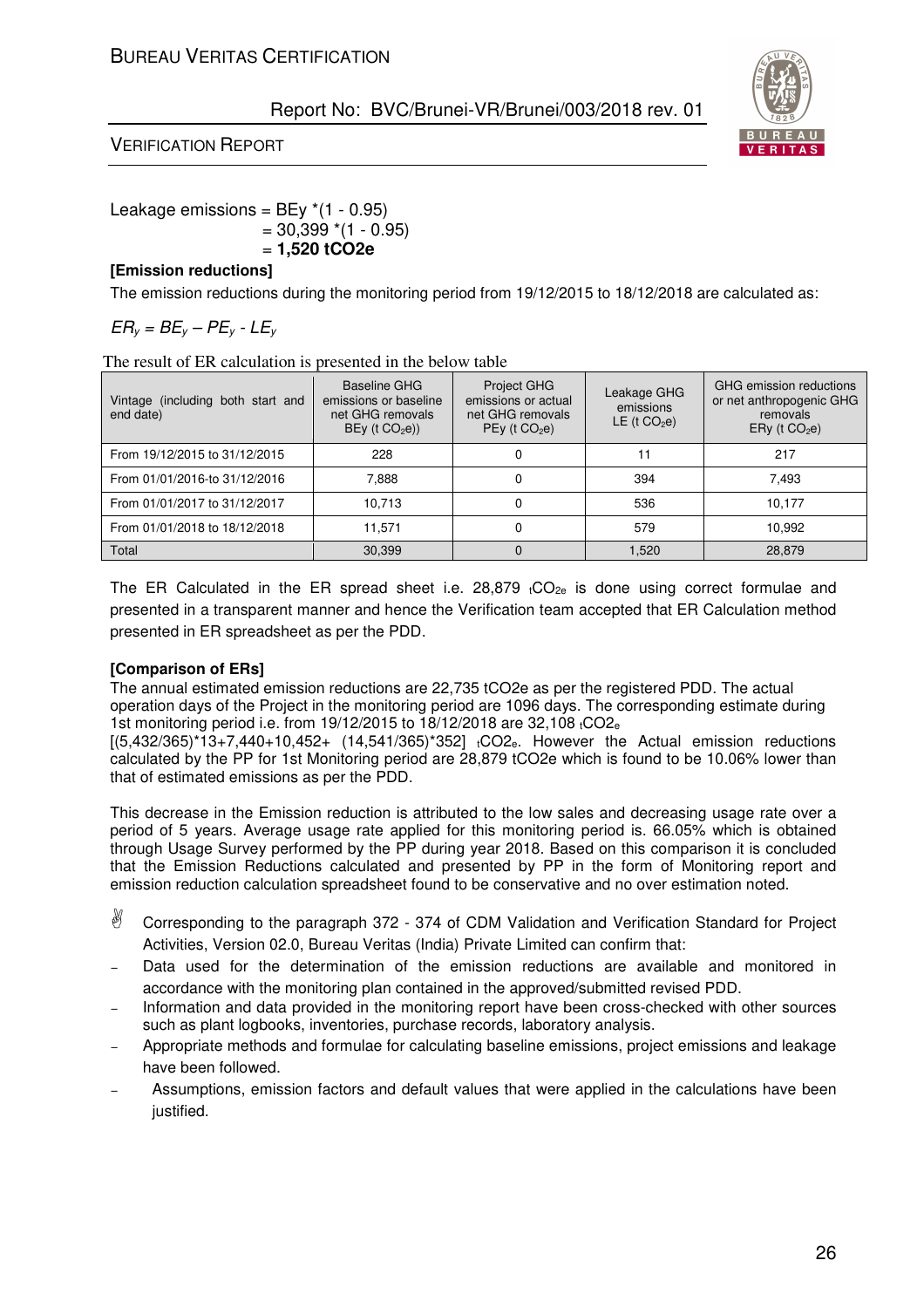## VERIFICATION REPORT



#### Leakage emissions =  $BEy * (1 - 0.95)$  $= 30,399$  \*(1 - 0.95) = **1,520 tCO2e**

#### **[Emission reductions]**

The emission reductions during the monitoring period from 19/12/2015 to 18/12/2018 are calculated as:

## *ERy = BEy – PEy - LE<sup>y</sup>*

The result of ER calculation is presented in the below table

| Vintage (including both start and<br>end date) | Baseline GHG<br>emissions or baseline<br>net GHG removals<br>$BEy$ (t $CO2e$ )) | <b>Project GHG</b><br>emissions or actual<br>net GHG removals<br>$PEy$ (t $CO2e$ ) | Leakage GHG<br>emissions<br>LE ( $t CO2e$ ) | GHG emission reductions<br>or net anthropogenic GHG<br>removals<br>$ERy$ (t $CO2e$ ) |
|------------------------------------------------|---------------------------------------------------------------------------------|------------------------------------------------------------------------------------|---------------------------------------------|--------------------------------------------------------------------------------------|
| From 19/12/2015 to 31/12/2015                  | 228                                                                             | 0                                                                                  |                                             | 217                                                                                  |
| From 01/01/2016-to 31/12/2016                  | 7.888                                                                           | 0                                                                                  | 394                                         | 7.493                                                                                |
| From 01/01/2017 to 31/12/2017                  | 10.713                                                                          | 0                                                                                  | 536                                         | 10.177                                                                               |
| From 01/01/2018 to 18/12/2018                  | 11.571                                                                          | 0                                                                                  | 579                                         | 10.992                                                                               |
| Total                                          | 30.399                                                                          | $\Omega$                                                                           | 1.520                                       | 28.879                                                                               |

The ER Calculated in the ER spread sheet i.e.  $28,879$  tCO<sub>2e</sub> is done using correct formulae and presented in a transparent manner and hence the Verification team accepted that ER Calculation method presented in ER spreadsheet as per the PDD.

#### **[Comparison of ERs]**

The annual estimated emission reductions are 22,735 tCO2e as per the registered PDD. The actual operation days of the Project in the monitoring period are 1096 days. The corresponding estimate during 1st monitoring period i.e. from 19/12/2015 to 18/12/2018 are 32,108 tCO2<sup>e</sup>

 $[(5,432/365)*13+7,440+10,452+ (14,541/365)*352]$ <sub>t</sub>CO2<sub>e</sub>. However the Actual emission reductions calculated by the PP for 1st Monitoring period are 28,879 tCO2e which is found to be 10.06% lower than that of estimated emissions as per the PDD.

This decrease in the Emission reduction is attributed to the low sales and decreasing usage rate over a period of 5 years. Average usage rate applied for this monitoring period is. 66.05% which is obtained through Usage Survey performed by the PP during year 2018. Based on this comparison it is concluded that the Emission Reductions calculated and presented by PP in the form of Monitoring report and emission reduction calculation spreadsheet found to be conservative and no over estimation noted.

- 8 Corresponding to the paragraph 372 - 374 of CDM Validation and Verification Standard for Project Activities, Version 02.0, Bureau Veritas (India) Private Limited can confirm that:
- Data used for the determination of the emission reductions are available and monitored in accordance with the monitoring plan contained in the approved/submitted revised PDD.
- Information and data provided in the monitoring report have been cross-checked with other sources such as plant logbooks, inventories, purchase records, laboratory analysis.
- <sup>−</sup> Appropriate methods and formulae for calculating baseline emissions, project emissions and leakage have been followed.
- <sup>−</sup> Assumptions, emission factors and default values that were applied in the calculations have been justified.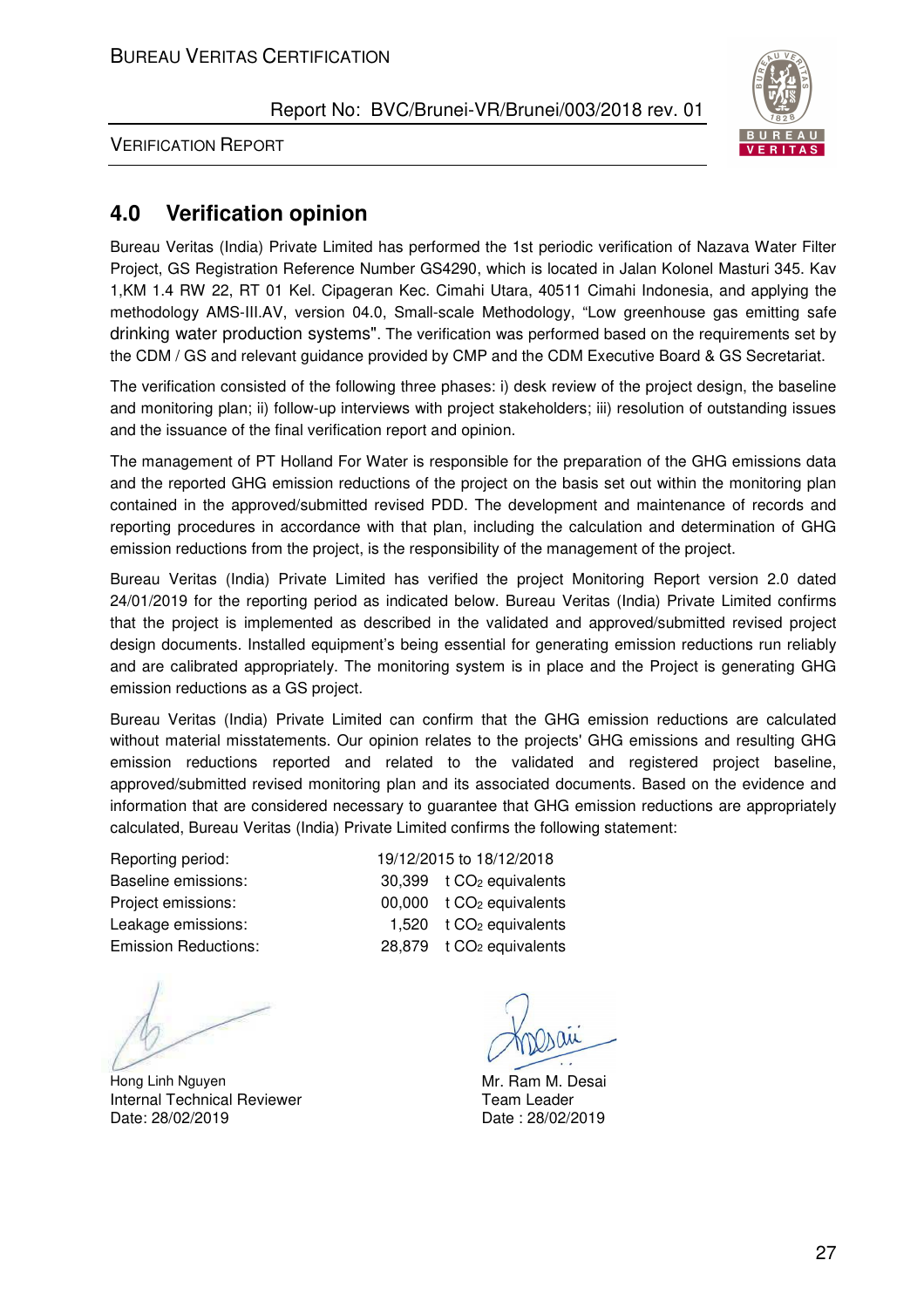

VERIFICATION REPORT

## **4.0 Verification opinion**

Bureau Veritas (India) Private Limited has performed the 1st periodic verification of Nazava Water Filter Project, GS Registration Reference Number GS4290, which is located in Jalan Kolonel Masturi 345. Kav 1,KM 1.4 RW 22, RT 01 Kel. Cipageran Kec. Cimahi Utara, 40511 Cimahi Indonesia, and applying the methodology AMS-III.AV, version 04.0, Small-scale Methodology, "Low greenhouse gas emitting safe drinking water production systems". The verification was performed based on the requirements set by the CDM / GS and relevant guidance provided by CMP and the CDM Executive Board & GS Secretariat.

The verification consisted of the following three phases: i) desk review of the project design, the baseline and monitoring plan; ii) follow-up interviews with project stakeholders; iii) resolution of outstanding issues and the issuance of the final verification report and opinion.

The management of PT Holland For Water is responsible for the preparation of the GHG emissions data and the reported GHG emission reductions of the project on the basis set out within the monitoring plan contained in the approved/submitted revised PDD. The development and maintenance of records and reporting procedures in accordance with that plan, including the calculation and determination of GHG emission reductions from the project, is the responsibility of the management of the project.

Bureau Veritas (India) Private Limited has verified the project Monitoring Report version 2.0 dated 24/01/2019 for the reporting period as indicated below. Bureau Veritas (India) Private Limited confirms that the project is implemented as described in the validated and approved/submitted revised project design documents. Installed equipment's being essential for generating emission reductions run reliably and are calibrated appropriately. The monitoring system is in place and the Project is generating GHG emission reductions as a GS project.

Bureau Veritas (India) Private Limited can confirm that the GHG emission reductions are calculated without material misstatements. Our opinion relates to the projects' GHG emissions and resulting GHG emission reductions reported and related to the validated and registered project baseline, approved/submitted revised monitoring plan and its associated documents. Based on the evidence and information that are considered necessary to guarantee that GHG emission reductions are appropriately calculated, Bureau Veritas (India) Private Limited confirms the following statement:

Hong Linh Nguyen **Mr. Ram M. Desai** Internal Technical Reviewer Date: 28/02/2019

Reporting period: 19/12/2015 to 18/12/2018 Baseline emissions: 30,399 t CO<sub>2</sub> equivalents Project emissions: 00,000 t CO<sub>2</sub> equivalents Leakage emissions: 1,520 t CO<sub>2</sub> equivalents Emission Reductions: 28,879 t CO<sub>2</sub> equivalents

Team Leader Date : 28/02/2019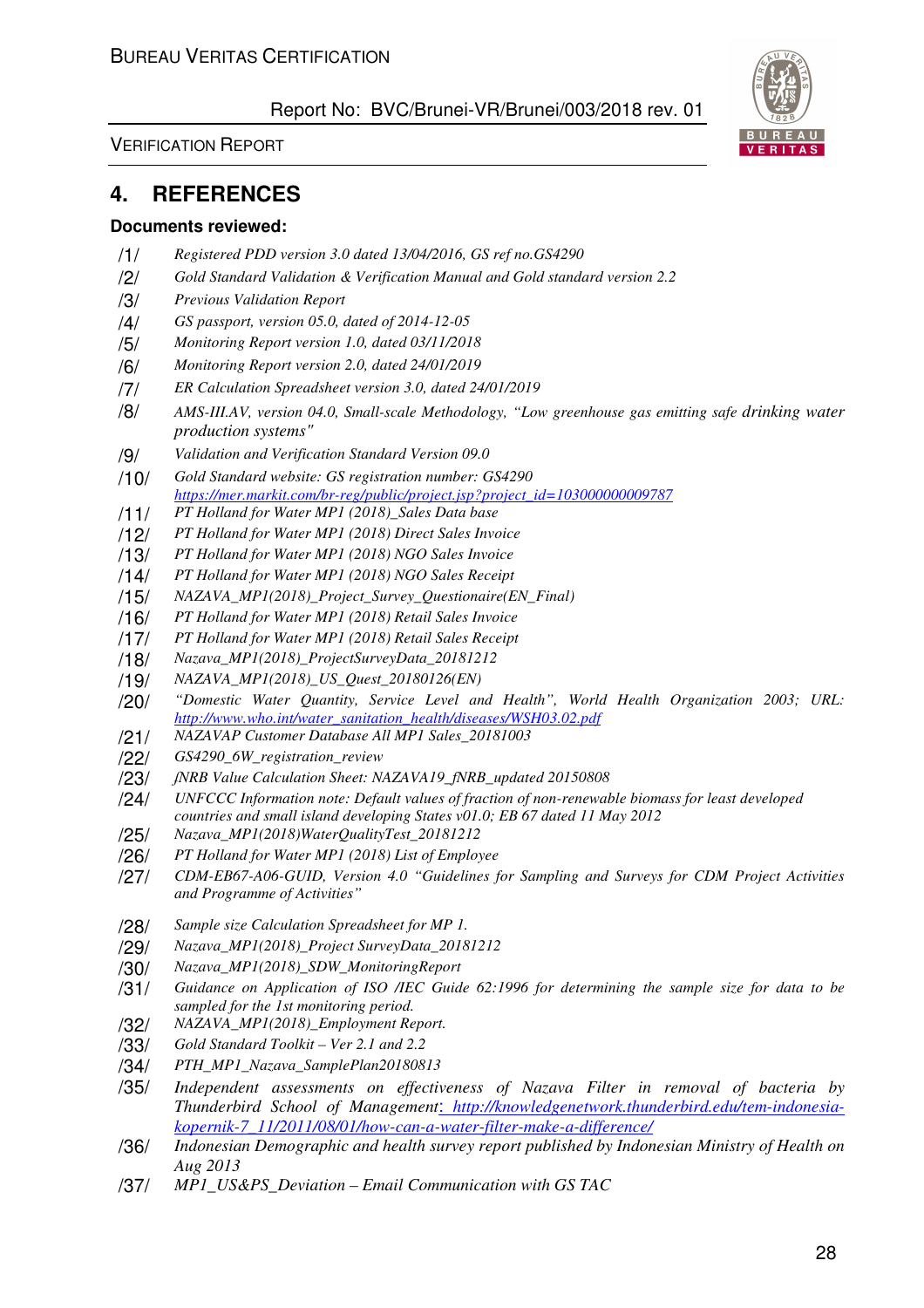VERIFICATION REPORT

## **4. REFERENCES**

#### **Documents reviewed:**

- /1/ *Registered PDD version 3.0 dated 13/04/2016, GS ref no.GS4290*
- /2/ *Gold Standard Validation & Verification Manual and Gold standard version 2.2*
- /3/ *Previous Validation Report*
- /4/ *GS passport, version 05.0, dated of 2014-12-05*
- /5/ *Monitoring Report version 1.0, dated 03/11/2018*
- /6/ *Monitoring Report version 2.0, dated 24/01/2019*
- /7/ *ER Calculation Spreadsheet version 3.0, dated 24/01/2019*
- /8/ *AMS-III.AV, version 04.0, Small-scale Methodology, "Low greenhouse gas emitting safe drinking water production systems"*
- /9/ *Validation and Verification Standard Version 09.0*
- /10/ *Gold Standard website: GS registration number: GS4290 https://mer.markit.com/br-reg/public/project.jsp?project\_id=103000000009787*
- /11/ *PT Holland for Water MP1 (2018)\_Sales Data base*
- /12/ *PT Holland for Water MP1 (2018) Direct Sales Invoice*
- /13/ *PT Holland for Water MP1 (2018) NGO Sales Invoice*
- /14/ *PT Holland for Water MP1 (2018) NGO Sales Receipt*
- /15/ *NAZAVA\_MP1(2018)\_Project\_Survey\_Questionaire(EN\_Final)*
- /16/ *PT Holland for Water MP1 (2018) Retail Sales Invoice*
- /17/ *PT Holland for Water MP1 (2018) Retail Sales Receipt*
- /18/ *Nazava\_MP1(2018)\_ProjectSurveyData\_20181212*
- /19/ *NAZAVA\_MP1(2018)\_US\_Quest\_20180126(EN)*
- /20/ *"Domestic Water Quantity, Service Level and Health", World Health Organization 2003; URL: http://www.who.int/water\_sanitation\_health/diseases/WSH03.02.pdf*
- /21/ *NAZAVAP Customer Database All MP1 Sales\_20181003*
- 
- /22/ *GS4290\_6W\_registration\_review*  /23/ *ʄNRB Value Calculation Sheet: NAZAVA19\_fNRB\_updated 20150808*
- /24/ *UNFCCC Information note: Default values of fraction of non-renewable biomass for least developed countries and small island developing States v01.0; EB 67 dated 11 May 2012*
- /25/ *Nazava\_MP1(2018)WaterQualityTest\_20181212*
- /26/ *PT Holland for Water MP1 (2018) List of Employee*
- /27/ *CDM-EB67-A06-GUID, Version 4.0 "Guidelines for Sampling and Surveys for CDM Project Activities and Programme of Activities"*
- /28/ *Sample size Calculation Spreadsheet for MP 1.*
- /29/ *Nazava\_MP1(2018)\_Project SurveyData\_20181212*
- /30/ *Nazava\_MP1(2018)\_SDW\_MonitoringReport*
- /31/ *Guidance on Application of ISO /IEC Guide 62:1996 for determining the sample size for data to be sampled for the 1st monitoring period.*
- /32/ *NAZAVA\_MP1(2018)\_Employment Report.*
- /33/ *Gold Standard Toolkit Ver 2.1 and 2.2*
- /34/ *PTH\_MP1\_Nazava\_SamplePlan20180813*
- /35/ *Independent assessments on effectiveness of Nazava Filter in removal of bacteria by Thunderbird School of Management*: *http://knowledgenetwork.thunderbird.edu/tem-indonesiakopernik-7\_11/2011/08/01/how-can-a-water-filter-make-a-difference/*
- /36/ *Indonesian Demographic and health survey report published by Indonesian Ministry of Health on Aug 2013*
- /37/ *MP1\_US&PS\_Deviation Email Communication with GS TAC*

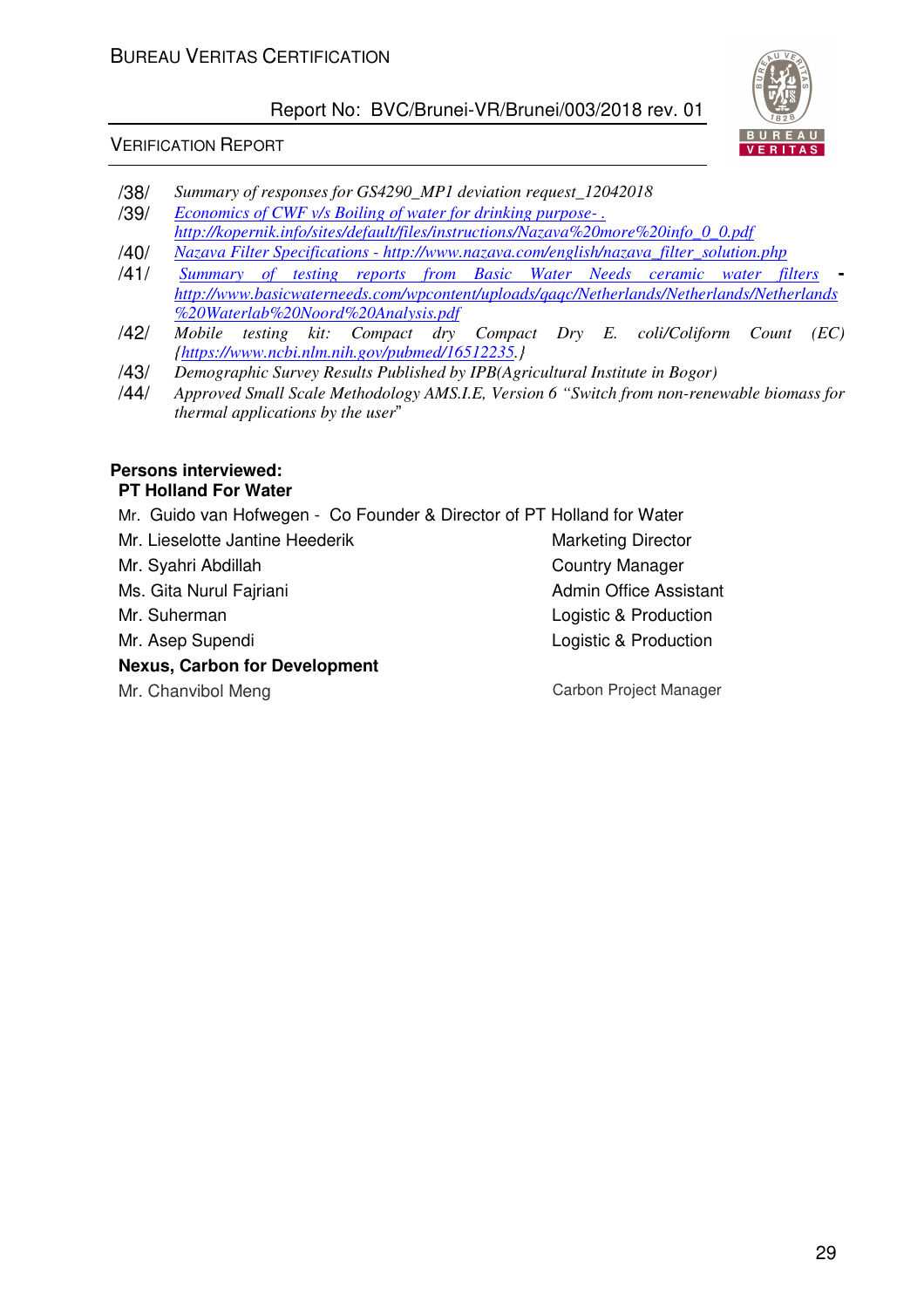## VERIFICATION REPORT



- /38/ *Summary of responses for GS4290\_MP1 deviation request\_12042018*  /39/ *Economics of CWF v/s Boiling of water for drinking purpose- . http://kopernik.info/sites/default/files/instructions/Nazava%20more%20info\_0\_0.pdf*
- /40/ *Nazava Filter Specifications http://www.nazava.com/english/nazava\_filter\_solution.php*
- /41/ *Summary of testing reports from Basic Water Needs ceramic water filters*  *http://www.basicwaterneeds.com/wpcontent/uploads/qaqc/Netherlands/Netherlands/Netherlands %20Waterlab%20Noord%20Analysis.pdf*
- /42/ *Mobile testing kit: Compact dry Compact Dry E. coli/Coliform Count (EC) {https://www.ncbi.nlm.nih.gov/pubmed/16512235.}*
- /43/ *Demographic Survey Results Published by IPB(Agricultural Institute in Bogor)*
- /44/ *Approved Small Scale Methodology AMS.I.E, Version 6 "Switch from non-renewable biomass for thermal applications by the user*"

#### **Persons interviewed: PT Holland For Water**

- Mr. Guido van Hofwegen Co Founder & Director of PT Holland for Water
- Mr. Lieselotte Jantine Heederik Marketing Director
- Mr. Syahri Abdillah Country Manager
- Ms. Gita Nurul Fairiani **Admin Office Assistant** Admin Office Assistant
- 
- 

## **Nexus, Carbon for Development**

Mr. Suherman **Mr.** Suherman Logistic & Production Mr. Asep Supendi **Logistic & Production** 

Mr. Chanvibol Meng Carbon Project Manager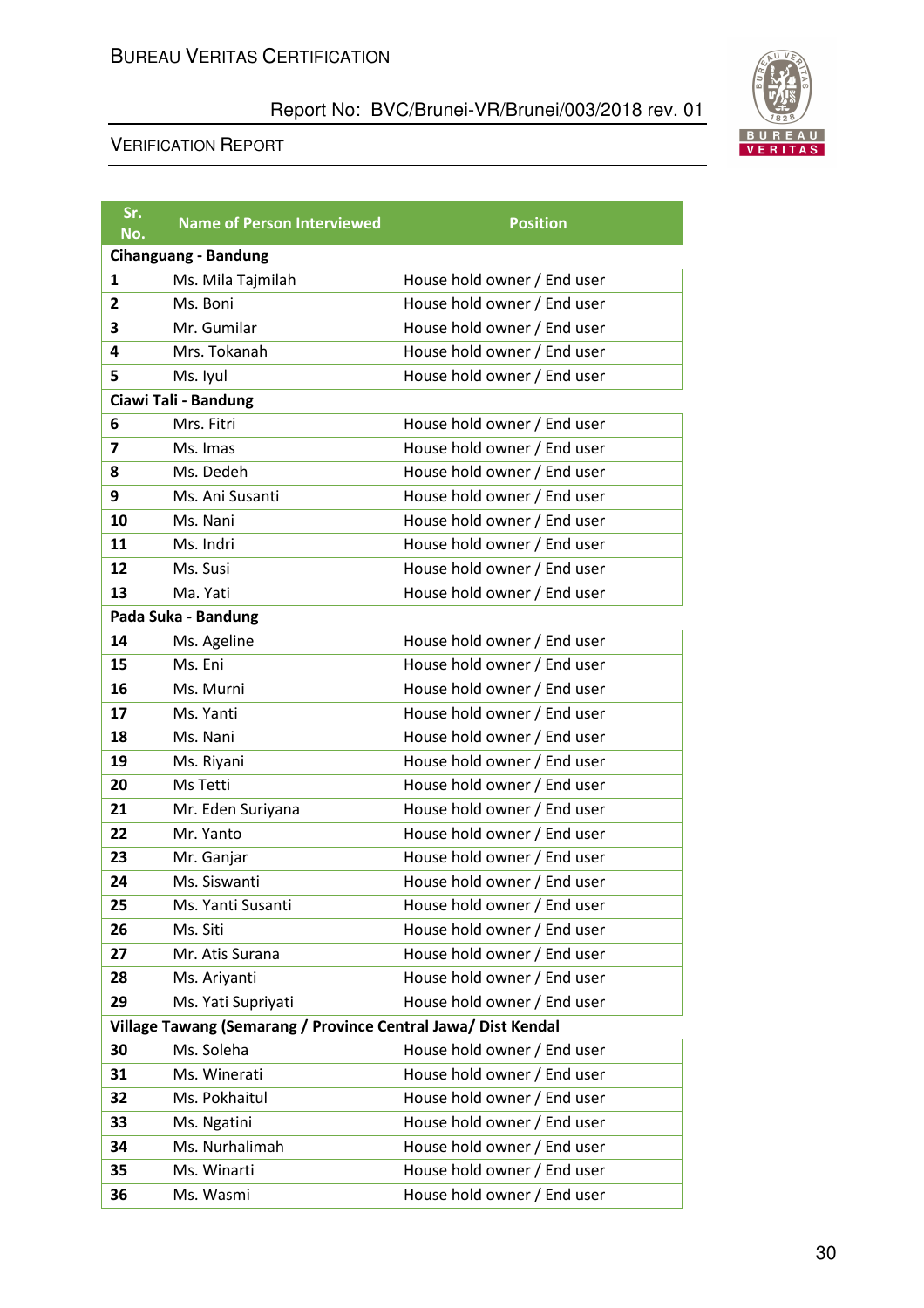

| Sr.<br>No.              | <b>Name of Person Interviewed</b>                             | <b>Position</b>             |
|-------------------------|---------------------------------------------------------------|-----------------------------|
|                         | <b>Cihanguang - Bandung</b>                                   |                             |
| $\mathbf{1}$            | Ms. Mila Tajmilah                                             | House hold owner / End user |
| $\overline{2}$          | Ms. Boni                                                      | House hold owner / End user |
| 3                       | Mr. Gumilar                                                   | House hold owner / End user |
| 4                       | Mrs. Tokanah                                                  | House hold owner / End user |
| 5                       | Ms. Iyul                                                      | House hold owner / End user |
|                         | Ciawi Tali - Bandung                                          |                             |
| 6                       | Mrs. Fitri                                                    | House hold owner / End user |
| $\overline{\mathbf{z}}$ | Ms. Imas                                                      | House hold owner / End user |
| 8                       | Ms. Dedeh                                                     | House hold owner / End user |
| 9                       | Ms. Ani Susanti                                               | House hold owner / End user |
| 10                      | Ms. Nani                                                      | House hold owner / End user |
| 11                      | Ms. Indri                                                     | House hold owner / End user |
| 12                      | Ms. Susi                                                      | House hold owner / End user |
| 13                      | Ma. Yati                                                      | House hold owner / End user |
|                         | Pada Suka - Bandung                                           |                             |
| 14                      | Ms. Ageline                                                   | House hold owner / End user |
| 15                      | Ms. Eni                                                       | House hold owner / End user |
| 16                      | Ms. Murni                                                     | House hold owner / End user |
| 17                      | Ms. Yanti                                                     | House hold owner / End user |
| 18                      | Ms. Nani                                                      | House hold owner / End user |
| 19                      | Ms. Riyani                                                    | House hold owner / End user |
| 20                      | Ms Tetti                                                      | House hold owner / End user |
| 21                      | Mr. Eden Suriyana                                             | House hold owner / End user |
| 22                      | Mr. Yanto                                                     | House hold owner / End user |
| 23                      | Mr. Ganjar                                                    | House hold owner / End user |
| 24                      | Ms. Siswanti                                                  | House hold owner / End user |
| 25                      | Ms. Yanti Susanti                                             | House hold owner / End user |
| 26                      | Ms. Siti                                                      | House hold owner / End user |
| 27                      | Mr. Atis Surana                                               | House hold owner / End user |
| 28                      | Ms. Ariyanti                                                  | House hold owner / End user |
| 29                      | Ms. Yati Supriyati                                            | House hold owner / End user |
|                         | Village Tawang (Semarang / Province Central Jawa/ Dist Kendal |                             |
| 30                      | Ms. Soleha                                                    | House hold owner / End user |
| 31                      | Ms. Winerati                                                  | House hold owner / End user |
| 32                      | Ms. Pokhaitul                                                 | House hold owner / End user |
| 33                      | Ms. Ngatini                                                   | House hold owner / End user |
| 34                      | Ms. Nurhalimah                                                | House hold owner / End user |
| 35                      | Ms. Winarti                                                   | House hold owner / End user |
| 36                      | Ms. Wasmi                                                     | House hold owner / End user |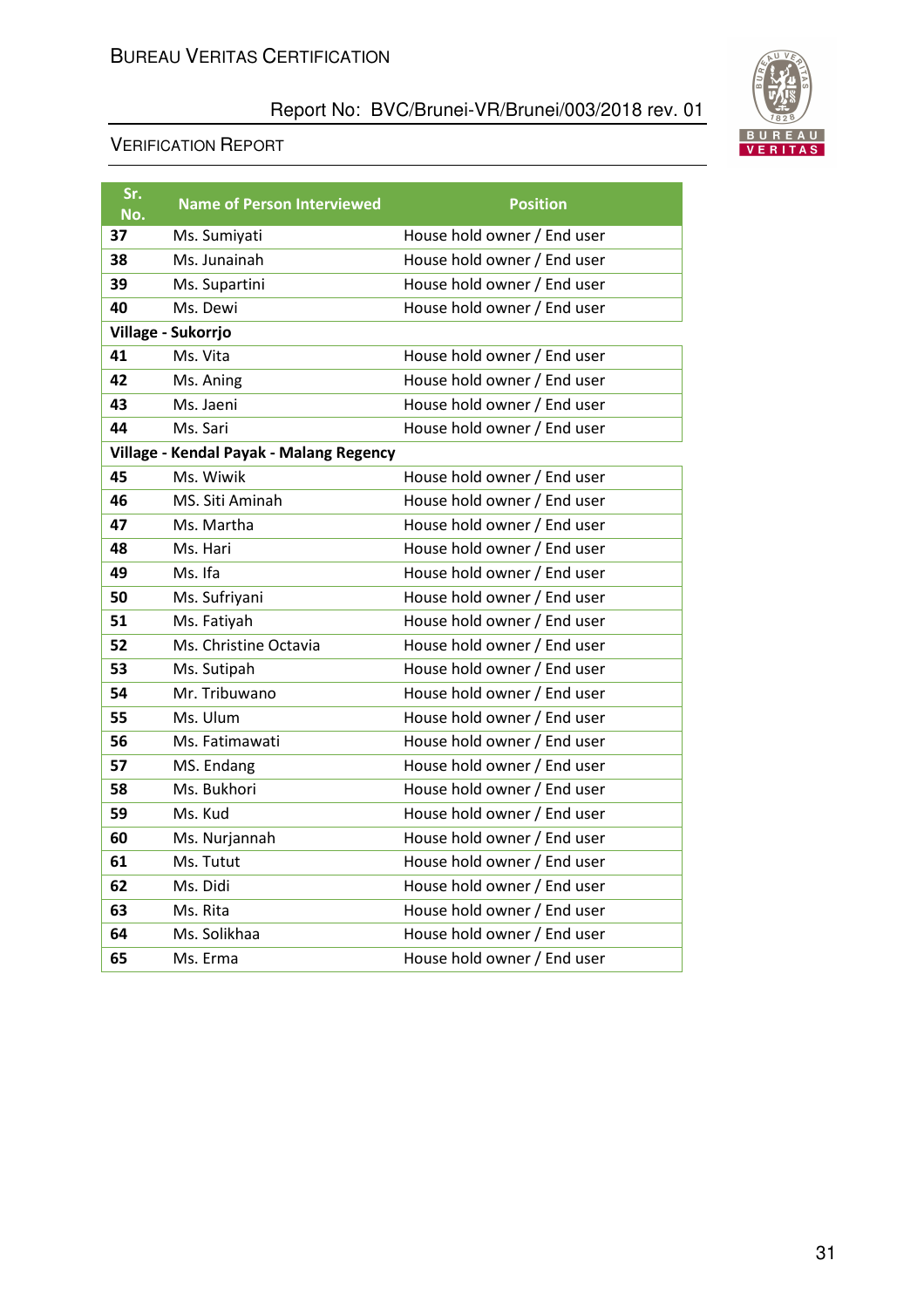

| Sr.<br>No. | <b>Name of Person Interviewed</b>       | <b>Position</b>             |
|------------|-----------------------------------------|-----------------------------|
| 37         | Ms. Sumiyati                            | House hold owner / End user |
| 38         | Ms. Junainah                            | House hold owner / End user |
| 39         | Ms. Supartini                           | House hold owner / End user |
| 40         | Ms. Dewi                                | House hold owner / End user |
|            | Village - Sukorrjo                      |                             |
| 41         | Ms. Vita                                | House hold owner / End user |
| 42         | Ms. Aning                               | House hold owner / End user |
| 43         | Ms. Jaeni                               | House hold owner / End user |
| 44         | Ms. Sari                                | House hold owner / End user |
|            | Village - Kendal Payak - Malang Regency |                             |
| 45         | Ms. Wiwik                               | House hold owner / End user |
| 46         | MS. Siti Aminah                         | House hold owner / End user |
| 47         | Ms. Martha                              | House hold owner / End user |
| 48         | Ms. Hari                                | House hold owner / End user |
| 49         | Ms. Ifa                                 | House hold owner / End user |
| 50         | Ms. Sufriyani                           | House hold owner / End user |
| 51         | Ms. Fatiyah                             | House hold owner / End user |
| 52         | Ms. Christine Octavia                   | House hold owner / End user |
| 53         | Ms. Sutipah                             | House hold owner / End user |
| 54         | Mr. Tribuwano                           | House hold owner / End user |
| 55         | Ms. Ulum                                | House hold owner / End user |
| 56         | Ms. Fatimawati                          | House hold owner / End user |
| 57         | MS. Endang                              | House hold owner / End user |
| 58         | Ms. Bukhori                             | House hold owner / End user |
| 59         | Ms. Kud                                 | House hold owner / End user |
| 60         | Ms. Nurjannah                           | House hold owner / End user |
| 61         | Ms. Tutut                               | House hold owner / End user |
| 62         | Ms. Didi                                | House hold owner / End user |
| 63         | Ms. Rita                                | House hold owner / End user |
| 64         | Ms. Solikhaa                            | House hold owner / End user |
| 65         | Ms. Erma                                | House hold owner / End user |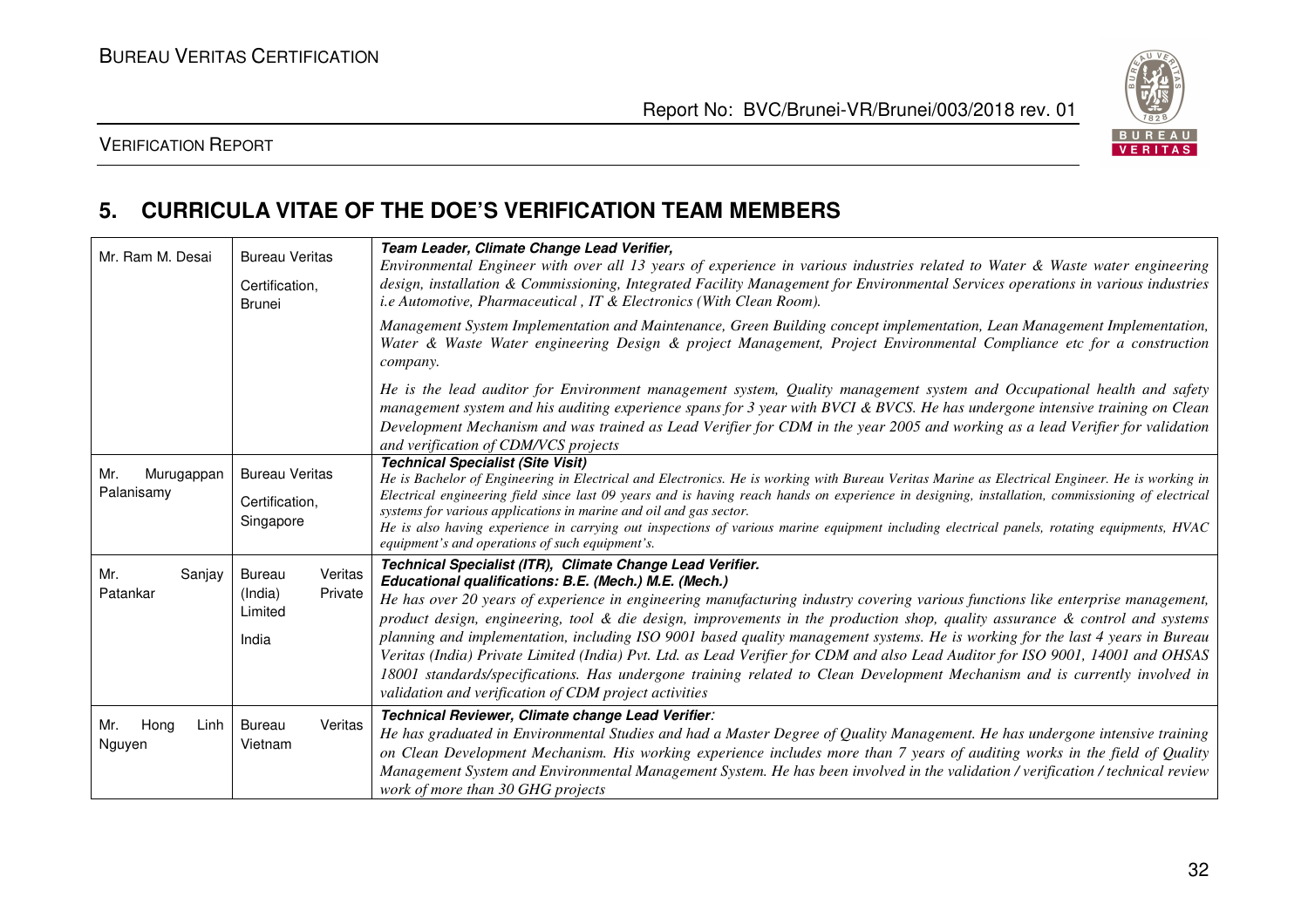

## VERIFICATION REPORT

## **5. CURRICULA VITAE OF THE DOE'S VERIFICATION TEAM MEMBERS**

| Mr. Ram M. Desai                | <b>Bureau Veritas</b><br>Certification,<br><b>Brunei</b>           | Team Leader, Climate Change Lead Verifier,<br>Environmental Engineer with over all 13 years of experience in various industries related to Water & Waste water engineering<br>design, installation & Commissioning, Integrated Facility Management for Environmental Services operations in various industries<br>i.e Automotive, Pharmaceutical, IT & Electronics (With Clean Room).                                                                                                                                                                                                                                                                                                                                                                                                                                                            |
|---------------------------------|--------------------------------------------------------------------|--------------------------------------------------------------------------------------------------------------------------------------------------------------------------------------------------------------------------------------------------------------------------------------------------------------------------------------------------------------------------------------------------------------------------------------------------------------------------------------------------------------------------------------------------------------------------------------------------------------------------------------------------------------------------------------------------------------------------------------------------------------------------------------------------------------------------------------------------|
|                                 |                                                                    | Management System Implementation and Maintenance, Green Building concept implementation, Lean Management Implementation,<br>Water & Waste Water engineering Design & project Management, Project Environmental Compliance etc for a construction<br>company.                                                                                                                                                                                                                                                                                                                                                                                                                                                                                                                                                                                     |
|                                 |                                                                    | He is the lead auditor for Environment management system, Quality management system and Occupational health and safety<br>management system and his auditing experience spans for 3 year with BVCI & BVCS. He has undergone intensive training on Clean<br>Development Mechanism and was trained as Lead Verifier for CDM in the year 2005 and working as a lead Verifier for validation<br>and verification of CDM/VCS projects                                                                                                                                                                                                                                                                                                                                                                                                                 |
| Mr.<br>Murugappan<br>Palanisamy | <b>Bureau Veritas</b><br>Certification,<br>Singapore               | <b>Technical Specialist (Site Visit)</b><br>He is Bachelor of Engineering in Electrical and Electronics. He is working with Bureau Veritas Marine as Electrical Engineer. He is working in<br>Electrical engineering field since last 09 years and is having reach hands on experience in designing, installation, commissioning of electrical<br>systems for various applications in marine and oil and gas sector.<br>He is also having experience in carrying out inspections of various marine equipment including electrical panels, rotating equipments, HVAC<br>equipment's and operations of such equipment's.                                                                                                                                                                                                                           |
| Mr.<br>Sanjay<br>Patankar       | Veritas<br><b>Bureau</b><br>Private<br>(India)<br>Limited<br>India | Technical Specialist (ITR), Climate Change Lead Verifier.<br>Educational qualifications: B.E. (Mech.) M.E. (Mech.)<br>He has over 20 years of experience in engineering manufacturing industry covering various functions like enterprise management,<br>product design, engineering, tool & die design, improvements in the production shop, quality assurance & control and systems<br>planning and implementation, including ISO 9001 based quality management systems. He is working for the last 4 years in Bureau<br>Veritas (India) Private Limited (India) Pvt. Ltd. as Lead Verifier for CDM and also Lead Auditor for ISO 9001, 14001 and OHSAS<br>18001 standards/specifications. Has undergone training related to Clean Development Mechanism and is currently involved in<br>validation and verification of CDM project activities |
| Mr. Hong<br>Linh<br>Nguyen      | Bureau<br>Veritas<br>Vietnam                                       | Technical Reviewer, Climate change Lead Verifier:<br>He has graduated in Environmental Studies and had a Master Degree of Quality Management. He has undergone intensive training<br>on Clean Development Mechanism. His working experience includes more than 7 years of auditing works in the field of Quality<br>Management System and Environmental Management System. He has been involved in the validation / verification / technical review<br>work of more than 30 GHG projects                                                                                                                                                                                                                                                                                                                                                         |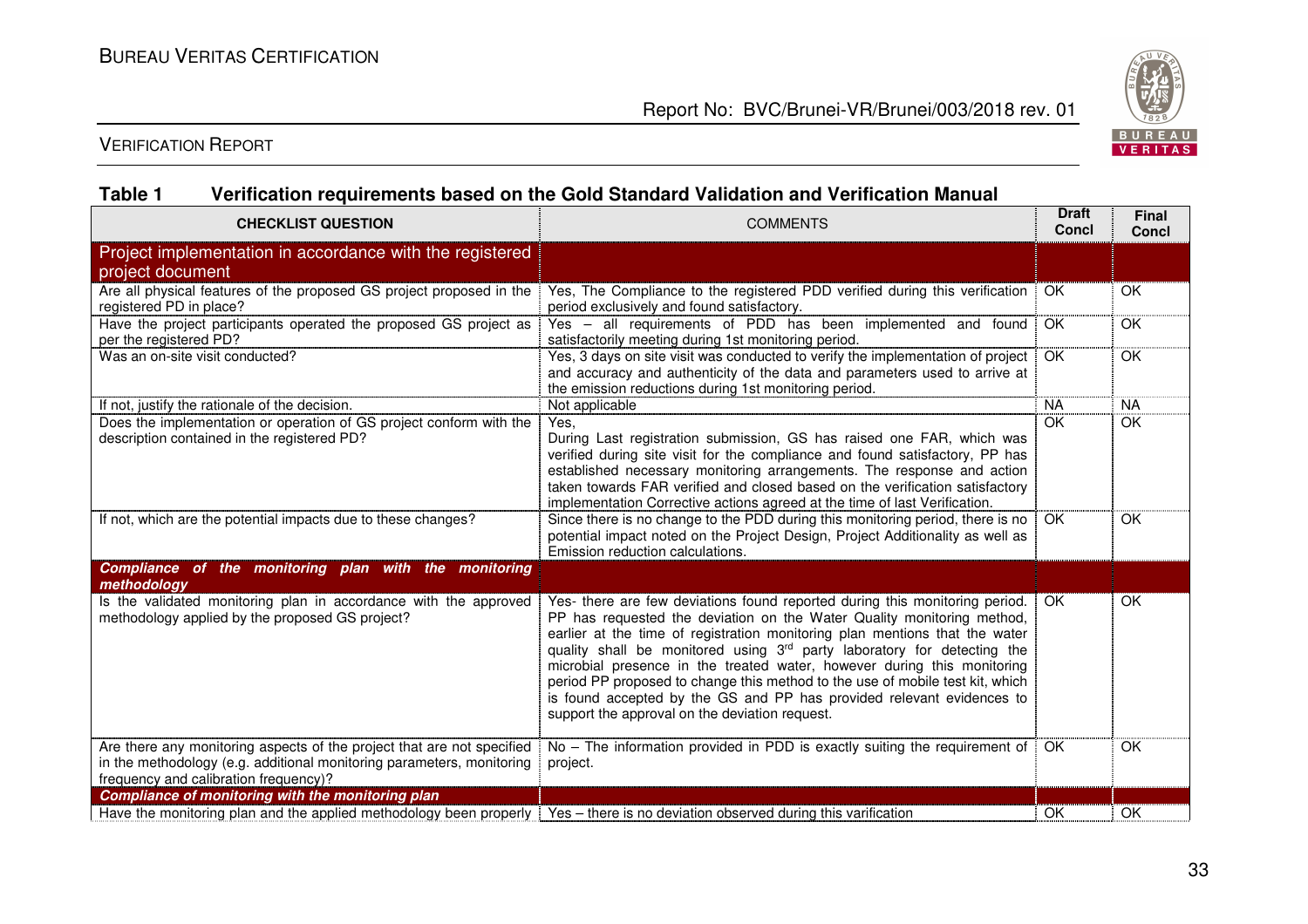

VERIFICATION REPORT

## **Table 1 Verification requirements based on the Gold Standard Validation and Verification Manual**

| <b>CHECKLIST QUESTION</b>                                                                                                                                                                | <b>COMMENTS</b>                                                                                                                                                                                                                                                                                                                                                                                                                                                                                                                                                                                        |           | <b>Final</b><br>Concl |
|------------------------------------------------------------------------------------------------------------------------------------------------------------------------------------------|--------------------------------------------------------------------------------------------------------------------------------------------------------------------------------------------------------------------------------------------------------------------------------------------------------------------------------------------------------------------------------------------------------------------------------------------------------------------------------------------------------------------------------------------------------------------------------------------------------|-----------|-----------------------|
| Project implementation in accordance with the registered<br>project document                                                                                                             |                                                                                                                                                                                                                                                                                                                                                                                                                                                                                                                                                                                                        |           |                       |
| Are all physical features of the proposed GS project proposed in the<br>registered PD in place?                                                                                          | Yes, The Compliance to the registered PDD verified during this verification<br>period exclusively and found satisfactory.                                                                                                                                                                                                                                                                                                                                                                                                                                                                              | <b>OK</b> | OK                    |
| Have the project participants operated the proposed GS project as<br>per the registered PD?                                                                                              | Yes - all requirements of PDD has been implemented and found<br>satisfactorily meeting during 1st monitoring period.                                                                                                                                                                                                                                                                                                                                                                                                                                                                                   | OK        | OK                    |
| Was an on-site visit conducted?                                                                                                                                                          | Yes, 3 days on site visit was conducted to verify the implementation of project<br>and accuracy and authenticity of the data and parameters used to arrive at<br>the emission reductions during 1st monitoring period.                                                                                                                                                                                                                                                                                                                                                                                 | OK        | OK                    |
| If not, justify the rationale of the decision.                                                                                                                                           | Not applicable                                                                                                                                                                                                                                                                                                                                                                                                                                                                                                                                                                                         | <b>NA</b> | <b>NA</b>             |
| Does the implementation or operation of GS project conform with the<br>description contained in the registered PD?                                                                       | Yes,<br>During Last registration submission, GS has raised one FAR, which was<br>verified during site visit for the compliance and found satisfactory, PP has<br>established necessary monitoring arrangements. The response and action<br>taken towards FAR verified and closed based on the verification satisfactory<br>implementation Corrective actions agreed at the time of last Verification.                                                                                                                                                                                                  | OK        | OK                    |
| If not, which are the potential impacts due to these changes?                                                                                                                            | Since there is no change to the PDD during this monitoring period, there is no<br>potential impact noted on the Project Design, Project Additionality as well as<br>Emission reduction calculations.                                                                                                                                                                                                                                                                                                                                                                                                   | OK        | OK                    |
| Compliance of the monitoring plan with the monitoring<br>methodology                                                                                                                     |                                                                                                                                                                                                                                                                                                                                                                                                                                                                                                                                                                                                        |           |                       |
| Is the validated monitoring plan in accordance with the approved<br>methodology applied by the proposed GS project?                                                                      | Yes- there are few deviations found reported during this monitoring period.<br>PP has requested the deviation on the Water Quality monitoring method,<br>earlier at the time of registration monitoring plan mentions that the water<br>quality shall be monitored using 3rd party laboratory for detecting the<br>microbial presence in the treated water, however during this monitoring<br>period PP proposed to change this method to the use of mobile test kit, which<br>is found accepted by the GS and PP has provided relevant evidences to<br>support the approval on the deviation request. | OK        | OK                    |
| Are there any monitoring aspects of the project that are not specified<br>in the methodology (e.g. additional monitoring parameters, monitoring<br>frequency and calibration frequency)? | No - The information provided in PDD is exactly suiting the requirement of<br>project.                                                                                                                                                                                                                                                                                                                                                                                                                                                                                                                 | OK.       | OK                    |
| Compliance of monitoring with the monitoring plan                                                                                                                                        |                                                                                                                                                                                                                                                                                                                                                                                                                                                                                                                                                                                                        |           |                       |
| Have the monitoring plan and the applied methodology been properly   Yes - there is no deviation observed during this varification                                                       |                                                                                                                                                                                                                                                                                                                                                                                                                                                                                                                                                                                                        | OK        | OK                    |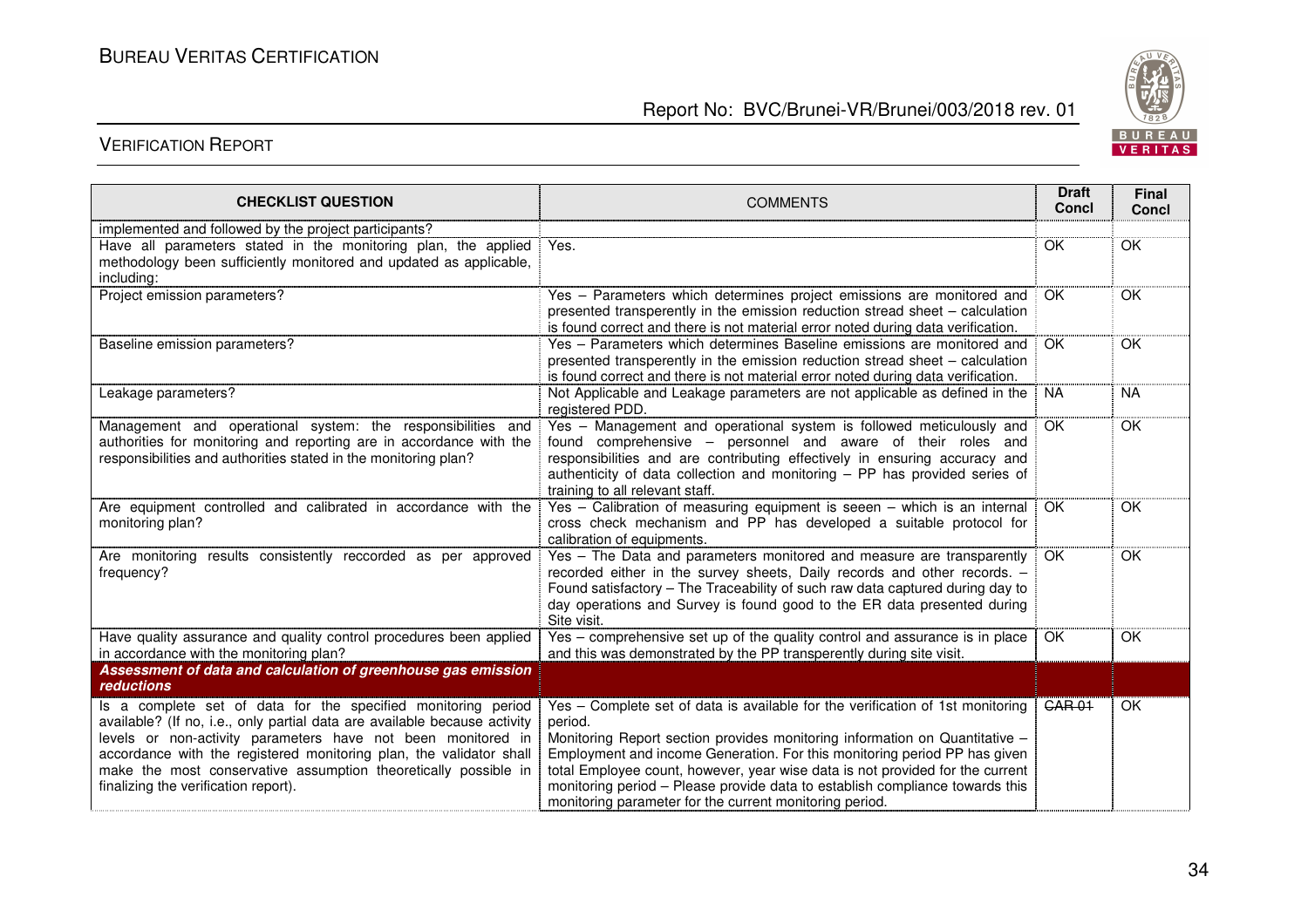

| <b>CHECKLIST QUESTION</b>                                                                                                                                                                                                                                                                                                                                                                    | <b>COMMENTS</b>                                                                                                                                                                                                                                                                                                                                                                                                                                                                   | <b>Draft</b><br><b>Concl</b> | Final<br><b>Concl</b> |
|----------------------------------------------------------------------------------------------------------------------------------------------------------------------------------------------------------------------------------------------------------------------------------------------------------------------------------------------------------------------------------------------|-----------------------------------------------------------------------------------------------------------------------------------------------------------------------------------------------------------------------------------------------------------------------------------------------------------------------------------------------------------------------------------------------------------------------------------------------------------------------------------|------------------------------|-----------------------|
| implemented and followed by the project participants?                                                                                                                                                                                                                                                                                                                                        |                                                                                                                                                                                                                                                                                                                                                                                                                                                                                   |                              |                       |
| Have all parameters stated in the monitoring plan, the applied<br>methodology been sufficiently monitored and updated as applicable,<br>including:                                                                                                                                                                                                                                           | Yes.                                                                                                                                                                                                                                                                                                                                                                                                                                                                              | OK                           | OK                    |
| Project emission parameters?                                                                                                                                                                                                                                                                                                                                                                 | Yes - Parameters which determines project emissions are monitored and<br>presented transperently in the emission reduction stread sheet - calculation<br>is found correct and there is not material error noted during data verification.                                                                                                                                                                                                                                         | OK                           | OK                    |
| Baseline emission parameters?                                                                                                                                                                                                                                                                                                                                                                | Yes - Parameters which determines Baseline emissions are monitored and<br>presented transperently in the emission reduction stread sheet – calculation<br>is found correct and there is not material error noted during data verification.                                                                                                                                                                                                                                        | OK                           | OK                    |
| Leakage parameters?                                                                                                                                                                                                                                                                                                                                                                          | Not Applicable and Leakage parameters are not applicable as defined in the<br>registered PDD.                                                                                                                                                                                                                                                                                                                                                                                     | <b>NA</b>                    | <b>NA</b>             |
| Management and operational system: the responsibilities and<br>authorities for monitoring and reporting are in accordance with the<br>responsibilities and authorities stated in the monitoring plan?                                                                                                                                                                                        | Yes - Management and operational system is followed meticulously and<br>found comprehensive - personnel and aware of their roles and<br>responsibilities and are contributing effectively in ensuring accuracy and<br>authenticity of data collection and monitoring $-$ PP has provided series of<br>training to all relevant staff.                                                                                                                                             | OK                           | OK                    |
| Are equipment controlled and calibrated in accordance with the<br>monitoring plan?                                                                                                                                                                                                                                                                                                           | Yes - Calibration of measuring equipment is seeen - which is an internal<br>cross check mechanism and PP has developed a suitable protocol for<br>calibration of equipments.                                                                                                                                                                                                                                                                                                      | OK                           | OK                    |
| Are monitoring results consistently reccorded as per approved<br>frequency?                                                                                                                                                                                                                                                                                                                  | Yes - The Data and parameters monitored and measure are transparently<br>recorded either in the survey sheets, Daily records and other records. -<br>Found satisfactory - The Traceability of such raw data captured during day to<br>day operations and Survey is found good to the ER data presented during<br>Site visit.                                                                                                                                                      | OK                           | OK                    |
| Have quality assurance and quality control procedures been applied<br>in accordance with the monitoring plan?                                                                                                                                                                                                                                                                                | Yes - comprehensive set up of the quality control and assurance is in place<br>and this was demonstrated by the PP transperently during site visit.                                                                                                                                                                                                                                                                                                                               | OK                           | OK                    |
| Assessment of data and calculation of greenhouse gas emission<br><b>reductions</b>                                                                                                                                                                                                                                                                                                           |                                                                                                                                                                                                                                                                                                                                                                                                                                                                                   |                              |                       |
| Is a complete set of data for the specified monitoring period<br>available? (If no, i.e., only partial data are available because activity<br>levels or non-activity parameters have not been monitored in<br>accordance with the registered monitoring plan, the validator shall<br>make the most conservative assumption theoretically possible in<br>finalizing the verification report). | Yes - Complete set of data is available for the verification of 1st monitoring<br>period.<br>Monitoring Report section provides monitoring information on Quantitative -<br>Employment and income Generation. For this monitoring period PP has given<br>total Employee count, however, year wise data is not provided for the current<br>monitoring period - Please provide data to establish compliance towards this<br>monitoring parameter for the current monitoring period. | <b>GAR 01</b>                | OK                    |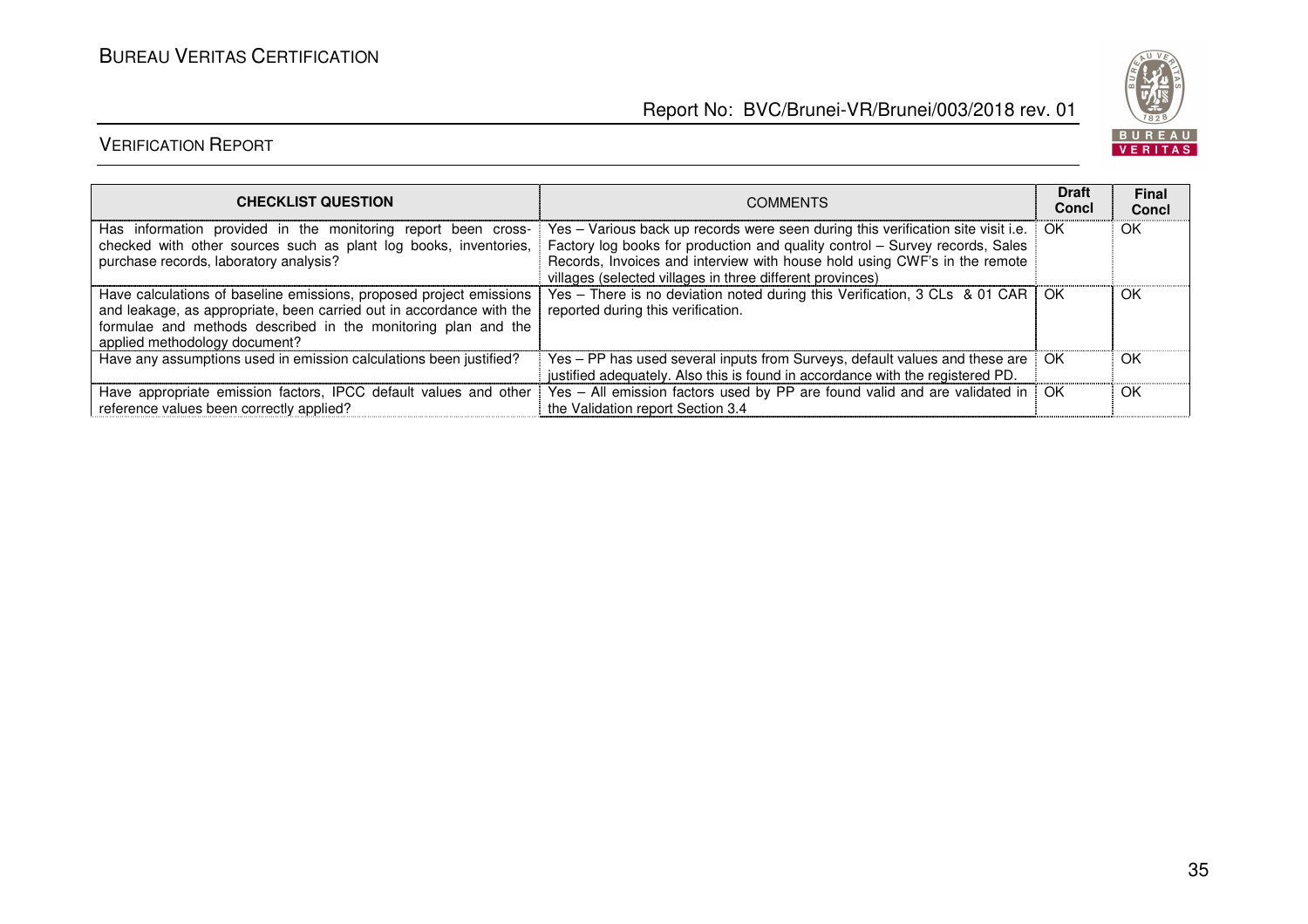

| <b>CHECKLIST QUESTION</b>                                                                                                                                                                                                                     | <b>COMMENTS</b>                                                                                                                                                                                                                                                                                            | <b>Draft</b><br><b>Concl</b> | <b>Final</b><br>Concl |
|-----------------------------------------------------------------------------------------------------------------------------------------------------------------------------------------------------------------------------------------------|------------------------------------------------------------------------------------------------------------------------------------------------------------------------------------------------------------------------------------------------------------------------------------------------------------|------------------------------|-----------------------|
| Has information provided in the monitoring report been cross-<br>checked with other sources such as plant log books, inventories,<br>purchase records, laboratory analysis?                                                                   | Yes – Various back up records were seen during this verification site visit i.e.<br>Factory log books for production and quality control - Survey records, Sales<br>Records, Invoices and interview with house hold using CWF's in the remote<br>villages (selected villages in three different provinces) | OK.                          | OK                    |
| Have calculations of baseline emissions, proposed project emissions<br>and leakage, as appropriate, been carried out in accordance with the<br>formulae and methods described in the monitoring plan and the<br>applied methodology document? | Yes - There is no deviation noted during this Verification, 3 CLs & 01 CAR<br>reported during this verification.                                                                                                                                                                                           | -OK                          | OK                    |
| Have any assumptions used in emission calculations been justified?                                                                                                                                                                            | Yes – PP has used several inputs from Surveys, default values and these are<br>justified adequately. Also this is found in accordance with the registered PD.                                                                                                                                              | OK.                          | OK                    |
| Have appropriate emission factors, IPCC default values and other<br>reference values been correctly applied?                                                                                                                                  | Yes - All emission factors used by PP are found valid and are validated in<br>the Validation report Section 3.4                                                                                                                                                                                            | OK                           | OK                    |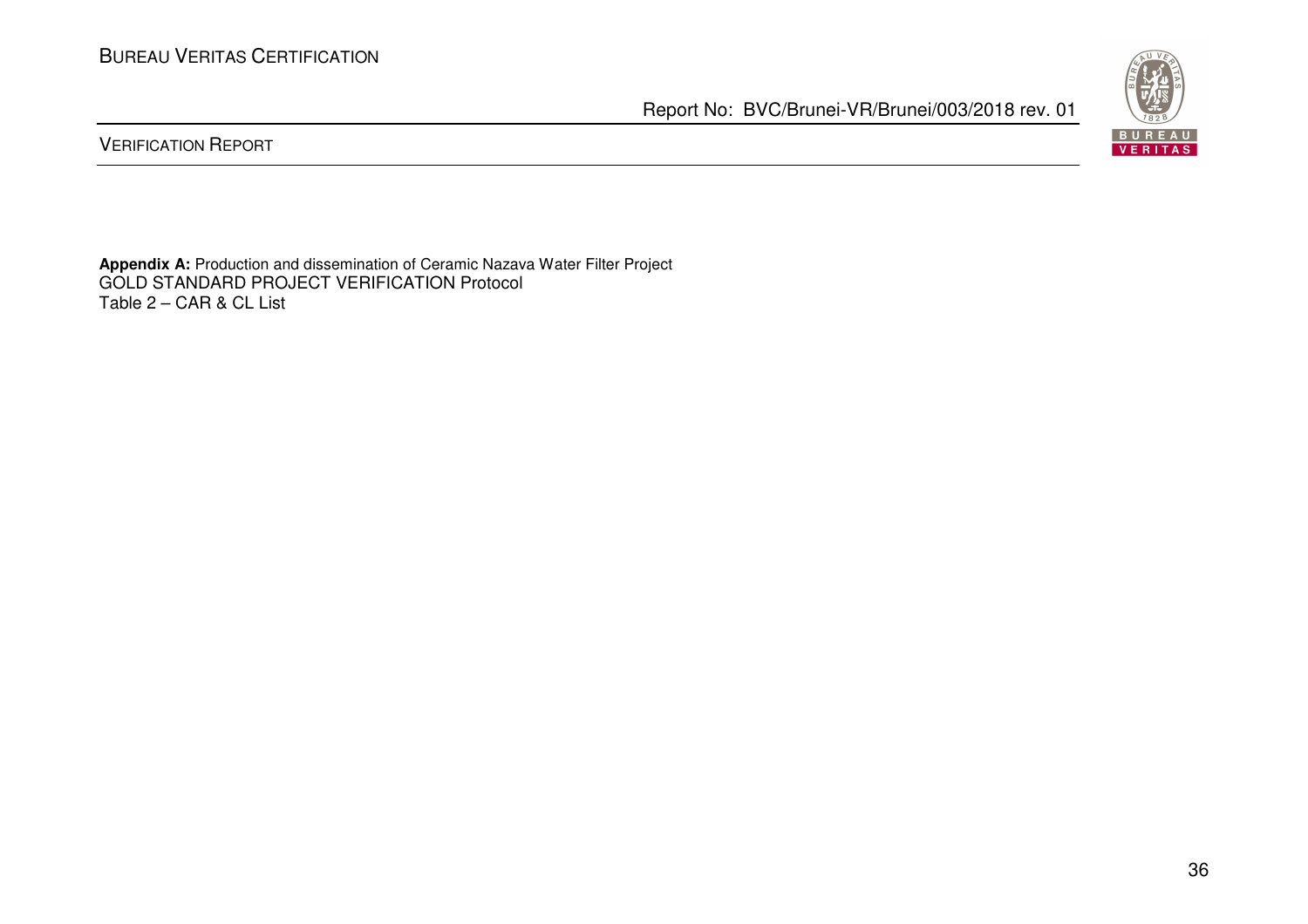BUREAU<br>VERITAS

Report No: BVC/Brunei-VR/Brunei/003/2018 rev. 01

VERIFICATION REPORT

**Appendix A:** Production and dissemination of Ceramic Nazava Water Filter Project GOLD STANDARD PROJECT VERIFICATION Protocol Table 2 – CAR & CL List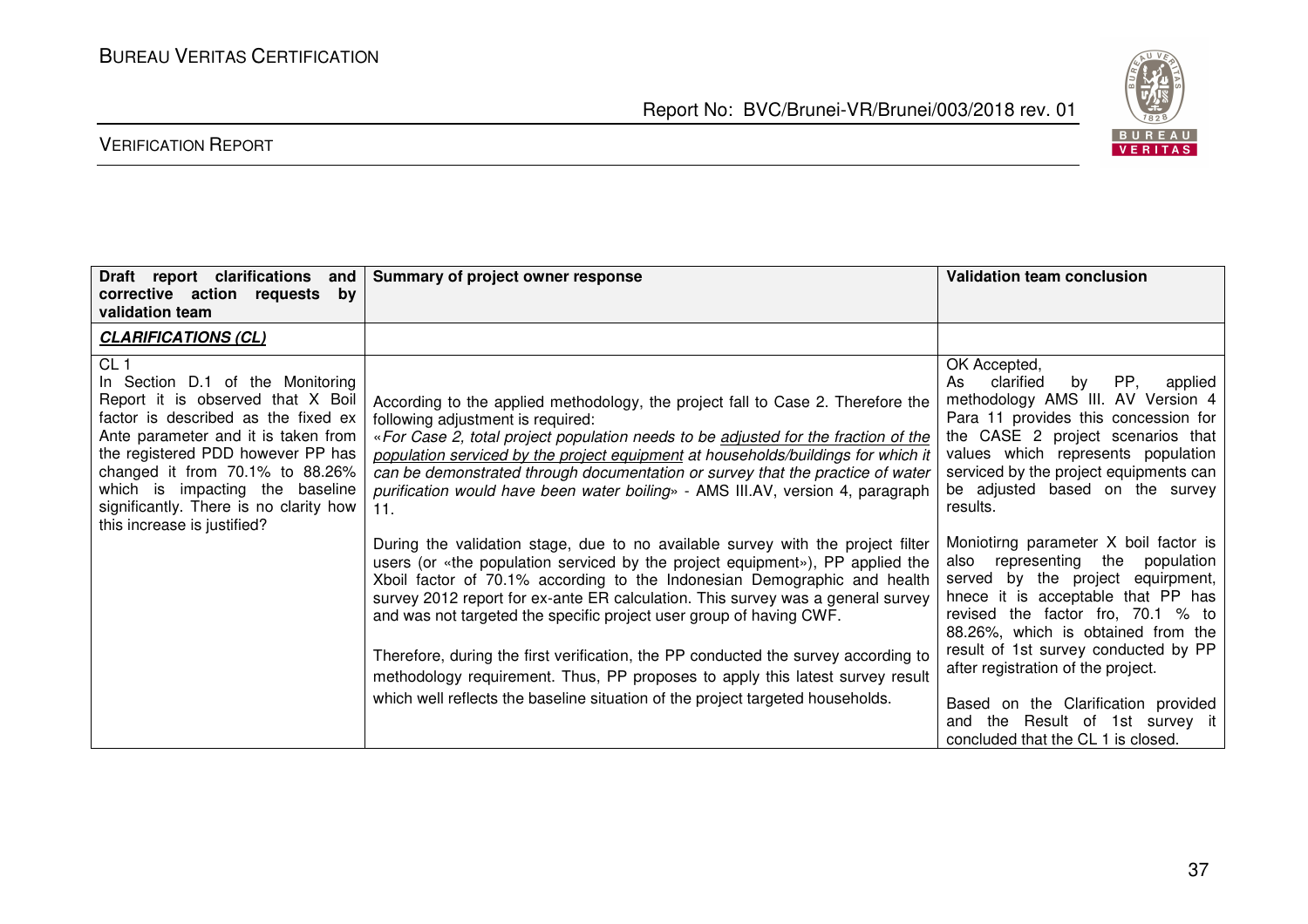BUREAU<br><mark>VERITAS</mark>

## VERIFICATION REPORT

| Draft report clarifications<br>and  <br>corrective action requests<br>by<br>validation team                                                                                                                                                                                                                                                                      | Summary of project owner response                                                                                                                                                                                                                                                                                                                                                                                                                                                                                                                                                                                                                               | <b>Validation team conclusion</b>                                                                                                                                                                                                                                                                                |
|------------------------------------------------------------------------------------------------------------------------------------------------------------------------------------------------------------------------------------------------------------------------------------------------------------------------------------------------------------------|-----------------------------------------------------------------------------------------------------------------------------------------------------------------------------------------------------------------------------------------------------------------------------------------------------------------------------------------------------------------------------------------------------------------------------------------------------------------------------------------------------------------------------------------------------------------------------------------------------------------------------------------------------------------|------------------------------------------------------------------------------------------------------------------------------------------------------------------------------------------------------------------------------------------------------------------------------------------------------------------|
| <b>CLARIFICATIONS (CL)</b>                                                                                                                                                                                                                                                                                                                                       |                                                                                                                                                                                                                                                                                                                                                                                                                                                                                                                                                                                                                                                                 |                                                                                                                                                                                                                                                                                                                  |
| CL <sub>1</sub><br>In Section D.1 of the Monitoring<br>Report it is observed that X Boil<br>factor is described as the fixed ex<br>Ante parameter and it is taken from<br>the registered PDD however PP has<br>changed it from $70.1\%$ to $88.26\%$<br>which is impacting the baseline<br>significantly. There is no clarity how<br>this increase is justified? | According to the applied methodology, the project fall to Case 2. Therefore the<br>following adjustment is required:<br>«For Case 2, total project population needs to be adjusted for the fraction of the<br>population serviced by the project equipment at households/buildings for which it<br>can be demonstrated through documentation or survey that the practice of water<br>purification would have been water boiling» - AMS III.AV, version 4, paragraph<br>11.                                                                                                                                                                                      | OK Accepted,<br>PP,<br>clarified<br>by<br>applied<br>As<br>methodology AMS III. AV Version 4<br>Para 11 provides this concession for<br>the CASE 2 project scenarios that<br>values which represents population<br>serviced by the project equipments can<br>be adjusted based on the survey<br>results.         |
|                                                                                                                                                                                                                                                                                                                                                                  | During the validation stage, due to no available survey with the project filter<br>users (or «the population serviced by the project equipment»), PP applied the<br>Xboil factor of 70.1% according to the Indonesian Demographic and health<br>survey 2012 report for ex-ante ER calculation. This survey was a general survey<br>and was not targeted the specific project user group of having CWF.<br>Therefore, during the first verification, the PP conducted the survey according to<br>methodology requirement. Thus, PP proposes to apply this latest survey result<br>which well reflects the baseline situation of the project targeted households. | Moniotirng parameter X boil factor is<br>also representing the<br>population<br>served by the project equirpment,<br>hnece it is acceptable that PP has<br>revised the factor fro, 70.1 % to<br>88.26%, which is obtained from the<br>result of 1st survey conducted by PP<br>after registration of the project. |
|                                                                                                                                                                                                                                                                                                                                                                  |                                                                                                                                                                                                                                                                                                                                                                                                                                                                                                                                                                                                                                                                 | Based on the Clarification provided<br>and the Result of 1st survey it<br>concluded that the CL 1 is closed.                                                                                                                                                                                                     |

Report No: BVC/Brunei-VR/Brunei/003/2018 rev. 01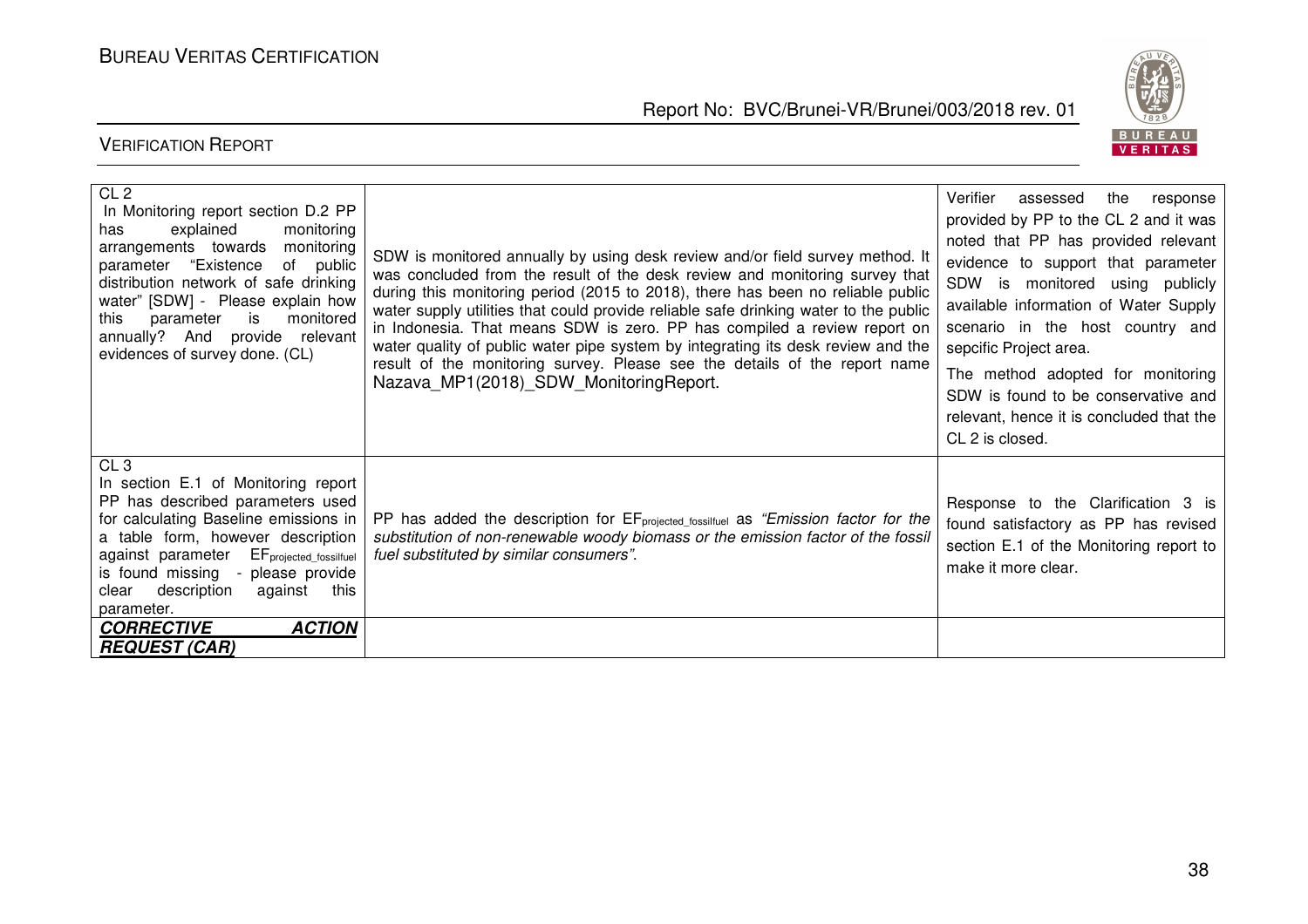

| CL <sub>2</sub><br>In Monitoring report section D.2 PP<br>explained<br>monitoring<br>has<br>monitoring<br>arrangements towards<br>parameter "Existence<br>of public<br>distribution network of safe drinking<br>water" [SDW] - Please explain how<br>monitored<br>parameter<br>is<br>this<br>annually? And provide relevant<br>evidences of survey done. (CL) | SDW is monitored annually by using desk review and/or field survey method. It<br>was concluded from the result of the desk review and monitoring survey that<br>during this monitoring period (2015 to 2018), there has been no reliable public<br>water supply utilities that could provide reliable safe drinking water to the public<br>in Indonesia. That means SDW is zero. PP has compiled a review report on<br>water quality of public water pipe system by integrating its desk review and the<br>result of the monitoring survey. Please see the details of the report name<br>Nazava MP1(2018) SDW Monitoring Report. | Verifier<br>assessed<br>the<br>response<br>provided by PP to the CL 2 and it was<br>noted that PP has provided relevant<br>evidence to support that parameter<br>SDW<br>is monitored using publicly<br>available information of Water Supply<br>scenario in the host country and<br>sepcific Project area.<br>The method adopted for monitoring<br>SDW is found to be conservative and<br>relevant, hence it is concluded that the<br>CL 2 is closed. |
|---------------------------------------------------------------------------------------------------------------------------------------------------------------------------------------------------------------------------------------------------------------------------------------------------------------------------------------------------------------|----------------------------------------------------------------------------------------------------------------------------------------------------------------------------------------------------------------------------------------------------------------------------------------------------------------------------------------------------------------------------------------------------------------------------------------------------------------------------------------------------------------------------------------------------------------------------------------------------------------------------------|-------------------------------------------------------------------------------------------------------------------------------------------------------------------------------------------------------------------------------------------------------------------------------------------------------------------------------------------------------------------------------------------------------------------------------------------------------|
| CL <sub>3</sub><br>In section E.1 of Monitoring report<br>PP has described parameters used<br>for calculating Baseline emissions in<br>a table form, however description<br>against parameter EFprojected_fossilfuel<br>is found missing - please provide<br>description<br>this<br>clear<br>against<br>parameter.<br><b>ACTION</b><br><b>CORRECTIVE</b>      | PP has added the description for $EF_{projected_fossilfuel}$ as " <i>Emission factor for the</i><br>substitution of non-renewable woody biomass or the emission factor of the fossil<br>fuel substituted by similar consumers".                                                                                                                                                                                                                                                                                                                                                                                                  | Response to the Clarification 3 is<br>found satisfactory as PP has revised<br>section E.1 of the Monitoring report to<br>make it more clear.                                                                                                                                                                                                                                                                                                          |
| <b>REQUEST (CAR)</b>                                                                                                                                                                                                                                                                                                                                          |                                                                                                                                                                                                                                                                                                                                                                                                                                                                                                                                                                                                                                  |                                                                                                                                                                                                                                                                                                                                                                                                                                                       |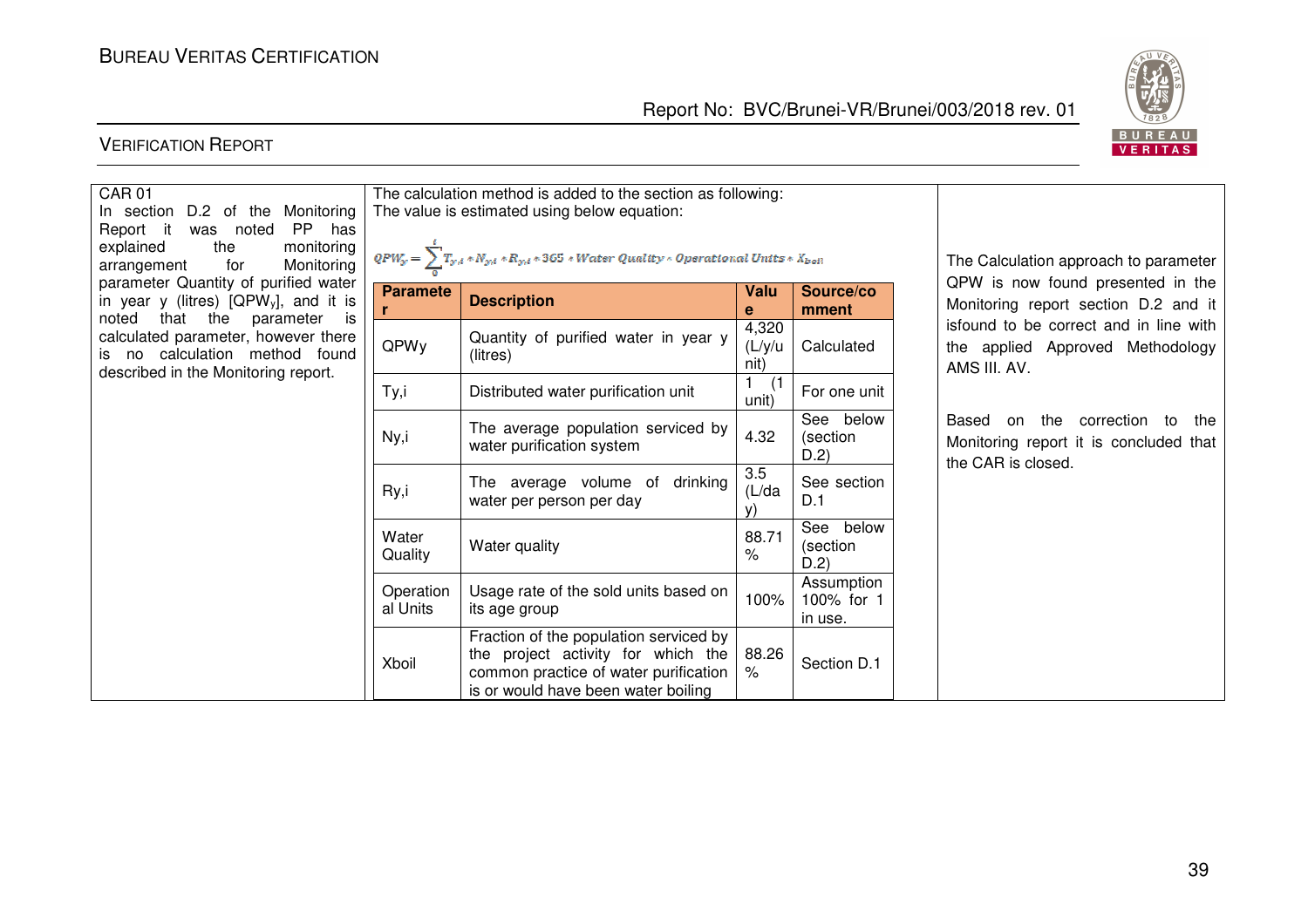

| <b>CAR01</b><br>In section<br>D.2 of the Monitoring<br>PP has<br>Report it<br>was noted<br>the<br>monitoring<br>explained<br>for<br>Monitoring<br>arrangement<br>parameter Quantity of purified water<br>in year y (litres) [QPW <sub>y</sub> ], and it is<br>that the<br>noted<br>parameter is<br>calculated parameter, however there<br>is no calculation method found<br>described in the Monitoring report. | The calculation method is added to the section as following:<br>The value is estimated using below equation:<br>$\overline{Q}PW_y=\sum T_{y,t}*N_{y,t}*R_{y,t}*365*Water\;Quality*Operational\; Units*X_{boll}$ |                                                                                                                                                              |                         |                                     | The Calculation approach to parameter                                                                |
|-----------------------------------------------------------------------------------------------------------------------------------------------------------------------------------------------------------------------------------------------------------------------------------------------------------------------------------------------------------------------------------------------------------------|-----------------------------------------------------------------------------------------------------------------------------------------------------------------------------------------------------------------|--------------------------------------------------------------------------------------------------------------------------------------------------------------|-------------------------|-------------------------------------|------------------------------------------------------------------------------------------------------|
|                                                                                                                                                                                                                                                                                                                                                                                                                 | <b>Paramete</b>                                                                                                                                                                                                 | <b>Description</b>                                                                                                                                           | Valu<br>е               | Source/co<br>mment                  | QPW is now found presented in the<br>Monitoring report section D.2 and it                            |
|                                                                                                                                                                                                                                                                                                                                                                                                                 | QPWy                                                                                                                                                                                                            | Quantity of purified water in year y<br>(litres)                                                                                                             | 4,320<br>(L/y/u<br>nit) | Calculated                          | isfound to be correct and in line with<br>the applied Approved Methodology<br>AMS III. AV.           |
|                                                                                                                                                                                                                                                                                                                                                                                                                 | Ty,i                                                                                                                                                                                                            | Distributed water purification unit                                                                                                                          | unit)                   | For one unit                        |                                                                                                      |
|                                                                                                                                                                                                                                                                                                                                                                                                                 | Ny,i                                                                                                                                                                                                            | The average population serviced by<br>water purification system                                                                                              | 4.32                    | See below<br>(section<br>D.2)       | Based on the correction<br>to<br>the<br>Monitoring report it is concluded that<br>the CAR is closed. |
|                                                                                                                                                                                                                                                                                                                                                                                                                 | Ry,i                                                                                                                                                                                                            | drinking<br>The average volume of<br>water per person per day                                                                                                | 3.5<br>(L/da)           | See section<br>D.1                  |                                                                                                      |
|                                                                                                                                                                                                                                                                                                                                                                                                                 | Water<br>Quality                                                                                                                                                                                                | Water quality                                                                                                                                                | 88.71<br>$\%$           | See below<br>(section<br>D.2        |                                                                                                      |
|                                                                                                                                                                                                                                                                                                                                                                                                                 | Operation<br>al Units                                                                                                                                                                                           | Usage rate of the sold units based on<br>its age group                                                                                                       | 100%                    | Assumption<br>100% for 1<br>in use. |                                                                                                      |
|                                                                                                                                                                                                                                                                                                                                                                                                                 | Xboil                                                                                                                                                                                                           | Fraction of the population serviced by<br>the project activity for which the<br>common practice of water purification<br>is or would have been water boiling | 88.26<br>%              | Section D.1                         |                                                                                                      |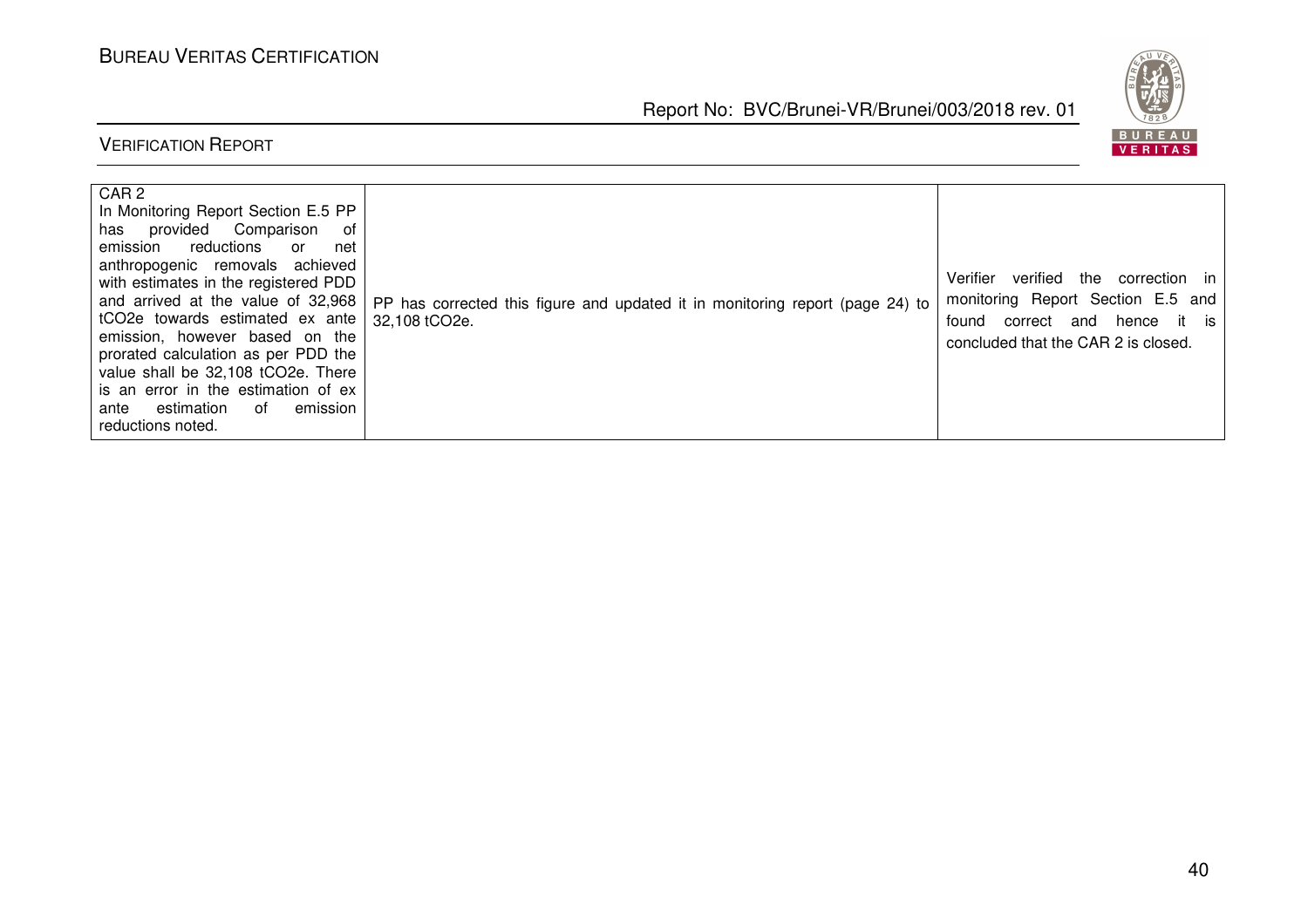BUREAU<br><mark>VERITAS</mark>

Report No: BVC/Brunei-VR/Brunei/003/2018 rev. 01

| CAR <sub>2</sub><br>In Monitoring Report Section E.5 PP<br>has provided Comparison<br>ot<br>reductions<br>emission<br>net<br>or<br>anthropogenic removals achieved<br>with estimates in the registered PDD<br>and arrived at the value of 32,968<br>tCO2e towards estimated ex ante<br>emission, however based on the<br>prorated calculation as per PDD the<br>value shall be 32,108 tCO2e. There<br>is an error in the estimation of ex<br>∩f<br>emission<br>estimation<br>ante<br>reductions noted. | PP has corrected this figure and updated it in monitoring report (page 24) to<br>32,108 tCO2e. | verified the<br>Verifier<br>correction in<br>monitoring Report Section E.5 and<br>correct and hence it is<br>found<br>concluded that the CAR 2 is closed. |
|--------------------------------------------------------------------------------------------------------------------------------------------------------------------------------------------------------------------------------------------------------------------------------------------------------------------------------------------------------------------------------------------------------------------------------------------------------------------------------------------------------|------------------------------------------------------------------------------------------------|-----------------------------------------------------------------------------------------------------------------------------------------------------------|
|--------------------------------------------------------------------------------------------------------------------------------------------------------------------------------------------------------------------------------------------------------------------------------------------------------------------------------------------------------------------------------------------------------------------------------------------------------------------------------------------------------|------------------------------------------------------------------------------------------------|-----------------------------------------------------------------------------------------------------------------------------------------------------------|